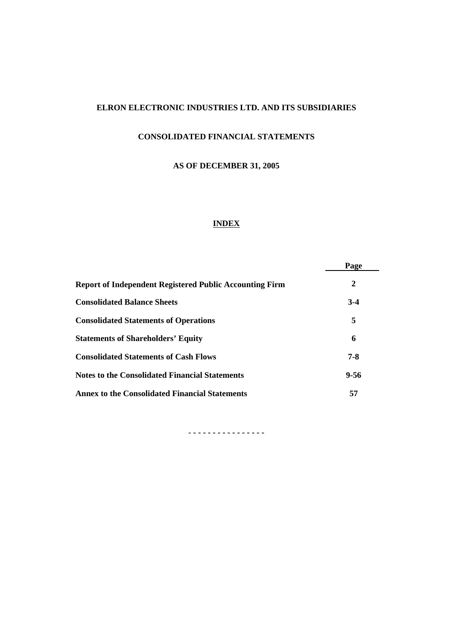# **ELRON ELECTRONIC INDUSTRIES LTD. AND ITS SUBSIDIARIES**

# **CONSOLIDATED FINANCIAL STATEMENTS**

# **AS OF DECEMBER 31, 2005**

# **INDEX**

|                                                                | Page    |
|----------------------------------------------------------------|---------|
| <b>Report of Independent Registered Public Accounting Firm</b> | 2       |
| <b>Consolidated Balance Sheets</b>                             | $3-4$   |
| <b>Consolidated Statements of Operations</b>                   | 5       |
| <b>Statements of Shareholders' Equity</b>                      | 6       |
| <b>Consolidated Statements of Cash Flows</b>                   | $7 - 8$ |
| <b>Notes to the Consolidated Financial Statements</b>          | 9-56    |
| <b>Annex to the Consolidated Financial Statements</b>          | 57      |

- **- - - - - - - - - - - - - - -**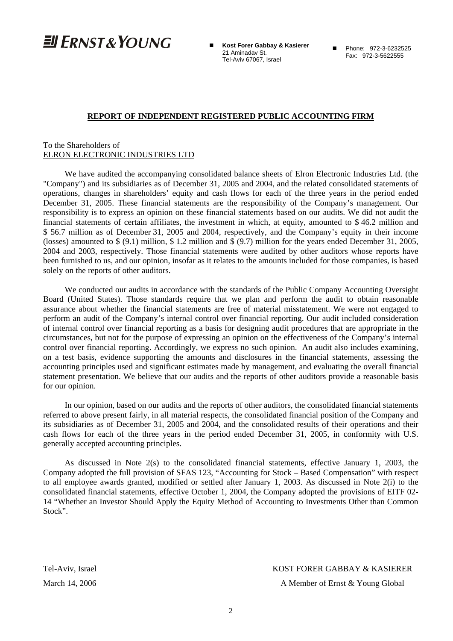$E$  FRNST & YOUNG

 **Kost Forer Gabbay & Kasierer** 21 Aminadav St. Tel-Aviv 67067, Israel

Phone: 972-3-6232525 Fax: 972-3-5622555

#### **REPORT OF INDEPENDENT REGISTERED PUBLIC ACCOUNTING FIRM**

#### To the Shareholders of ELRON ELECTRONIC INDUSTRIES LTD

We have audited the accompanying consolidated balance sheets of Elron Electronic Industries Ltd. (the "Company") and its subsidiaries as of December 31, 2005 and 2004, and the related consolidated statements of operations, changes in shareholders' equity and cash flows for each of the three years in the period ended December 31, 2005. These financial statements are the responsibility of the Company's management. Our responsibility is to express an opinion on these financial statements based on our audits. We did not audit the financial statements of certain affiliates, the investment in which, at equity, amounted to \$ 46.2 million and \$ 56.7 million as of December 31, 2005 and 2004, respectively, and the Company's equity in their income (losses) amounted to \$ (9.1) million, \$ 1.2 million and \$ (9.7) million for the years ended December 31, 2005, 2004 and 2003, respectively. Those financial statements were audited by other auditors whose reports have been furnished to us, and our opinion, insofar as it relates to the amounts included for those companies, is based solely on the reports of other auditors.

We conducted our audits in accordance with the standards of the Public Company Accounting Oversight Board (United States). Those standards require that we plan and perform the audit to obtain reasonable assurance about whether the financial statements are free of material misstatement. We were not engaged to perform an audit of the Company's internal control over financial reporting. Our audit included consideration of internal control over financial reporting as a basis for designing audit procedures that are appropriate in the circumstances, but not for the purpose of expressing an opinion on the effectiveness of the Company's internal control over financial reporting. Accordingly, we express no such opinion. An audit also includes examining, on a test basis, evidence supporting the amounts and disclosures in the financial statements, assessing the accounting principles used and significant estimates made by management, and evaluating the overall financial statement presentation. We believe that our audits and the reports of other auditors provide a reasonable basis for our opinion.

In our opinion, based on our audits and the reports of other auditors, the consolidated financial statements referred to above present fairly, in all material respects, the consolidated financial position of the Company and its subsidiaries as of December 31, 2005 and 2004, and the consolidated results of their operations and their cash flows for each of the three years in the period ended December 31, 2005, in conformity with U.S. generally accepted accounting principles.

As discussed in Note 2(s) to the consolidated financial statements, effective January 1, 2003, the Company adopted the full provision of SFAS 123, "Accounting for Stock – Based Compensation" with respect to all employee awards granted, modified or settled after January 1, 2003. As discussed in Note 2(i) to the consolidated financial statements, effective October 1, 2004, the Company adopted the provisions of EITF 02- 14 "Whether an Investor Should Apply the Equity Method of Accounting to Investments Other than Common Stock".

Tel-Aviv, Israel KOST FORER GABBAY & KASIERER

March 14, 2006 **A Member of Ernst & Young Global**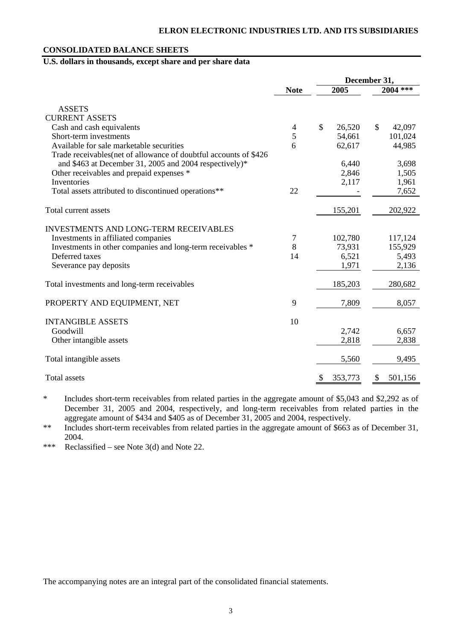### **CONSOLIDATED BALANCE SHEETS**

# **U.S. dollars in thousands, except share and per share data**

|                                                                   |                | December 31, |         |               |         |
|-------------------------------------------------------------------|----------------|--------------|---------|---------------|---------|
|                                                                   | <b>Note</b>    | 2005         |         | 2004 ***      |         |
| <b>ASSETS</b>                                                     |                |              |         |               |         |
| <b>CURRENT ASSETS</b>                                             |                |              |         |               |         |
| Cash and cash equivalents                                         | $\overline{4}$ | \$           | 26,520  | $\mathcal{S}$ | 42,097  |
| Short-term investments                                            | 5              |              | 54,661  |               | 101,024 |
| Available for sale marketable securities                          | 6              |              | 62,617  |               | 44,985  |
| Trade receivables (net of allowance of doubtful accounts of \$426 |                |              |         |               |         |
| and \$463 at December 31, 2005 and 2004 respectively)*            |                |              | 6,440   |               | 3,698   |
| Other receivables and prepaid expenses *                          |                |              | 2,846   |               | 1,505   |
| Inventories                                                       |                |              | 2,117   |               | 1,961   |
| Total assets attributed to discontinued operations**              | 22             |              |         |               | 7,652   |
|                                                                   |                |              |         |               |         |
| Total current assets                                              |                |              | 155,201 |               | 202,922 |
| <b>INVESTMENTS AND LONG-TERM RECEIVABLES</b>                      |                |              |         |               |         |
| Investments in affiliated companies                               | 7              |              | 102,780 |               | 117,124 |
| Investments in other companies and long-term receivables *        | 8              |              | 73,931  |               | 155,929 |
| Deferred taxes                                                    | 14             |              | 6,521   |               | 5,493   |
| Severance pay deposits                                            |                |              | 1,971   |               | 2,136   |
|                                                                   |                |              |         |               |         |
| Total investments and long-term receivables                       |                |              | 185,203 |               | 280,682 |
| PROPERTY AND EQUIPMENT, NET                                       | 9              |              | 7,809   |               | 8,057   |
|                                                                   |                |              |         |               |         |
| <b>INTANGIBLE ASSETS</b>                                          | 10             |              |         |               |         |
| Goodwill                                                          |                |              | 2,742   |               | 6,657   |
| Other intangible assets                                           |                |              | 2,818   |               | 2,838   |
| Total intangible assets                                           |                |              | 5,560   |               | 9,495   |
| Total assets                                                      |                | \$           | 353,773 | \$            | 501,156 |

\* Includes short-term receivables from related parties in the aggregate amount of \$5,043 and \$2,292 as of December 31, 2005 and 2004, respectively, and long-term receivables from related parties in the aggregate amount of \$434 and \$405 as of December 31, 2005 and 2004, respectively.

\*\* Includes short-term receivables from related parties in the aggregate amount of \$663 as of December 31, 2004.

\*\*\* Reclassified – see Note 3(d) and Note 22.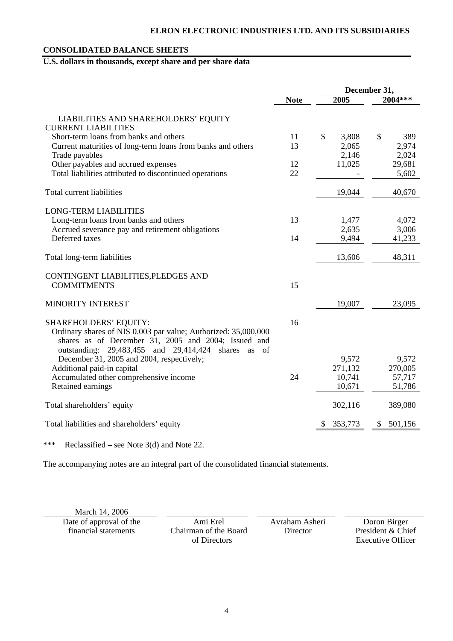# **ELRON ELECTRONIC INDUSTRIES LTD. AND ITS SUBSIDIARIES**

### **CONSOLIDATED BALANCE SHEETS**

# **U.S. dollars in thousands, except share and per share data**

|                                                                                                                                                                                                                       |             |             | December 31, |
|-----------------------------------------------------------------------------------------------------------------------------------------------------------------------------------------------------------------------|-------------|-------------|--------------|
|                                                                                                                                                                                                                       | <b>Note</b> | 2005        | 2004***      |
| LIABILITIES AND SHAREHOLDERS' EQUITY<br><b>CURRENT LIABILITIES</b>                                                                                                                                                    |             |             |              |
| Short-term loans from banks and others                                                                                                                                                                                | 11          | \$<br>3,808 | \$<br>389    |
| Current maturities of long-term loans from banks and others                                                                                                                                                           | 13          | 2,065       | 2,974        |
| Trade payables                                                                                                                                                                                                        |             | 2,146       | 2,024        |
| Other payables and accrued expenses                                                                                                                                                                                   | 12          | 11,025      | 29,681       |
| Total liabilities attributed to discontinued operations                                                                                                                                                               | 22          |             | 5,602        |
| Total current liabilities                                                                                                                                                                                             |             | 19,044      | 40,670       |
| <b>LONG-TERM LIABILITIES</b>                                                                                                                                                                                          |             |             |              |
| Long-term loans from banks and others                                                                                                                                                                                 | 13          | 1,477       | 4,072        |
| Accrued severance pay and retirement obligations                                                                                                                                                                      |             | 2,635       | 3,006        |
| Deferred taxes                                                                                                                                                                                                        | 14          | 9,494       | 41,233       |
| Total long-term liabilities                                                                                                                                                                                           |             | 13,606      | 48,311       |
| CONTINGENT LIABILITIES, PLEDGES AND<br><b>COMMITMENTS</b>                                                                                                                                                             | 15          |             |              |
| <b>MINORITY INTEREST</b>                                                                                                                                                                                              |             | 19,007      | 23,095       |
| <b>SHAREHOLDERS' EQUITY:</b><br>Ordinary shares of NIS 0.003 par value; Authorized: 35,000,000<br>shares as of December 31, 2005 and 2004; Issued and<br>outstanding: 29,483,455 and 29,414,424<br>shares<br>of<br>as | 16          |             |              |
| December 31, 2005 and 2004, respectively;                                                                                                                                                                             |             | 9,572       | 9,572        |
| Additional paid-in capital                                                                                                                                                                                            |             | 271,132     | 270,005      |
| Accumulated other comprehensive income                                                                                                                                                                                | 24          | 10,741      | 57,717       |
| Retained earnings                                                                                                                                                                                                     |             | 10,671      | 51,786       |
| Total shareholders' equity                                                                                                                                                                                            |             | 302,116     | 389,080      |
| Total liabilities and shareholders' equity                                                                                                                                                                            |             | 353,773     | 501,156<br>S |

\*\*\* Reclassified – see Note 3(d) and Note 22.

The accompanying notes are an integral part of the consolidated financial statements.

March 14, 2006

Date of approval of the Ami Erel Avraham Asheri Doron Birger<br>
Thancial statements Chairman of the Board Director President & Chi

Chairman of the Board of Directors

Director President & Chief Executive Officer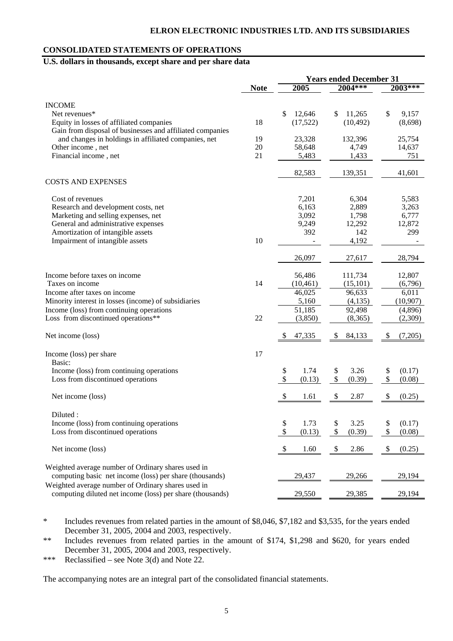### **CONSOLIDATED STATEMENTS OF OPERATIONS**

# **U.S. dollars in thousands, except share and per share data**

|                                                                                                                   |             | <b>Years ended December 31</b> |              |               |  |
|-------------------------------------------------------------------------------------------------------------------|-------------|--------------------------------|--------------|---------------|--|
|                                                                                                                   | <b>Note</b> | 2005                           | 2004***      | 2003***       |  |
|                                                                                                                   |             |                                |              |               |  |
| <b>INCOME</b>                                                                                                     |             |                                |              |               |  |
| Net revenues*                                                                                                     |             | \$<br>12,646                   | 11,265<br>S  | \$<br>9,157   |  |
| Equity in losses of affiliated companies                                                                          | 18          | (17,522)                       | (10, 492)    | (8,698)       |  |
| Gain from disposal of businesses and affiliated companies<br>and changes in holdings in affiliated companies, net | 19          | 23,328                         | 132,396      | 25,754        |  |
| Other income, net                                                                                                 | 20          | 58,648                         | 4,749        | 14,637        |  |
| Financial income, net                                                                                             | 21          | 5,483                          | 1,433        | 751           |  |
|                                                                                                                   |             |                                |              |               |  |
|                                                                                                                   |             | 82,583                         | 139,351      | 41,601        |  |
| <b>COSTS AND EXPENSES</b>                                                                                         |             |                                |              |               |  |
| Cost of revenues                                                                                                  |             | 7,201                          | 6,304        | 5,583         |  |
| Research and development costs, net                                                                               |             | 6,163                          | 2,889        | 3,263         |  |
| Marketing and selling expenses, net                                                                               |             | 3,092                          | 1,798        | 6,777         |  |
| General and administrative expenses                                                                               |             | 9,249                          | 12,292       | 12,872        |  |
| Amortization of intangible assets                                                                                 |             | 392                            | 142          | 299           |  |
| Impairment of intangible assets                                                                                   | 10          |                                | 4,192        |               |  |
|                                                                                                                   |             | 26,097                         | 27,617       | 28,794        |  |
| Income before taxes on income                                                                                     |             | 56,486                         | 111,734      | 12,807        |  |
| Taxes on income                                                                                                   | 14          | (10, 461)                      | (15, 101)    | (6,796)       |  |
| Income after taxes on income                                                                                      |             | 46,025                         | 96,633       | 6,011         |  |
| Minority interest in losses (income) of subsidiaries                                                              |             | 5,160                          | (4,135)      | (10, 907)     |  |
| Income (loss) from continuing operations                                                                          |             | 51,185                         | 92,498       | (4,896)       |  |
| Loss from discontinued operations**                                                                               | 22          | (3,850)                        | (8,365)      | (2,309)       |  |
| Net income (loss)                                                                                                 |             | 47,335<br>S                    | \$<br>84,133 | (7,205)<br>\$ |  |
| Income (loss) per share                                                                                           | 17          |                                |              |               |  |
| Basic:                                                                                                            |             |                                |              |               |  |
| Income (loss) from continuing operations                                                                          |             | 1.74<br>\$                     | 3.26<br>\$   | \$<br>(0.17)  |  |
| Loss from discontinued operations                                                                                 |             | \$<br>(0.13)                   | \$<br>(0.39) | \$<br>(0.08)  |  |
|                                                                                                                   |             |                                |              |               |  |
| Net income (loss)                                                                                                 |             | \$<br>1.61                     | 2.87<br>S    | \$<br>(0.25)  |  |
| Diluted:                                                                                                          |             |                                |              |               |  |
| Income (loss) from continuing operations                                                                          |             | \$<br>1.73                     | \$<br>3.25   | \$<br>(0.17)  |  |
| Loss from discontinued operations                                                                                 |             | \$<br>(0.13)                   | \$<br>(0.39) | \$<br>(0.08)  |  |
| Net income (loss)                                                                                                 |             | \$<br>1.60                     | \$<br>2.86   | \$<br>(0.25)  |  |
| Weighted average number of Ordinary shares used in                                                                |             |                                |              |               |  |
| computing basic net income (loss) per share (thousands)                                                           |             | 29,437                         | 29,266       | 29,194        |  |
| Weighted average number of Ordinary shares used in<br>computing diluted net income (loss) per share (thousands)   |             | 29,550                         | 29,385       | 29,194        |  |

\* Includes revenues from related parties in the amount of \$8,046, \$7,182 and \$3,535, for the years ended December 31, 2005, 2004 and 2003, respectively.

\*\* Includes revenues from related parties in the amount of \$174, \$1,298 and \$620, for years ended December 31, 2005, 2004 and 2003, respectively.

\*\*\* Reclassified – see Note 3(d) and Note 22.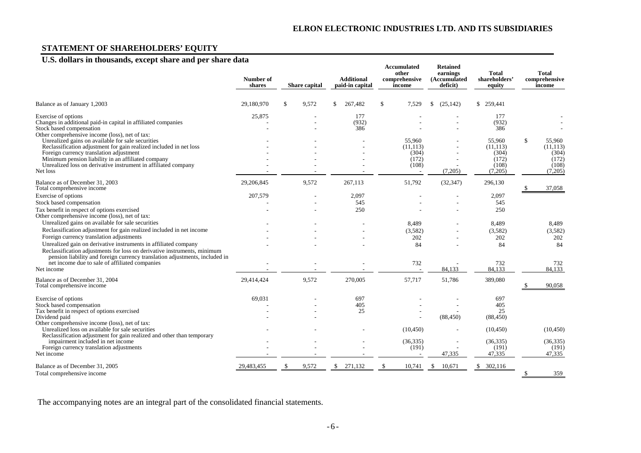# **STATEMENT OF SHAREHOLDERS' EQUITY**

# **U.S. dollars in thousands, except share and per share data**

|                                                                                                                                                                                                                                                                                                                      | Number of<br>shares |    | <b>Share capital</b> |     | <b>Additional</b><br>paid-in capital |    | <b>Accumulated</b><br>other<br>comprehensive<br>income |    | <b>Retained</b><br>earnings<br>(Accumulated<br>deficit) | Total<br>shareholders'<br>equity      | Total<br>comprehensive<br>income            |
|----------------------------------------------------------------------------------------------------------------------------------------------------------------------------------------------------------------------------------------------------------------------------------------------------------------------|---------------------|----|----------------------|-----|--------------------------------------|----|--------------------------------------------------------|----|---------------------------------------------------------|---------------------------------------|---------------------------------------------|
| Balance as of January 1,2003                                                                                                                                                                                                                                                                                         | 29.180.970          | \$ | 9,572                | \$. | 267.482                              | S  | 7,529                                                  | S  | (25, 142)                                               | \$ 259,441                            |                                             |
| Exercise of options<br>Changes in additional paid-in capital in affiliated companies<br>Stock based compensation<br>Other comprehensive income (loss), net of tax:                                                                                                                                                   | 25,875              |    |                      |     | 177<br>(932)<br>386                  |    |                                                        |    | $\overline{\phantom{a}}$                                | 177<br>(932)<br>386                   |                                             |
| Unrealized gains on available for sale securities<br>Reclassification adjustment for gain realized included in net loss<br>Foreign currency translation adjustment<br>Minimum pension liability in an affiliated company                                                                                             |                     |    |                      |     |                                      |    | 55,960<br>(11, 113)<br>(304)<br>(172)                  |    |                                                         | 55,960<br>(11, 113)<br>(304)<br>(172) | \$<br>55,960<br>(11, 113)<br>(304)<br>(172) |
| Unrealized loss on derivative instrument in affiliated company<br>Net loss                                                                                                                                                                                                                                           |                     |    |                      |     |                                      |    | (108)                                                  |    | (7,205)                                                 | (108)<br>(7,205)                      | (108)<br>(7,205)                            |
| Balance as of December 31, 2003<br>Total comprehensive income                                                                                                                                                                                                                                                        | 29,206,845          |    | 9,572                |     | 267.113                              |    | 51,792                                                 |    | (32, 347)                                               | 296,130                               | 37,058                                      |
| Exercise of options<br>Stock based compensation<br>Tax benefit in respect of options exercised<br>Other comprehensive income (loss), net of tax:                                                                                                                                                                     | 207,579             |    |                      |     | 2,097<br>545<br>250                  |    |                                                        |    |                                                         | 2,097<br>545<br>250                   |                                             |
| Unrealized gains on available for sale securities<br>Reclassification adjustment for gain realized included in net income<br>Foreign currency translation adjustments<br>Unrealized gain on derivative instruments in affiliated company<br>Reclassification adjustments for loss on derivative instruments, minimum |                     |    |                      |     |                                      |    | 8.489<br>(3,582)<br>202<br>84                          |    |                                                         | 8,489<br>(3,582)<br>202<br>84         | 8,489<br>(3,582)<br>202<br>84               |
| pension liability and foreign currency translation adjustments, included in<br>net income due to sale of affiliated companies<br>Net income                                                                                                                                                                          |                     |    |                      |     |                                      |    | 732                                                    |    | 84,133                                                  | 732<br>84.133                         | 732<br>84,133                               |
| Balance as of December 31, 2004<br>Total comprehensive income                                                                                                                                                                                                                                                        | 29,414,424          |    | 9,572                |     | 270,005                              |    | 57,717                                                 |    | 51,786                                                  | 389,080                               | 90,058                                      |
| Exercise of options<br>Stock based compensation<br>Tax benefit in respect of options exercised<br>Dividend paid                                                                                                                                                                                                      | 69,031              |    |                      |     | 697<br>405<br>25                     |    |                                                        |    | (88, 450)                                               | 697<br>405<br>25<br>(88, 450)         |                                             |
| Other comprehensive income (loss), net of tax:<br>Unrealized loss on available for sale securities<br>Reclassification adjustment for gain realized and other than temporary<br>impairment included in net income<br>Foreign currency translation adjustments                                                        |                     |    |                      |     |                                      |    | (10, 450)<br>(36, 335)<br>(191)                        |    |                                                         | (10, 450)<br>(36, 335)<br>(191)       | (10, 450)<br>(36, 335)<br>(191)             |
| Net income<br>Balance as of December 31, 2005<br>Total comprehensive income                                                                                                                                                                                                                                          | 29,483,455          | -S | 9,572                | \$  | 271,132                              | \$ | 10,741                                                 | \$ | 47,335<br>10,671                                        | 47,335<br>\$302,116                   | \$<br>47,335<br>359                         |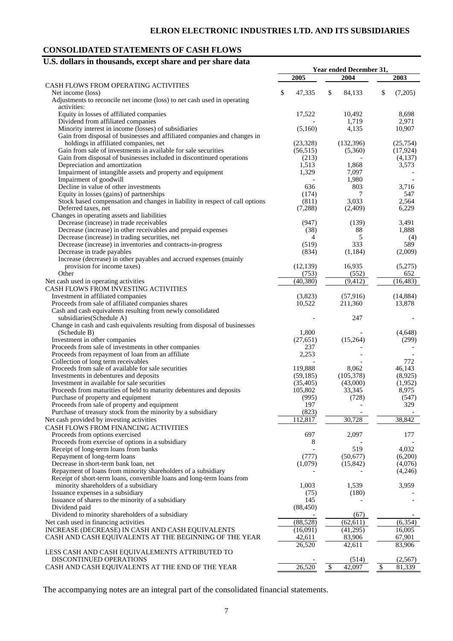# **CONSOLIDATED STATEMENTS OF CASH FLOWS**

# **U.S. dollars in thousands, except share and per share data**

|                                                                              | Year ended December 31, |                          |                      |  |  |
|------------------------------------------------------------------------------|-------------------------|--------------------------|----------------------|--|--|
|                                                                              | 2005                    | 2004                     | 2003                 |  |  |
| CASH FLOWS FROM OPERATING ACTIVITIES                                         |                         |                          |                      |  |  |
| Net income (loss)                                                            | \$<br>47,335            | \$<br>84,133             | \$<br>(7,205)        |  |  |
|                                                                              |                         |                          |                      |  |  |
| Adjustments to reconcile net income (loss) to net cash used in operating     |                         |                          |                      |  |  |
| activities:                                                                  |                         |                          |                      |  |  |
| Equity in losses of affiliated companies                                     | 17,522                  | 10,492                   | 8,698                |  |  |
| Dividend from affiliated companies                                           |                         | 1,719                    | 2,971                |  |  |
| Minority interest in income (losses) of subsidiaries                         | (5,160)                 | 4,135                    | 10,907               |  |  |
| Gain from disposal of businesses and affiliated companies and changes in     |                         |                          |                      |  |  |
| holdings in affiliated companies, net                                        | (23, 328)               | (132, 396)               | (25,754)             |  |  |
| Gain from sale of investments in available for sale securities               | (56, 515)               | (5,360)                  | (17, 924)            |  |  |
| Gain from disposal of businesses included in discontinued operations         | (213)                   |                          | (4,137)              |  |  |
| Depreciation and amortization                                                | 1,513                   | 1,868                    | 3,573                |  |  |
| Impairment of intangible assets and property and equipment                   | 1,329                   | 7,097                    |                      |  |  |
|                                                                              |                         |                          |                      |  |  |
| Impairment of goodwill                                                       |                         | 1,980                    |                      |  |  |
| Decline in value of other investments                                        | 636                     | 803                      | 3,716                |  |  |
| Equity in losses (gains) of partnerships                                     | (174)                   | 7                        | 547                  |  |  |
| Stock based compensation and changes in liability in respect of call options | (811)                   | 3,033                    | 2,564                |  |  |
| Deferred taxes, net                                                          | (7,288)                 | (2,409)                  | 6,229                |  |  |
| Changes in operating assets and liabilities                                  |                         |                          |                      |  |  |
| Decrease (increase) in trade receivables                                     | (947)                   | (139)                    | 3,491                |  |  |
| Decrease (increase) in other receivables and prepaid expenses                | (38)                    | 88                       | 1,888                |  |  |
| Decrease (increase) in trading securities, net                               | 4                       | 5                        | (4)                  |  |  |
| Decrease (increase) in inventories and contracts-in-progress                 | (519)                   | 333                      | 589                  |  |  |
| Decrease in trade payables                                                   | (834)                   | (1, 184)                 | (2,009)              |  |  |
| Increase (decrease) in other payables and accrued expenses (mainly           |                         |                          |                      |  |  |
|                                                                              |                         |                          |                      |  |  |
| provision for income taxes)                                                  | (12, 139)               | 16,935                   | (5,275)              |  |  |
| Other                                                                        | (753)                   | (552)                    | 652                  |  |  |
| Net cash used in operating activities                                        | (40, 380)               | (9, 412)                 | (16, 483)            |  |  |
| CASH FLOWS FROM INVESTING ACTIVITIES                                         |                         |                          |                      |  |  |
| Investment in affiliated companies                                           | (3,823)                 | (57, 916)                | (14, 884)            |  |  |
| Proceeds from sale of affiliated companies shares                            | 10,522                  | 211,360                  | 13,878               |  |  |
| Cash and cash equivalents resulting from newly consolidated                  |                         |                          |                      |  |  |
| subsidiaries(Schedule A)                                                     |                         | 247                      |                      |  |  |
| Change in cash and cash equivalents resulting from disposal of businesses    |                         |                          |                      |  |  |
|                                                                              |                         |                          |                      |  |  |
| (Schedule B)                                                                 | 1,800                   |                          | (4,648)              |  |  |
| Investment in other companies                                                | (27, 651)               | (15,264)                 | (299)                |  |  |
| Proceeds from sale of investments in other companies                         | 237                     |                          |                      |  |  |
| Proceeds from repayment of loan from an affiliate                            | 2,253                   |                          |                      |  |  |
| Collection of long term receivables                                          |                         |                          | 772                  |  |  |
| Proceeds from sale of available for sale securities                          | 119,888                 | 8,062                    | 46,143               |  |  |
| Investments in debentures and deposits                                       | (59, 185)               | (105,378)                | (8,925)              |  |  |
| Investment in available for sale securities                                  | (35, 405)               | (43,000)                 | (1,952)              |  |  |
| Proceeds from maturities of held to maturity debentures and deposits         | 105,802                 | 33,345                   | 8,975                |  |  |
| Purchase of property and equipment                                           | (995)                   | (728)                    | (547)                |  |  |
| Proceeds from sale of property and equipment                                 | 197                     | $\overline{\phantom{a}}$ | 329                  |  |  |
|                                                                              | (823)                   |                          |                      |  |  |
| Purchase of treasury stock from the minority by a subsidiary                 |                         |                          |                      |  |  |
| Net cash provided by investing activities                                    | 112,817                 | 30,728                   | 38,842               |  |  |
| CASH FLOWS FROM FINANCING ACTIVITIES                                         |                         |                          |                      |  |  |
| Proceeds from options exercised                                              | 697                     | 2,097                    | 177                  |  |  |
| Proceeds from exercise of options in a subsidiary                            | 8                       |                          |                      |  |  |
| Receipt of long-term loans from banks                                        |                         | 519                      | 4,032                |  |  |
| Repayment of long-term loans                                                 | (777)                   | (50,677)                 | (6,200)              |  |  |
| Decrease in short-term bank loan, net                                        | (1,079)                 | (15, 842)                | (4,076)              |  |  |
| Repayment of loans from minority shareholders of a subsidiary                |                         |                          | (4,246)              |  |  |
| Receipt of short-term loans, convertible loans and long-term loans from      |                         |                          |                      |  |  |
| minority shareholders of a subsidiary                                        | 1,003                   | 1,539                    | 3,959                |  |  |
|                                                                              |                         |                          |                      |  |  |
| Issuance expenses in a subsidiary                                            | (75)                    | (180)                    |                      |  |  |
| Issuance of shares to the minority of a subsidiary                           | 145                     |                          |                      |  |  |
| Dividend paid                                                                | (88, 450)               |                          |                      |  |  |
| Dividend to minority shareholders of a subsidiary                            |                         | (67)                     |                      |  |  |
| Net cash used in financing activities                                        | (88, 528)               | (62, 611)                | (6, 354)             |  |  |
| INCREASE (DECREASE) IN CASH AND CASH EQUIVALENTS                             | (16,091)                | (41,295)                 | 16,005               |  |  |
| CASH AND CASH EQUIVALENTS AT THE BEGINNING OF THE YEAR                       | 42,611                  | 83,906                   | 67,901               |  |  |
|                                                                              | 26,520                  | 42,611                   | 83,906               |  |  |
| LESS CASH AND CASH EQUIVALEMENTS ATTRIBUTED TO                               |                         |                          |                      |  |  |
| DISCONTINUED OPERATIONS                                                      |                         | (514)                    |                      |  |  |
|                                                                              |                         |                          | (2,567)              |  |  |
| CASH AND CASH EQUIVALENTS AT THE END OF THE YEAR                             | 26,520                  | $\sqrt{3}$<br>42,097     | $\sqrt{3}$<br>81,339 |  |  |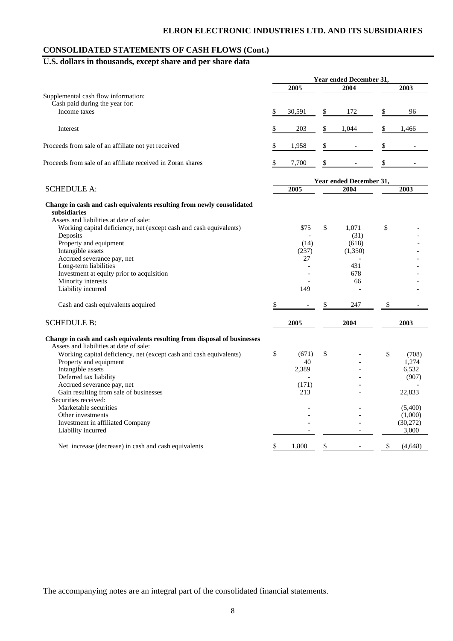## **CONSOLIDATED STATEMENTS OF CASH FLOWS (Cont.)**

# **U.S. dollars in thousands, except share and per share data**

|                                                                                                                                  | Year ended December 31, |        |    |                |               |          |
|----------------------------------------------------------------------------------------------------------------------------------|-------------------------|--------|----|----------------|---------------|----------|
|                                                                                                                                  |                         | 2005   |    | 2004           |               | 2003     |
| Supplemental cash flow information:                                                                                              |                         |        |    |                |               |          |
| Cash paid during the year for:                                                                                                   |                         |        |    |                |               |          |
| Income taxes                                                                                                                     | \$                      | 30,591 | \$ | 172            | $\frac{1}{2}$ | 96       |
| Interest                                                                                                                         | \$                      | 203    | \$ | 1,044          | \$            | 1,466    |
| Proceeds from sale of an affiliate not yet received                                                                              | \$                      | 1,958  |    |                | \$            |          |
| Proceeds from sale of an affiliate received in Zoran shares                                                                      | \$                      | 7,700  | S  |                | \$            |          |
|                                                                                                                                  | Year ended December 31, |        |    |                |               |          |
| <b>SCHEDULE A:</b>                                                                                                               |                         | 2005   |    | 2004           |               | 2003     |
| Change in cash and cash equivalents resulting from newly consolidated<br>subsidiaries<br>Assets and liabilities at date of sale: |                         |        |    |                |               |          |
| Working capital deficiency, net (except cash and cash equivalents)                                                               |                         | \$75   | \$ | 1,071          | \$            |          |
| Deposits                                                                                                                         |                         |        |    | (31)           |               |          |
| Property and equipment                                                                                                           |                         | (14)   |    | (618)          |               |          |
| Intangible assets                                                                                                                |                         | (237)  |    | (1,350)        |               |          |
| Accrued severance pay, net                                                                                                       |                         | 27     |    | $\overline{a}$ |               |          |
| Long-term liabilities                                                                                                            |                         |        |    | 431            |               |          |
| Investment at equity prior to acquisition                                                                                        |                         |        |    | 678            |               |          |
| Minority interests                                                                                                               |                         |        |    | 66             |               |          |
| Liability incurred                                                                                                               |                         | 149    |    | $\overline{a}$ |               |          |
| Cash and cash equivalents acquired                                                                                               | \$                      |        |    | 247            | \$            |          |
| <b>SCHEDULE B:</b>                                                                                                               |                         | 2005   |    | 2004           |               | 2003     |
| Change in cash and cash equivalents resulting from disposal of businesses                                                        |                         |        |    |                |               |          |
| Assets and liabilities at date of sale:                                                                                          |                         |        |    |                |               |          |
| Working capital deficiency, net (except cash and cash equivalents)                                                               | \$                      | (671)  | \$ |                | \$            | (708)    |
| Property and equipment                                                                                                           |                         | 40     |    |                |               | 1,274    |
| Intangible assets                                                                                                                |                         | 2,389  |    |                |               | 6,532    |
| Deferred tax liability                                                                                                           |                         |        |    |                |               | (907)    |
| Accrued severance pay, net                                                                                                       |                         | (171)  |    |                |               |          |
| Gain resulting from sale of businesses                                                                                           |                         | 213    |    |                |               | 22,833   |
| Securities received:                                                                                                             |                         |        |    |                |               |          |
| Marketable securities                                                                                                            |                         |        |    |                |               | (5,400)  |
| Other investments                                                                                                                |                         |        |    |                |               | (1,000)  |
| Investment in affiliated Company                                                                                                 |                         |        |    |                |               | (30,272) |
| Liability incurred                                                                                                               |                         |        |    |                |               | 3,000    |
| Net increase (decrease) in cash and cash equivalents                                                                             | \$                      | 1,800  | \$ |                | \$            | (4,648)  |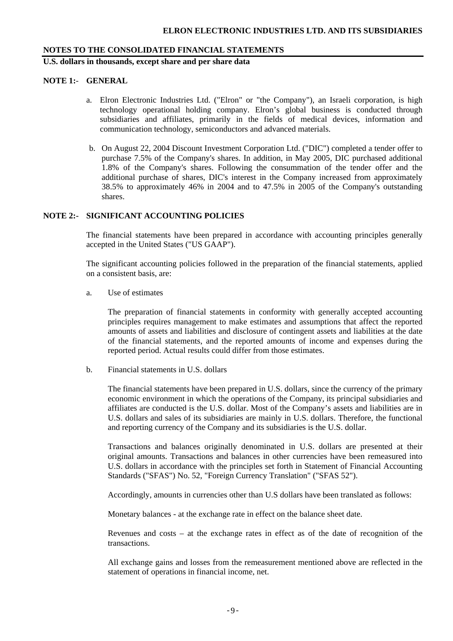**U.S. dollars in thousands, except share and per share data** 

### **NOTE 1:**- **GENERAL**

- a. Elron Electronic Industries Ltd. ("Elron" or "the Company"), an Israeli corporation, is high technology operational holding company. Elron's global business is conducted through subsidiaries and affiliates, primarily in the fields of medical devices, information and communication technology, semiconductors and advanced materials.
- b. On August 22, 2004 Discount Investment Corporation Ltd. ("DIC") completed a tender offer to purchase 7.5% of the Company's shares. In addition, in May 2005, DIC purchased additional 1.8% of the Company's shares. Following the consummation of the tender offer and the additional purchase of shares, DIC's interest in the Company increased from approximately 38.5% to approximately 46% in 2004 and to 47.5% in 2005 of the Company's outstanding shares.

## **NOTE 2:- SIGNIFICANT ACCOUNTING POLICIES**

The financial statements have been prepared in accordance with accounting principles generally accepted in the United States ("US GAAP").

The significant accounting policies followed in the preparation of the financial statements, applied on a consistent basis, are:

a. Use of estimates

The preparation of financial statements in conformity with generally accepted accounting principles requires management to make estimates and assumptions that affect the reported amounts of assets and liabilities and disclosure of contingent assets and liabilities at the date of the financial statements, and the reported amounts of income and expenses during the reported period. Actual results could differ from those estimates.

b. Financial statements in U.S. dollars

The financial statements have been prepared in U.S. dollars, since the currency of the primary economic environment in which the operations of the Company, its principal subsidiaries and affiliates are conducted is the U.S. dollar. Most of the Company's assets and liabilities are in U.S. dollars and sales of its subsidiaries are mainly in U.S. dollars. Therefore, the functional and reporting currency of the Company and its subsidiaries is the U.S. dollar.

Transactions and balances originally denominated in U.S. dollars are presented at their original amounts. Transactions and balances in other currencies have been remeasured into U.S. dollars in accordance with the principles set forth in Statement of Financial Accounting Standards ("SFAS") No. 52, "Foreign Currency Translation" ("SFAS 52").

Accordingly, amounts in currencies other than U.S dollars have been translated as follows:

Monetary balances - at the exchange rate in effect on the balance sheet date.

Revenues and costs – at the exchange rates in effect as of the date of recognition of the transactions.

All exchange gains and losses from the remeasurement mentioned above are reflected in the statement of operations in financial income, net.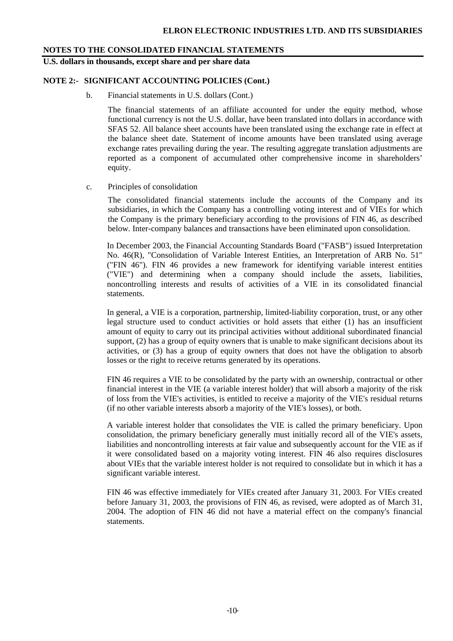**U.S. dollars in thousands, except share and per share data** 

### **NOTE 2:- SIGNIFICANT ACCOUNTING POLICIES (Cont.)**

b. Financial statements in U.S. dollars (Cont.)

The financial statements of an affiliate accounted for under the equity method, whose functional currency is not the U.S. dollar, have been translated into dollars in accordance with SFAS 52. All balance sheet accounts have been translated using the exchange rate in effect at the balance sheet date. Statement of income amounts have been translated using average exchange rates prevailing during the year. The resulting aggregate translation adjustments are reported as a component of accumulated other comprehensive income in shareholders' equity.

### c. Principles of consolidation

The consolidated financial statements include the accounts of the Company and its subsidiaries, in which the Company has a controlling voting interest and of VIEs for which the Company is the primary beneficiary according to the provisions of FIN 46, as described below. Inter-company balances and transactions have been eliminated upon consolidation.

In December 2003, the Financial Accounting Standards Board ("FASB") issued Interpretation No. 46(R), "Consolidation of Variable Interest Entities, an Interpretation of ARB No. 51" ("FIN 46"). FIN 46 provides a new framework for identifying variable interest entities ("VIE") and determining when a company should include the assets, liabilities, noncontrolling interests and results of activities of a VIE in its consolidated financial statements.

In general, a VIE is a corporation, partnership, limited-liability corporation, trust, or any other legal structure used to conduct activities or hold assets that either (1) has an insufficient amount of equity to carry out its principal activities without additional subordinated financial support, (2) has a group of equity owners that is unable to make significant decisions about its activities, or (3) has a group of equity owners that does not have the obligation to absorb losses or the right to receive returns generated by its operations.

FIN 46 requires a VIE to be consolidated by the party with an ownership, contractual or other financial interest in the VIE (a variable interest holder) that will absorb a majority of the risk of loss from the VIE's activities, is entitled to receive a majority of the VIE's residual returns (if no other variable interests absorb a majority of the VIE's losses), or both.

A variable interest holder that consolidates the VIE is called the primary beneficiary. Upon consolidation, the primary beneficiary generally must initially record all of the VIE's assets, liabilities and noncontrolling interests at fair value and subsequently account for the VIE as if it were consolidated based on a majority voting interest. FIN 46 also requires disclosures about VIEs that the variable interest holder is not required to consolidate but in which it has a significant variable interest.

FIN 46 was effective immediately for VIEs created after January 31, 2003. For VIEs created before January 31, 2003, the provisions of FIN 46, as revised, were adopted as of March 31, 2004. The adoption of FIN 46 did not have a material effect on the company's financial statements.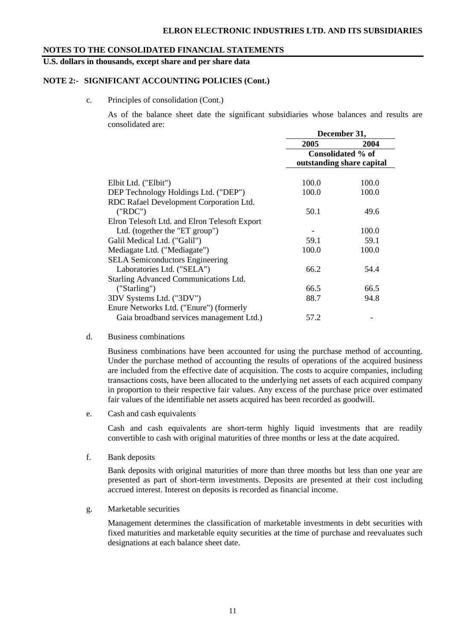**U.S. dollars in thousands, except share and per share data** 

### **NOTE 2:- SIGNIFICANT ACCOUNTING POLICIES (Cont.)**

c. Principles of consolidation (Cont.)

As of the balance sheet date the significant subsidiaries whose balances and results are consolidated are:

|                                               | December 31,                                   |       |  |  |
|-----------------------------------------------|------------------------------------------------|-------|--|--|
|                                               | 2005                                           | 2004  |  |  |
|                                               | Consolidated % of<br>outstanding share capital |       |  |  |
|                                               |                                                |       |  |  |
| Elbit Ltd. ("Elbit")                          | 100.0                                          | 100.0 |  |  |
| DEP Technology Holdings Ltd. ("DEP")          | 100.0                                          | 100.0 |  |  |
| RDC Rafael Development Corporation Ltd.       |                                                |       |  |  |
| ("RDC")                                       | 50.1                                           | 49.6  |  |  |
| Elron Telesoft Ltd. and Elron Telesoft Export |                                                |       |  |  |
| Ltd. (together the "ET group")                |                                                | 100.0 |  |  |
| Galil Medical Ltd. ("Galil")                  | 59.1                                           | 59.1  |  |  |
| Mediagate Ltd. ("Mediagate")                  | 100.0                                          | 100.0 |  |  |
| <b>SELA</b> Semiconductors Engineering        |                                                |       |  |  |
| Laboratories Ltd. ("SELA")                    | 66.2                                           | 54.4  |  |  |
| Starling Advanced Communications Ltd.         |                                                |       |  |  |
| ('Starting')                                  | 66.5                                           | 66.5  |  |  |
| 3DV Systems Ltd. ("3DV")                      | 88.7                                           | 94.8  |  |  |
| Enure Networks Ltd. ("Enure") (formerly       |                                                |       |  |  |
| Gaia broadband services management Ltd.)      | 57.2                                           |       |  |  |

d. Business combinations

Business combinations have been accounted for using the purchase method of accounting. Under the purchase method of accounting the results of operations of the acquired business are included from the effective date of acquisition. The costs to acquire companies, including transactions costs, have been allocated to the underlying net assets of each acquired company in proportion to their respective fair values. Any excess of the purchase price over estimated fair values of the identifiable net assets acquired has been recorded as goodwill.

e. Cash and cash equivalents

Cash and cash equivalents are short-term highly liquid investments that are readily convertible to cash with original maturities of three months or less at the date acquired.

f. Bank deposits

Bank deposits with original maturities of more than three months but less than one year are presented as part of short-term investments. Deposits are presented at their cost including accrued interest. Interest on deposits is recorded as financial income.

g. Marketable securities

Management determines the classification of marketable investments in debt securities with fixed maturities and marketable equity securities at the time of purchase and reevaluates such designations at each balance sheet date.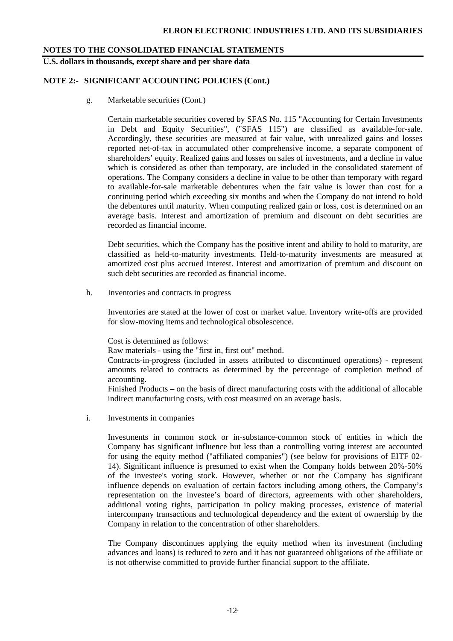**U.S. dollars in thousands, except share and per share data** 

# **NOTE 2:- SIGNIFICANT ACCOUNTING POLICIES (Cont.)**

g. Marketable securities (Cont.)

Certain marketable securities covered by SFAS No. 115 "Accounting for Certain Investments in Debt and Equity Securities", ("SFAS 115") are classified as available-for-sale. Accordingly, these securities are measured at fair value, with unrealized gains and losses reported net-of-tax in accumulated other comprehensive income, a separate component of shareholders' equity. Realized gains and losses on sales of investments, and a decline in value which is considered as other than temporary, are included in the consolidated statement of operations. The Company considers a decline in value to be other than temporary with regard to available-for-sale marketable debentures when the fair value is lower than cost for a continuing period which exceeding six months and when the Company do not intend to hold the debentures until maturity. When computing realized gain or loss, cost is determined on an average basis. Interest and amortization of premium and discount on debt securities are recorded as financial income.

 Debt securities, which the Company has the positive intent and ability to hold to maturity, are classified as held-to-maturity investments. Held-to-maturity investments are measured at amortized cost plus accrued interest. Interest and amortization of premium and discount on such debt securities are recorded as financial income.

h. Inventories and contracts in progress

Inventories are stated at the lower of cost or market value. Inventory write-offs are provided for slow-moving items and technological obsolescence.

Cost is determined as follows:

Raw materials - using the "first in, first out" method.

Contracts-in-progress (included in assets attributed to discontinued operations) - represent amounts related to contracts as determined by the percentage of completion method of accounting.

Finished Products – on the basis of direct manufacturing costs with the additional of allocable indirect manufacturing costs, with cost measured on an average basis.

i. Investments in companies

Investments in common stock or in-substance-common stock of entities in which the Company has significant influence but less than a controlling voting interest are accounted for using the equity method ("affiliated companies") (see below for provisions of EITF 02- 14). Significant influence is presumed to exist when the Company holds between 20%-50% of the investee's voting stock. However, whether or not the Company has significant influence depends on evaluation of certain factors including among others, the Company's representation on the investee's board of directors, agreements with other shareholders, additional voting rights, participation in policy making processes, existence of material intercompany transactions and technological dependency and the extent of ownership by the Company in relation to the concentration of other shareholders.

The Company discontinues applying the equity method when its investment (including advances and loans) is reduced to zero and it has not guaranteed obligations of the affiliate or is not otherwise committed to provide further financial support to the affiliate.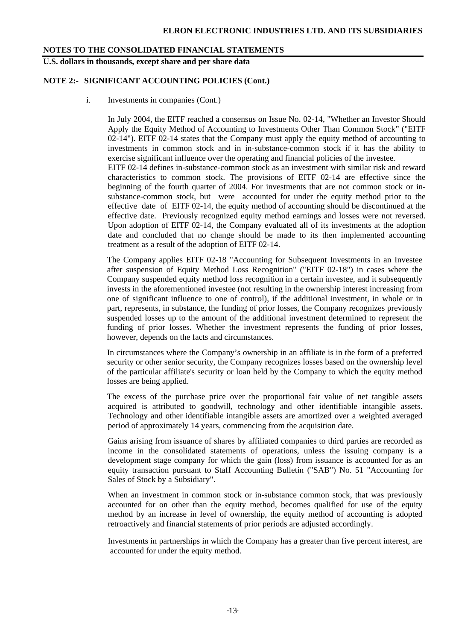**U.S. dollars in thousands, except share and per share data** 

### **NOTE 2:- SIGNIFICANT ACCOUNTING POLICIES (Cont.)**

i. Investments in companies (Cont.)

In July 2004, the EITF reached a consensus on Issue No. 02-14, "Whether an Investor Should Apply the Equity Method of Accounting to Investments Other Than Common Stock" ("EITF 02-14"). EITF 02-14 states that the Company must apply the equity method of accounting to investments in common stock and in in-substance-common stock if it has the ability to exercise significant influence over the operating and financial policies of the investee. EITF 02-14 defines in-substance-common stock as an investment with similar risk and reward characteristics to common stock. The provisions of EITF 02-14 are effective since the beginning of the fourth quarter of 2004. For investments that are not common stock or insubstance-common stock, but were accounted for under the equity method prior to the effective date of EITF 02-14, the equity method of accounting should be discontinued at the effective date. Previously recognized equity method earnings and losses were not reversed. Upon adoption of EITF 02-14, the Company evaluated all of its investments at the adoption date and concluded that no change should be made to its then implemented accounting treatment as a result of the adoption of EITF 02-14.

The Company applies EITF 02-18 "Accounting for Subsequent Investments in an Investee after suspension of Equity Method Loss Recognition" ("EITF 02-18") in cases where the Company suspended equity method loss recognition in a certain investee, and it subsequently invests in the aforementioned investee (not resulting in the ownership interest increasing from one of significant influence to one of control), if the additional investment, in whole or in part, represents, in substance, the funding of prior losses, the Company recognizes previously suspended losses up to the amount of the additional investment determined to represent the funding of prior losses. Whether the investment represents the funding of prior losses, however, depends on the facts and circumstances.

In circumstances where the Company's ownership in an affiliate is in the form of a preferred security or other senior security, the Company recognizes losses based on the ownership level of the particular affiliate's security or loan held by the Company to which the equity method losses are being applied.

The excess of the purchase price over the proportional fair value of net tangible assets acquired is attributed to goodwill, technology and other identifiable intangible assets. Technology and other identifiable intangible assets are amortized over a weighted averaged period of approximately 14 years, commencing from the acquisition date.

Gains arising from issuance of shares by affiliated companies to third parties are recorded as income in the consolidated statements of operations, unless the issuing company is a development stage company for which the gain (loss) from issuance is accounted for as an equity transaction pursuant to Staff Accounting Bulletin ("SAB") No. 51 "Accounting for Sales of Stock by a Subsidiary".

When an investment in common stock or in-substance common stock, that was previously accounted for on other than the equity method, becomes qualified for use of the equity method by an increase in level of ownership, the equity method of accounting is adopted retroactively and financial statements of prior periods are adjusted accordingly.

Investments in partnerships in which the Company has a greater than five percent interest, are accounted for under the equity method.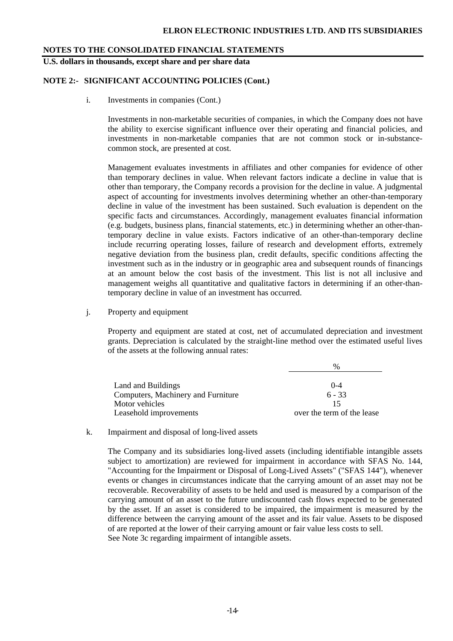**U.S. dollars in thousands, except share and per share data** 

### **NOTE 2:- SIGNIFICANT ACCOUNTING POLICIES (Cont.)**

i. Investments in companies (Cont.)

Investments in non-marketable securities of companies, in which the Company does not have the ability to exercise significant influence over their operating and financial policies, and investments in non-marketable companies that are not common stock or in-substancecommon stock, are presented at cost.

Management evaluates investments in affiliates and other companies for evidence of other than temporary declines in value. When relevant factors indicate a decline in value that is other than temporary, the Company records a provision for the decline in value. A judgmental aspect of accounting for investments involves determining whether an other-than-temporary decline in value of the investment has been sustained. Such evaluation is dependent on the specific facts and circumstances. Accordingly, management evaluates financial information (e.g. budgets, business plans, financial statements, etc.) in determining whether an other-thantemporary decline in value exists. Factors indicative of an other-than-temporary decline include recurring operating losses, failure of research and development efforts, extremely negative deviation from the business plan, credit defaults, specific conditions affecting the investment such as in the industry or in geographic area and subsequent rounds of financings at an amount below the cost basis of the investment. This list is not all inclusive and management weighs all quantitative and qualitative factors in determining if an other-thantemporary decline in value of an investment has occurred.

j. Property and equipment

Property and equipment are stated at cost, net of accumulated depreciation and investment grants. Depreciation is calculated by the straight-line method over the estimated useful lives of the assets at the following annual rates:

|                                    | $\frac{0}{0}$              |
|------------------------------------|----------------------------|
|                                    |                            |
| Land and Buildings                 | $0 - 4$                    |
| Computers, Machinery and Furniture | $6 - 33$                   |
| Motor vehicles                     |                            |
| Leasehold improvements             | over the term of the lease |

k. Impairment and disposal of long-lived assets

The Company and its subsidiaries long-lived assets (including identifiable intangible assets subject to amortization) are reviewed for impairment in accordance with SFAS No. 144, "Accounting for the Impairment or Disposal of Long-Lived Assets" ("SFAS 144"), whenever events or changes in circumstances indicate that the carrying amount of an asset may not be recoverable. Recoverability of assets to be held and used is measured by a comparison of the carrying amount of an asset to the future undiscounted cash flows expected to be generated by the asset. If an asset is considered to be impaired, the impairment is measured by the difference between the carrying amount of the asset and its fair value. Assets to be disposed of are reported at the lower of their carrying amount or fair value less costs to sell. See Note 3c regarding impairment of intangible assets.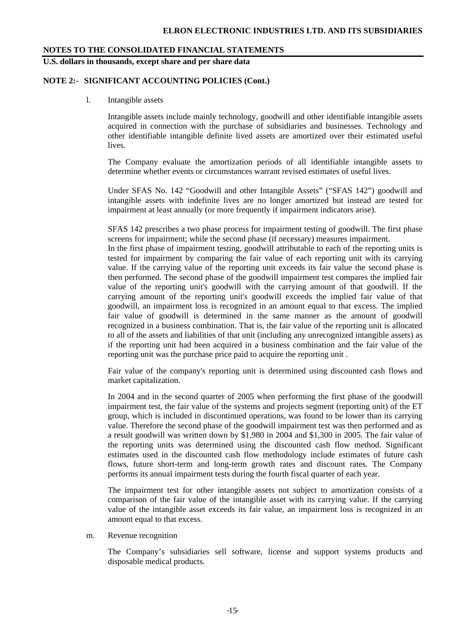**U.S. dollars in thousands, except share and per share data** 

#### **NOTE 2:- SIGNIFICANT ACCOUNTING POLICIES (Cont.)**

l. Intangible assets

Intangible assets include mainly technology, goodwill and other identifiable intangible assets acquired in connection with the purchase of subsidiaries and businesses. Technology and other identifiable intangible definite lived assets are amortized over their estimated useful lives.

The Company evaluate the amortization periods of all identifiable intangible assets to determine whether events or circumstances warrant revised estimates of useful lives.

Under SFAS No. 142 "Goodwill and other Intangible Assets" ("SFAS 142") goodwill and intangible assets with indefinite lives are no longer amortized but instead are tested for impairment at least annually (or more frequently if impairment indicators arise).

SFAS 142 prescribes a two phase process for impairment testing of goodwill. The first phase screens for impairment; while the second phase (if necessary) measures impairment.

In the first phase of impairment testing, goodwill attributable to each of the reporting units is tested for impairment by comparing the fair value of each reporting unit with its carrying value. If the carrying value of the reporting unit exceeds its fair value the second phase is then performed. The second phase of the goodwill impairment test compares the implied fair value of the reporting unit's goodwill with the carrying amount of that goodwill. If the carrying amount of the reporting unit's goodwill exceeds the implied fair value of that goodwill, an impairment loss is recognized in an amount equal to that excess. The implied fair value of goodwill is determined in the same manner as the amount of goodwill recognized in a business combination. That is, the fair value of the reporting unit is allocated to all of the assets and liabilities of that unit (including any unrecognized intangible assets) as if the reporting unit had been acquired in a business combination and the fair value of the reporting unit was the purchase price paid to acquire the reporting unit .

Fair value of the company's reporting unit is determined using discounted cash flows and market capitalization.

In 2004 and in the second quarter of 2005 when performing the first phase of the goodwill impairment test, the fair value of the systems and projects segment (reporting unit) of the ET group, which is included in discontinued operations, was found to be lower than its carrying value. Therefore the second phase of the goodwill impairment test was then performed and as a result goodwill was written down by \$1,980 in 2004 and \$1,300 in 2005. The fair value of the reporting units was determined using the discounted cash flow method. Significant estimates used in the discounted cash flow methodology include estimates of future cash flows, future short-term and long-term growth rates and discount rates. The Company performs its annual impairment tests during the fourth fiscal quarter of each year.

 The impairment test for other intangible assets not subject to amortization consists of a comparison of the fair value of the intangible asset with its carrying value. If the carrying value of the intangible asset exceeds its fair value, an impairment loss is recognized in an amount equal to that excess.

m. Revenue recognition

The Company's subsidiaries sell software, license and support systems products and disposable medical products.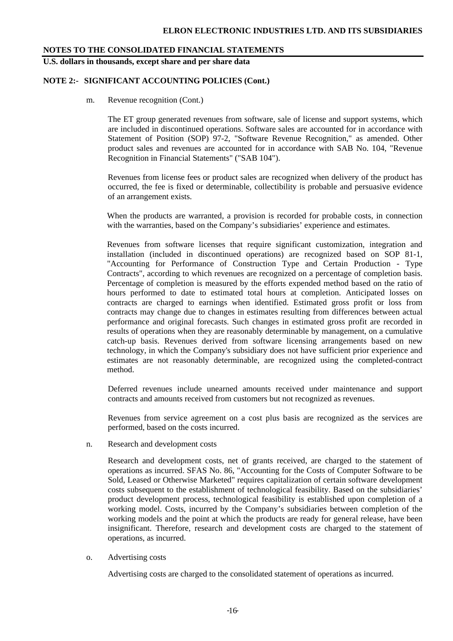**U.S. dollars in thousands, except share and per share data** 

### **NOTE 2:- SIGNIFICANT ACCOUNTING POLICIES (Cont.)**

m. Revenue recognition (Cont.)

The ET group generated revenues from software, sale of license and support systems, which are included in discontinued operations. Software sales are accounted for in accordance with Statement of Position (SOP) 97-2, "Software Revenue Recognition," as amended. Other product sales and revenues are accounted for in accordance with SAB No. 104, "Revenue Recognition in Financial Statements" ("SAB 104").

Revenues from license fees or product sales are recognized when delivery of the product has occurred, the fee is fixed or determinable, collectibility is probable and persuasive evidence of an arrangement exists.

When the products are warranted, a provision is recorded for probable costs, in connection with the warranties, based on the Company's subsidiaries' experience and estimates.

Revenues from software licenses that require significant customization, integration and installation (included in discontinued operations) are recognized based on SOP 81-1, "Accounting for Performance of Construction Type and Certain Production - Type Contracts", according to which revenues are recognized on a percentage of completion basis. Percentage of completion is measured by the efforts expended method based on the ratio of hours performed to date to estimated total hours at completion. Anticipated losses on contracts are charged to earnings when identified. Estimated gross profit or loss from contracts may change due to changes in estimates resulting from differences between actual performance and original forecasts. Such changes in estimated gross profit are recorded in results of operations when they are reasonably determinable by management, on a cumulative catch-up basis. Revenues derived from software licensing arrangements based on new technology, in which the Company's subsidiary does not have sufficient prior experience and estimates are not reasonably determinable, are recognized using the completed-contract method.

Deferred revenues include unearned amounts received under maintenance and support contracts and amounts received from customers but not recognized as revenues.

Revenues from service agreement on a cost plus basis are recognized as the services are performed, based on the costs incurred.

n. Research and development costs

Research and development costs, net of grants received, are charged to the statement of operations as incurred. SFAS No. 86, "Accounting for the Costs of Computer Software to be Sold, Leased or Otherwise Marketed" requires capitalization of certain software development costs subsequent to the establishment of technological feasibility. Based on the subsidiaries' product development process, technological feasibility is established upon completion of a working model. Costs, incurred by the Company's subsidiaries between completion of the working models and the point at which the products are ready for general release, have been insignificant. Therefore, research and development costs are charged to the statement of operations, as incurred.

o. Advertising costs

Advertising costs are charged to the consolidated statement of operations as incurred.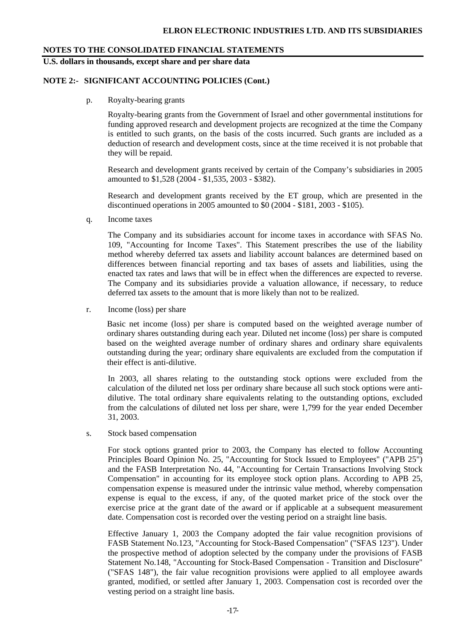## **U.S. dollars in thousands, except share and per share data**

### **NOTE 2:- SIGNIFICANT ACCOUNTING POLICIES (Cont.)**

p. Royalty-bearing grants

Royalty-bearing grants from the Government of Israel and other governmental institutions for funding approved research and development projects are recognized at the time the Company is entitled to such grants, on the basis of the costs incurred. Such grants are included as a deduction of research and development costs, since at the time received it is not probable that they will be repaid.

Research and development grants received by certain of the Company's subsidiaries in 2005 amounted to \$1,528 (2004 - \$1,535, 2003 - \$382).

Research and development grants received by the ET group, which are presented in the discontinued operations in 2005 amounted to \$0 (2004 - \$181, 2003 - \$105).

q. Income taxes

The Company and its subsidiaries account for income taxes in accordance with SFAS No. 109, "Accounting for Income Taxes". This Statement prescribes the use of the liability method whereby deferred tax assets and liability account balances are determined based on differences between financial reporting and tax bases of assets and liabilities, using the enacted tax rates and laws that will be in effect when the differences are expected to reverse. The Company and its subsidiaries provide a valuation allowance, if necessary, to reduce deferred tax assets to the amount that is more likely than not to be realized.

r. Income (loss) per share

Basic net income (loss) per share is computed based on the weighted average number of ordinary shares outstanding during each year. Diluted net income (loss) per share is computed based on the weighted average number of ordinary shares and ordinary share equivalents outstanding during the year; ordinary share equivalents are excluded from the computation if their effect is anti-dilutive.

In 2003, all shares relating to the outstanding stock options were excluded from the calculation of the diluted net loss per ordinary share because all such stock options were antidilutive. The total ordinary share equivalents relating to the outstanding options, excluded from the calculations of diluted net loss per share, were 1,799 for the year ended December 31, 2003.

s. Stock based compensation

For stock options granted prior to 2003, the Company has elected to follow Accounting Principles Board Opinion No. 25, "Accounting for Stock Issued to Employees" ("APB 25") and the FASB Interpretation No. 44, "Accounting for Certain Transactions Involving Stock Compensation" in accounting for its employee stock option plans. According to APB 25, compensation expense is measured under the intrinsic value method, whereby compensation expense is equal to the excess, if any, of the quoted market price of the stock over the exercise price at the grant date of the award or if applicable at a subsequent measurement date. Compensation cost is recorded over the vesting period on a straight line basis.

Effective January 1, 2003 the Company adopted the fair value recognition provisions of FASB Statement No.123, "Accounting for Stock-Based Compensation" ("SFAS 123"). Under the prospective method of adoption selected by the company under the provisions of FASB Statement No.148, "Accounting for Stock-Based Compensation - Transition and Disclosure" ("SFAS 148"), the fair value recognition provisions were applied to all employee awards granted, modified, or settled after January 1, 2003. Compensation cost is recorded over the vesting period on a straight line basis.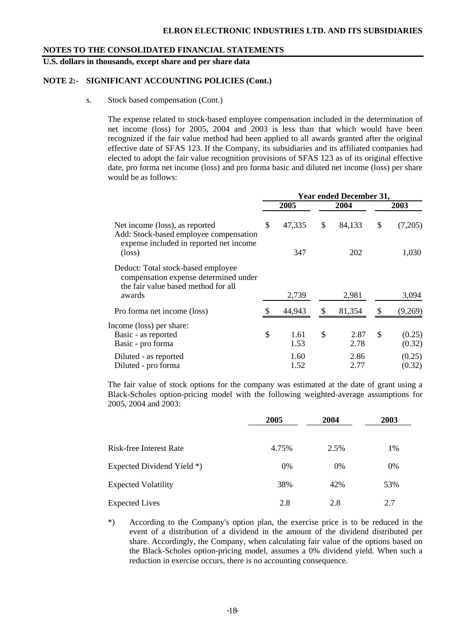**U.S. dollars in thousands, except share and per share data** 

### **NOTE 2:- SIGNIFICANT ACCOUNTING POLICIES (Cont.)**

s. Stock based compensation (Cont.)

The expense related to stock-based employee compensation included in the determination of net income (loss) for 2005, 2004 and 2003 is less than that which would have been recognized if the fair value method had been applied to all awards granted after the original effective date of SFAS 123. If the Company, its subsidiaries and its affiliated companies had elected to adopt the fair value recognition provisions of SFAS 123 as of its original effective date, pro forma net income (loss) and pro forma basic and diluted net income (loss) per share would be as follows:

|                                                                                                                     | <b>Year ended December 31,</b> |              |    |              |    |                  |  |
|---------------------------------------------------------------------------------------------------------------------|--------------------------------|--------------|----|--------------|----|------------------|--|
| Net income (loss), as reported<br>Add: Stock-based employee compensation<br>expense included in reported net income |                                | 2005         |    | 2004         |    | 2003             |  |
|                                                                                                                     |                                | 47,335       | \$ | 84,133       | \$ | (7,205)          |  |
| $(\text{loss})$                                                                                                     |                                | 347          |    | 202          |    | 1,030            |  |
| Deduct: Total stock-based employee<br>compensation expense determined under<br>the fair value based method for all  |                                |              |    |              |    |                  |  |
| awards                                                                                                              |                                | 2,739        |    | 2,981        |    | 3,094            |  |
| Pro forma net income (loss)                                                                                         |                                | 44,943       | \$ | 81,354       | \$ | (9,269)          |  |
| Income (loss) per share:                                                                                            |                                |              |    |              |    |                  |  |
| Basic - as reported<br>Basic - pro forma                                                                            | \$                             | 1.61<br>1.53 | \$ | 2.87<br>2.78 | \$ | (0.25)<br>(0.32) |  |
| Diluted - as reported<br>Diluted - pro forma                                                                        |                                | 1.60<br>1.52 |    | 2.86<br>2.77 |    | (0.25)<br>(0.32) |  |

The fair value of stock options for the company was estimated at the date of grant using a Black-Scholes option-pricing model with the following weighted-average assumptions for 2005, 2004 and 2003:

|                            | 2005  | 2004  | 2003 |  |
|----------------------------|-------|-------|------|--|
| Risk-free Interest Rate    | 4.75% | 2.5%  | 1%   |  |
| Expected Dividend Yield *) | 0%    | $0\%$ | 0%   |  |
| <b>Expected Volatility</b> | 38%   | 42%   | 53%  |  |
| <b>Expected Lives</b>      | 2.8   | 2.8   | 2.7  |  |

\*) According to the Company's option plan, the exercise price is to be reduced in the event of a distribution of a dividend in the amount of the dividend distributed per share. Accordingly, the Company, when calculating fair value of the options based on the Black-Scholes option-pricing model, assumes a 0% dividend yield. When such a reduction in exercise occurs, there is no accounting consequence.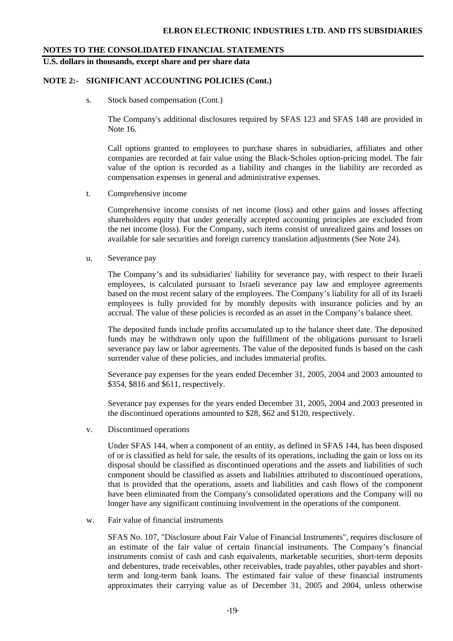**U.S. dollars in thousands, except share and per share data** 

### **NOTE 2:- SIGNIFICANT ACCOUNTING POLICIES (Cont.)**

s. Stock based compensation (Cont.)

The Company's additional disclosures required by SFAS 123 and SFAS 148 are provided in Note 16.

Call options granted to employees to purchase shares in subsidiaries, affiliates and other companies are recorded at fair value using the Black-Scholes option-pricing model. The fair value of the option is recorded as a liability and changes in the liability are recorded as compensation expenses in general and administrative expenses.

t. Comprehensive income

Comprehensive income consists of net income (loss) and other gains and losses affecting shareholders equity that under generally accepted accounting principles are excluded from the net income (loss). For the Company, such items consist of unrealized gains and losses on available for sale securities and foreign currency translation adjustments (See Note 24).

u. Severance pay

The Company's and its subsidiaries' liability for severance pay, with respect to their Israeli employees, is calculated pursuant to Israeli severance pay law and employee agreements based on the most recent salary of the employees. The Company's liability for all of its Israeli employees is fully provided for by monthly deposits with insurance policies and by an accrual. The value of these policies is recorded as an asset in the Company's balance sheet.

The deposited funds include profits accumulated up to the balance sheet date. The deposited funds may be withdrawn only upon the fulfillment of the obligations pursuant to Israeli severance pay law or labor agreements. The value of the deposited funds is based on the cash surrender value of these policies, and includes immaterial profits.

Severance pay expenses for the years ended December 31, 2005, 2004 and 2003 amounted to \$354, \$816 and \$611, respectively.

Severance pay expenses for the years ended December 31, 2005, 2004 and 2003 presented in the discontinued operations amounted to \$28, \$62 and \$120, respectively.

v. Discontinued operations

Under SFAS 144, when a component of an entity, as defined in SFAS 144, has been disposed of or is classified as held for sale, the results of its operations, including the gain or loss on its disposal should be classified as discontinued operations and the assets and liabilities of such component should be classified as assets and liabilities attributed to discontinued operations, that is provided that the operations, assets and liabilities and cash flows of the component have been eliminated from the Company's consolidated operations and the Company will no longer have any significant continuing involvement in the operations of the component.

w. Fair value of financial instruments

SFAS No. 107, "Disclosure about Fair Value of Financial Instruments", requires disclosure of an estimate of the fair value of certain financial instruments. The Company's financial instruments consist of cash and cash equivalents, marketable securities, short-term deposits and debentures, trade receivables, other receivables, trade payables, other payables and shortterm and long-term bank loans. The estimated fair value of these financial instruments approximates their carrying value as of December 31, 2005 and 2004, unless otherwise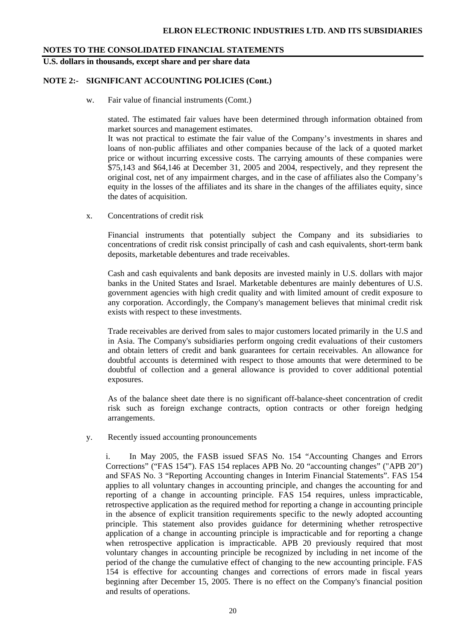**U.S. dollars in thousands, except share and per share data** 

### **NOTE 2:- SIGNIFICANT ACCOUNTING POLICIES (Cont.)**

w. Fair value of financial instruments (Comt.)

stated. The estimated fair values have been determined through information obtained from market sources and management estimates.

It was not practical to estimate the fair value of the Company's investments in shares and loans of non-public affiliates and other companies because of the lack of a quoted market price or without incurring excessive costs. The carrying amounts of these companies were \$75,143 and \$64,146 at December 31, 2005 and 2004, respectively, and they represent the original cost, net of any impairment charges, and in the case of affiliates also the Company's equity in the losses of the affiliates and its share in the changes of the affiliates equity, since the dates of acquisition.

x. Concentrations of credit risk

Financial instruments that potentially subject the Company and its subsidiaries to concentrations of credit risk consist principally of cash and cash equivalents, short-term bank deposits, marketable debentures and trade receivables.

Cash and cash equivalents and bank deposits are invested mainly in U.S. dollars with major banks in the United States and Israel. Marketable debentures are mainly debentures of U.S. government agencies with high credit quality and with limited amount of credit exposure to any corporation. Accordingly, the Company's management believes that minimal credit risk exists with respect to these investments.

Trade receivables are derived from sales to major customers located primarily in the U.S and in Asia. The Company's subsidiaries perform ongoing credit evaluations of their customers and obtain letters of credit and bank guarantees for certain receivables. An allowance for doubtful accounts is determined with respect to those amounts that were determined to be doubtful of collection and a general allowance is provided to cover additional potential exposures.

As of the balance sheet date there is no significant off-balance-sheet concentration of credit risk such as foreign exchange contracts, option contracts or other foreign hedging arrangements.

y. Recently issued accounting pronouncements

i. In May 2005, the FASB issued SFAS No. 154 "Accounting Changes and Errors Corrections" ("FAS 154"). FAS 154 replaces APB No. 20 "accounting changes" ("APB 20") and SFAS No. 3 "Reporting Accounting changes in Interim Financial Statements". FAS 154 applies to all voluntary changes in accounting principle, and changes the accounting for and reporting of a change in accounting principle. FAS 154 requires, unless impracticable, retrospective application as the required method for reporting a change in accounting principle in the absence of explicit transition requirements specific to the newly adopted accounting principle. This statement also provides guidance for determining whether retrospective application of a change in accounting principle is impracticable and for reporting a change when retrospective application is impracticable. APB 20 previously required that most voluntary changes in accounting principle be recognized by including in net income of the period of the change the cumulative effect of changing to the new accounting principle. FAS 154 is effective for accounting changes and corrections of errors made in fiscal years beginning after December 15, 2005. There is no effect on the Company's financial position and results of operations.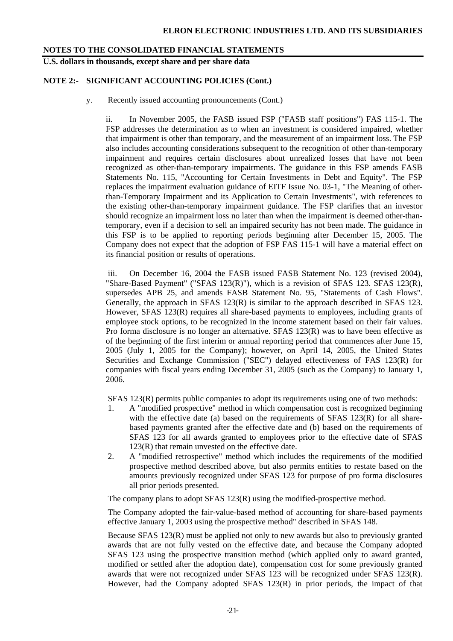**U.S. dollars in thousands, except share and per share data** 

### **NOTE 2:- SIGNIFICANT ACCOUNTING POLICIES (Cont.)**

y. Recently issued accounting pronouncements (Cont.)

ii. In November 2005, the FASB issued FSP ("FASB staff positions") FAS 115-1. The FSP addresses the determination as to when an investment is considered impaired, whether that impairment is other than temporary, and the measurement of an impairment loss. The FSP also includes accounting considerations subsequent to the recognition of other than-temporary impairment and requires certain disclosures about unrealized losses that have not been recognized as other-than-temporary impairments. The guidance in this FSP amends FASB Statements No. 115, "Accounting for Certain Investments in Debt and Equity". The FSP replaces the impairment evaluation guidance of EITF Issue No. 03-1, "The Meaning of otherthan-Temporary Impairment and its Application to Certain Investments", with references to the existing other-than-temporary impairment guidance. The FSP clarifies that an investor should recognize an impairment loss no later than when the impairment is deemed other-thantemporary, even if a decision to sell an impaired security has not been made. The guidance in this FSP is to be applied to reporting periods beginning after December 15, 2005. The Company does not expect that the adoption of FSP FAS 115-1 will have a material effect on its financial position or results of operations.

 iii. On December 16, 2004 the FASB issued FASB Statement No. 123 (revised 2004), "Share-Based Payment" ("SFAS 123(R)"), which is a revision of SFAS 123. SFAS 123(R), supersedes APB 25, and amends FASB Statement No. 95, "Statements of Cash Flows". Generally, the approach in SFAS 123(R) is similar to the approach described in SFAS 123. However, SFAS 123(R) requires all share-based payments to employees, including grants of employee stock options, to be recognized in the income statement based on their fair values. Pro forma disclosure is no longer an alternative. SFAS 123(R) was to have been effective as of the beginning of the first interim or annual reporting period that commences after June 15, 2005 (July 1, 2005 for the Company); however, on April 14, 2005, the United States Securities and Exchange Commission ("SEC") delayed effectiveness of FAS 123(R) for companies with fiscal years ending December 31, 2005 (such as the Company) to January 1, 2006.

SFAS 123(R) permits public companies to adopt its requirements using one of two methods:

- 1. A "modified prospective" method in which compensation cost is recognized beginning with the effective date (a) based on the requirements of SFAS  $123(R)$  for all sharebased payments granted after the effective date and (b) based on the requirements of SFAS 123 for all awards granted to employees prior to the effective date of SFAS 123(R) that remain unvested on the effective date.
- 2. A "modified retrospective" method which includes the requirements of the modified prospective method described above, but also permits entities to restate based on the amounts previously recognized under SFAS 123 for purpose of pro forma disclosures all prior periods presented.

The company plans to adopt SFAS 123(R) using the modified-prospective method.

The Company adopted the fair-value-based method of accounting for share-based payments effective January 1, 2003 using the prospective method" described in SFAS 148.

Because SFAS 123(R) must be applied not only to new awards but also to previously granted awards that are not fully vested on the effective date, and because the Company adopted SFAS 123 using the prospective transition method (which applied only to award granted, modified or settled after the adoption date), compensation cost for some previously granted awards that were not recognized under SFAS 123 will be recognized under SFAS 123(R). However, had the Company adopted SFAS 123(R) in prior periods, the impact of that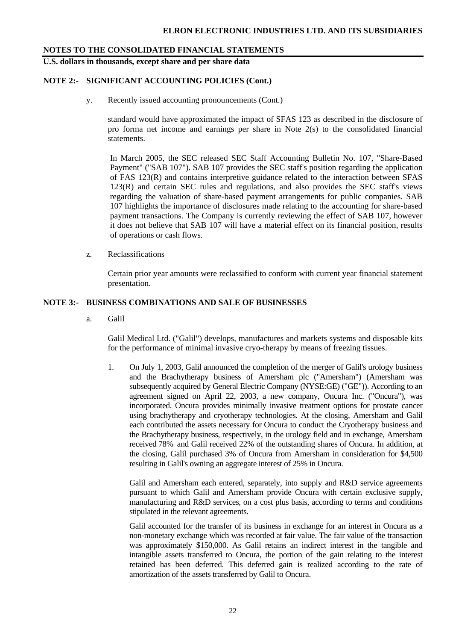**U.S. dollars in thousands, except share and per share data** 

## **NOTE 2:- SIGNIFICANT ACCOUNTING POLICIES (Cont.)**

y. Recently issued accounting pronouncements (Cont.)

standard would have approximated the impact of SFAS 123 as described in the disclosure of pro forma net income and earnings per share in Note 2(s) to the consolidated financial statements.

 In March 2005, the SEC released SEC Staff Accounting Bulletin No. 107, "Share-Based Payment" ("SAB 107"). SAB 107 provides the SEC staff's position regarding the application of FAS 123(R) and contains interpretive guidance related to the interaction between SFAS 123(R) and certain SEC rules and regulations, and also provides the SEC staff's views regarding the valuation of share-based payment arrangements for public companies. SAB 107 highlights the importance of disclosures made relating to the accounting for share-based payment transactions. The Company is currently reviewing the effect of SAB 107, however it does not believe that SAB 107 will have a material effect on its financial position, results of operations or cash flows.

z. Reclassifications

Certain prior year amounts were reclassified to conform with current year financial statement presentation.

### **NOTE 3:- BUSINESS COMBINATIONS AND SALE OF BUSINESSES**

a. Galil

Galil Medical Ltd. ("Galil") develops, manufactures and markets systems and disposable kits for the performance of minimal invasive cryo-therapy by means of freezing tissues.

1. On July 1, 2003, Galil announced the completion of the merger of Galil's urology business and the Brachytherapy business of Amersham plc ("Amersham") (Amersham was subsequently acquired by General Electric Company (NYSE:GE) ("GE")). According to an agreement signed on April 22, 2003, a new company, Oncura Inc. ("Oncura"), was incorporated. Oncura provides minimally invasive treatment options for prostate cancer using brachytherapy and cryotherapy technologies. At the closing, Amersham and Galil each contributed the assets necessary for Oncura to conduct the Cryotherapy business and the Brachytherapy business, respectively, in the urology field and in exchange, Amersham received 78% and Galil received 22% of the outstanding shares of Oncura. In addition, at the closing, Galil purchased 3% of Oncura from Amersham in consideration for \$4,500 resulting in Galil's owning an aggregate interest of 25% in Oncura.

Galil and Amersham each entered, separately, into supply and R&D service agreements pursuant to which Galil and Amersham provide Oncura with certain exclusive supply, manufacturing and R&D services, on a cost plus basis, according to terms and conditions stipulated in the relevant agreements.

Galil accounted for the transfer of its business in exchange for an interest in Oncura as a non-monetary exchange which was recorded at fair value. The fair value of the transaction was approximately \$150,000. As Galil retains an indirect interest in the tangible and intangible assets transferred to Oncura, the portion of the gain relating to the interest retained has been deferred. This deferred gain is realized according to the rate of amortization of the assets transferred by Galil to Oncura.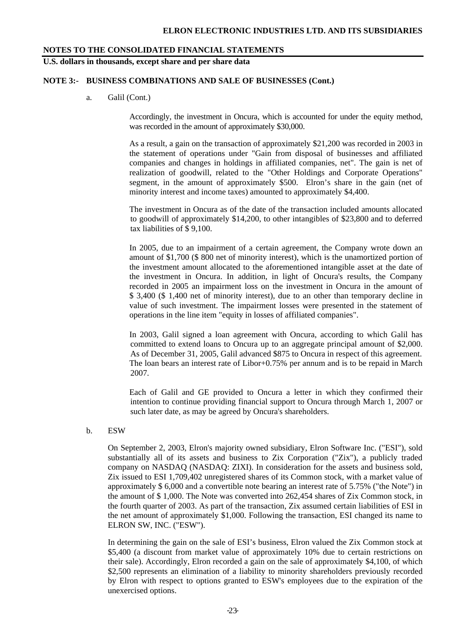## **U.S. dollars in thousands, except share and per share data**

#### **NOTE 3:- BUSINESS COMBINATIONS AND SALE OF BUSINESSES (Cont.)**

a. Galil (Cont.)

Accordingly, the investment in Oncura, which is accounted for under the equity method, was recorded in the amount of approximately \$30,000.

As a result, a gain on the transaction of approximately \$21,200 was recorded in 2003 in the statement of operations under "Gain from disposal of businesses and affiliated companies and changes in holdings in affiliated companies, net". The gain is net of realization of goodwill, related to the "Other Holdings and Corporate Operations" segment, in the amount of approximately \$500. Elron's share in the gain (net of minority interest and income taxes) amounted to approximately \$4,400.

The investment in Oncura as of the date of the transaction included amounts allocated to goodwill of approximately \$14,200, to other intangibles of \$23,800 and to deferred tax liabilities of \$ 9,100.

In 2005, due to an impairment of a certain agreement, the Company wrote down an amount of \$1,700 (\$ 800 net of minority interest), which is the unamortized portion of the investment amount allocated to the aforementioned intangible asset at the date of the investment in Oncura. In addition, in light of Oncura's results, the Company recorded in 2005 an impairment loss on the investment in Oncura in the amount of \$ 3,400 (\$ 1,400 net of minority interest), due to an other than temporary decline in value of such investment. The impairment losses were presented in the statement of operations in the line item "equity in losses of affiliated companies".

In 2003, Galil signed a loan agreement with Oncura, according to which Galil has committed to extend loans to Oncura up to an aggregate principal amount of \$2,000. As of December 31, 2005, Galil advanced \$875 to Oncura in respect of this agreement. The loan bears an interest rate of Libor+0.75% per annum and is to be repaid in March 2007.

Each of Galil and GE provided to Oncura a letter in which they confirmed their intention to continue providing financial support to Oncura through March 1, 2007 or such later date, as may be agreed by Oncura's shareholders.

b. ESW

On September 2, 2003, Elron's majority owned subsidiary, Elron Software Inc. ("ESI"), sold substantially all of its assets and business to Zix Corporation ("Zix"), a publicly traded company on NASDAQ (NASDAQ: ZIXI). In consideration for the assets and business sold, Zix issued to ESI 1,709,402 unregistered shares of its Common stock, with a market value of approximately \$ 6,000 and a convertible note bearing an interest rate of 5.75% ("the Note") in the amount of \$ 1,000. The Note was converted into 262,454 shares of Zix Common stock, in the fourth quarter of 2003. As part of the transaction, Zix assumed certain liabilities of ESI in the net amount of approximately \$1,000. Following the transaction, ESI changed its name to ELRON SW, INC. ("ESW").

In determining the gain on the sale of ESI's business, Elron valued the Zix Common stock at \$5,400 (a discount from market value of approximately 10% due to certain restrictions on their sale). Accordingly, Elron recorded a gain on the sale of approximately \$4,100, of which \$2,500 represents an elimination of a liability to minority shareholders previously recorded by Elron with respect to options granted to ESW's employees due to the expiration of the unexercised options.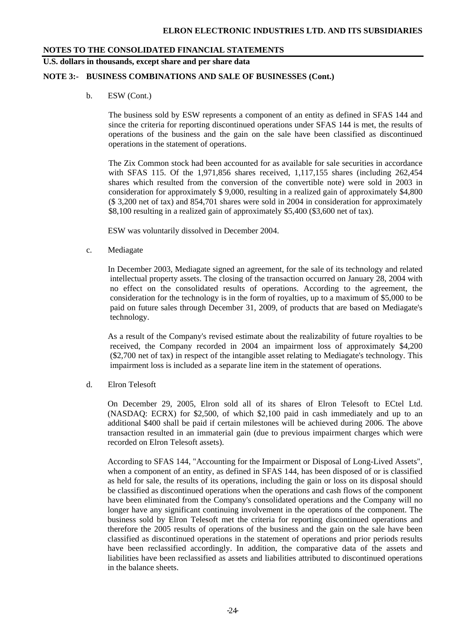**U.S. dollars in thousands, except share and per share data** 

### **NOTE 3:- BUSINESS COMBINATIONS AND SALE OF BUSINESSES (Cont.)**

b. ESW (Cont.)

The business sold by ESW represents a component of an entity as defined in SFAS 144 and since the criteria for reporting discontinued operations under SFAS 144 is met, the results of operations of the business and the gain on the sale have been classified as discontinued operations in the statement of operations.

The Zix Common stock had been accounted for as available for sale securities in accordance with SFAS 115. Of the 1,971,856 shares received, 1,117,155 shares (including 262,454 shares which resulted from the conversion of the convertible note) were sold in 2003 in consideration for approximately \$ 9,000, resulting in a realized gain of approximately \$4,800 (\$ 3,200 net of tax) and 854,701 shares were sold in 2004 in consideration for approximately \$8,100 resulting in a realized gain of approximately \$5,400 (\$3,600 net of tax).

ESW was voluntarily dissolved in December 2004.

c. Mediagate

 In December 2003, Mediagate signed an agreement, for the sale of its technology and related intellectual property assets. The closing of the transaction occurred on January 28, 2004 with no effect on the consolidated results of operations. According to the agreement, the consideration for the technology is in the form of royalties, up to a maximum of \$5,000 to be paid on future sales through December 31, 2009, of products that are based on Mediagate's technology.

 As a result of the Company's revised estimate about the realizability of future royalties to be received, the Company recorded in 2004 an impairment loss of approximately \$4,200 (\$2,700 net of tax) in respect of the intangible asset relating to Mediagate's technology. This impairment loss is included as a separate line item in the statement of operations.

d. Elron Telesoft

On December 29, 2005, Elron sold all of its shares of Elron Telesoft to ECtel Ltd. (NASDAQ: ECRX) for \$2,500, of which \$2,100 paid in cash immediately and up to an additional \$400 shall be paid if certain milestones will be achieved during 2006. The above transaction resulted in an immaterial gain (due to previous impairment charges which were recorded on Elron Telesoft assets).

According to SFAS 144, "Accounting for the Impairment or Disposal of Long-Lived Assets", when a component of an entity, as defined in SFAS 144, has been disposed of or is classified as held for sale, the results of its operations, including the gain or loss on its disposal should be classified as discontinued operations when the operations and cash flows of the component have been eliminated from the Company's consolidated operations and the Company will no longer have any significant continuing involvement in the operations of the component. The business sold by Elron Telesoft met the criteria for reporting discontinued operations and therefore the 2005 results of operations of the business and the gain on the sale have been classified as discontinued operations in the statement of operations and prior periods results have been reclassified accordingly. In addition, the comparative data of the assets and liabilities have been reclassified as assets and liabilities attributed to discontinued operations in the balance sheets.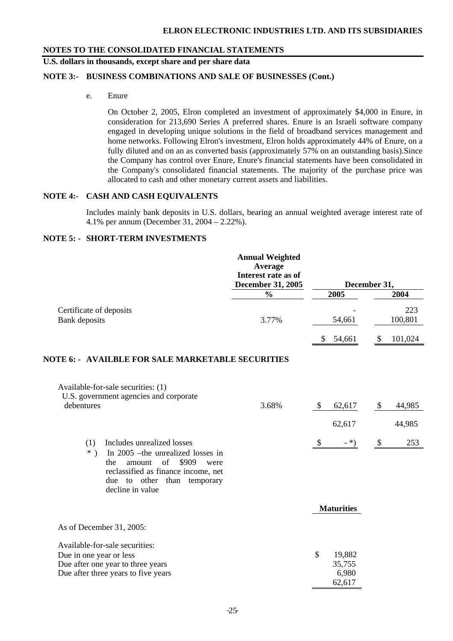# **U.S. dollars in thousands, except share and per share data**

## **NOTE 3:- BUSINESS COMBINATIONS AND SALE OF BUSINESSES (Cont.)**

e. Enure

On October 2, 2005, Elron completed an investment of approximately \$4,000 in Enure, in consideration for 213,690 Series A preferred shares. Enure is an Israeli software company engaged in developing unique solutions in the field of broadband services management and home networks. Following Elron's investment, Elron holds approximately 44% of Enure, on a fully diluted and on an as converted basis (approximately 57% on an outstanding basis).Since the Company has control over Enure, Enure's financial statements have been consolidated in the Company's consolidated financial statements. The majority of the purchase price was allocated to cash and other monetary current assets and liabilities.

# **NOTE 4:- CASH AND CASH EQUIVALENTS**

Includes mainly bank deposits in U.S. dollars, bearing an annual weighted average interest rate of 4.1% per annum (December 31, 2004 – 2.22%).

# **NOTE 5: - SHORT-TERM INVESTMENTS**

|                                                                                                                                                                                                              | <b>Annual Weighted</b><br>Average<br>Interest rate as of<br><b>December 31, 2005</b> | December 31,                              |                            |                |
|--------------------------------------------------------------------------------------------------------------------------------------------------------------------------------------------------------------|--------------------------------------------------------------------------------------|-------------------------------------------|----------------------------|----------------|
|                                                                                                                                                                                                              | $\frac{0}{0}$                                                                        | 2005                                      |                            | 2004           |
| Certificate of deposits<br><b>Bank</b> deposits                                                                                                                                                              | 3.77%                                                                                | 54,661                                    |                            | 223<br>100,801 |
|                                                                                                                                                                                                              |                                                                                      | \$<br>54,661                              | \$                         | 101,024        |
| <b>NOTE 6: - AVAILBLE FOR SALE MARKETABLE SECURITIES</b>                                                                                                                                                     |                                                                                      |                                           |                            |                |
| Available-for-sale securities: (1)<br>U.S. government agencies and corporate<br>debentures                                                                                                                   | 3.68%                                                                                | \$<br>62,617                              | $\boldsymbol{\mathsf{\$}}$ | 44,985         |
|                                                                                                                                                                                                              |                                                                                      | 62,617                                    |                            | 44,985         |
| (1)<br>Includes unrealized losses<br>$*$ )<br>In 2005 – the unrealized losses in<br>amount of \$909<br>the<br>were<br>reclassified as finance income, net<br>due to other than temporary<br>decline in value |                                                                                      | \$<br>$-$ *)                              | \$                         | 253            |
|                                                                                                                                                                                                              |                                                                                      | <b>Maturities</b>                         |                            |                |
| As of December 31, 2005:                                                                                                                                                                                     |                                                                                      |                                           |                            |                |
| Available-for-sale securities:<br>Due in one year or less<br>Due after one year to three years<br>Due after three years to five years                                                                        |                                                                                      | \$<br>19,882<br>35,755<br>6,980<br>62,617 |                            |                |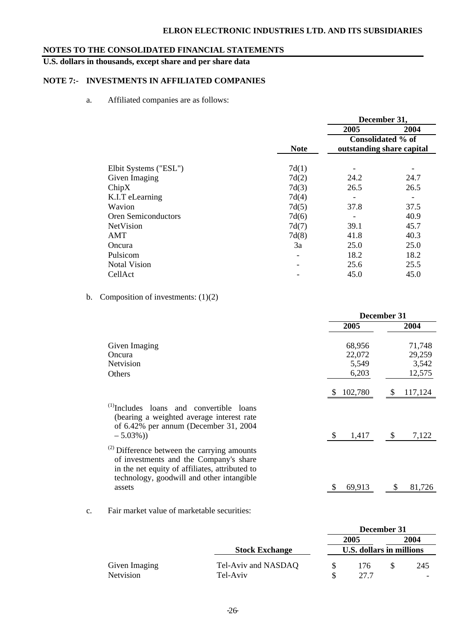# **ELRON ELECTRONIC INDUSTRIES LTD. AND ITS SUBSIDIARIES**

# **NOTES TO THE CONSOLIDATED FINANCIAL STATEMENTS**

# **U.S. dollars in thousands, except share and per share data**

# **NOTE 7:- INVESTMENTS IN AFFILIATED COMPANIES**

a. Affiliated companies are as follows:

|                            |             | December 31,              |      |  |  |
|----------------------------|-------------|---------------------------|------|--|--|
|                            |             | 2005                      | 2004 |  |  |
|                            |             | Consolidated % of         |      |  |  |
|                            | <b>Note</b> | outstanding share capital |      |  |  |
| Elbit Systems ("ESL")      | 7d(1)       |                           |      |  |  |
| Given Imaging              | 7d(2)       | 24.2                      | 24.7 |  |  |
| ChipX                      | 7d(3)       | 26.5                      | 26.5 |  |  |
| K.I.T eLearning            | 7d(4)       |                           |      |  |  |
| Wavion                     | 7d(5)       | 37.8                      | 37.5 |  |  |
| <b>Oren Semiconductors</b> | 7d(6)       | $\overline{\phantom{a}}$  | 40.9 |  |  |
| NetVision                  | 7d(7)       | 39.1                      | 45.7 |  |  |
| AMT                        | 7d(8)       | 41.8                      | 40.3 |  |  |
| Oncura                     | 3a          | 25.0                      | 25.0 |  |  |
| Pulsicom                   |             | 18.2                      | 18.2 |  |  |
| <b>Notal Vision</b>        |             | 25.6                      | 25.5 |  |  |
| CellAct                    |             | 45.0                      | 45.0 |  |  |

b. Composition of investments:  $(1)(2)$ 

|                                                                                                                                                                                                           | December 31                        |                                     |  |  |  |
|-----------------------------------------------------------------------------------------------------------------------------------------------------------------------------------------------------------|------------------------------------|-------------------------------------|--|--|--|
|                                                                                                                                                                                                           | 2005                               | 2004                                |  |  |  |
| Given Imaging<br>Oncura<br>Netvision<br>Others                                                                                                                                                            | 68,956<br>22,072<br>5,549<br>6,203 | 71,748<br>29,259<br>3,542<br>12,575 |  |  |  |
|                                                                                                                                                                                                           | 102,780<br>\$.                     | 117,124<br>S                        |  |  |  |
| $^{(1)}$ Includes loans and convertible loans<br>(bearing a weighted average interest rate<br>of 6.42% per annum (December 31, 2004<br>$-5.03\%)$                                                         | 1,417                              | <sup>S</sup><br>7,122               |  |  |  |
| <sup>(2)</sup> Difference between the carrying amounts<br>of investments and the Company's share<br>in the net equity of affiliates, attributed to<br>technology, goodwill and other intangible<br>assets | 69,913                             | 81,726                              |  |  |  |

c. Fair market value of marketable securities:

|                  |                       |   |                          | December 31 |      |
|------------------|-----------------------|---|--------------------------|-------------|------|
|                  |                       |   | 2005                     |             | 2004 |
|                  | <b>Stock Exchange</b> |   | U.S. dollars in millions |             |      |
| Given Imaging    | Tel-Aviv and NASDAQ   | S | 176                      |             | 245  |
| <b>Netvision</b> | Tel-Aviv              |   | 27.7                     |             |      |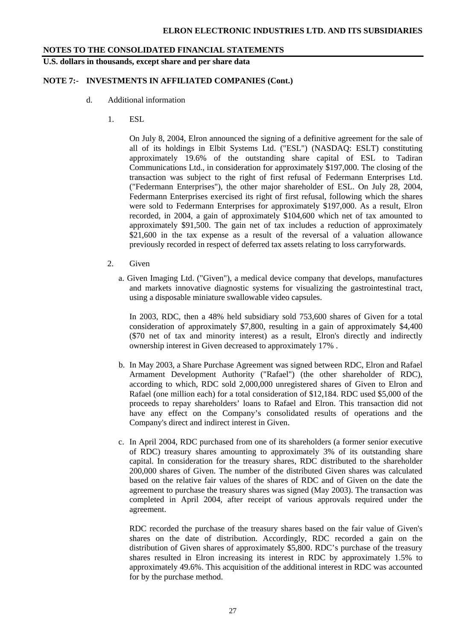**U.S. dollars in thousands, except share and per share data** 

### **NOTE 7:- INVESTMENTS IN AFFILIATED COMPANIES (Cont.)**

- d. Additional information
	- 1. ESL

 On July 8, 2004, Elron announced the signing of a definitive agreement for the sale of all of its holdings in Elbit Systems Ltd. ("ESL") (NASDAQ: ESLT) constituting approximately 19.6% of the outstanding share capital of ESL to Tadiran Communications Ltd., in consideration for approximately \$197,000. The closing of the transaction was subject to the right of first refusal of Federmann Enterprises Ltd. ("Federmann Enterprises"), the other major shareholder of ESL. On July 28, 2004, Federmann Enterprises exercised its right of first refusal, following which the shares were sold to Federmann Enterprises for approximately \$197,000. As a result, Elron recorded, in 2004, a gain of approximately \$104,600 which net of tax amounted to approximately \$91,500. The gain net of tax includes a reduction of approximately \$21,600 in the tax expense as a result of the reversal of a valuation allowance previously recorded in respect of deferred tax assets relating to loss carryforwards.

- 2. Given
	- a. Given Imaging Ltd. ("Given"), a medical device company that develops, manufactures and markets innovative diagnostic systems for visualizing the gastrointestinal tract, using a disposable miniature swallowable video capsules.

 In 2003, RDC, then a 48% held subsidiary sold 753,600 shares of Given for a total consideration of approximately \$7,800, resulting in a gain of approximately \$4,400 (\$70 net of tax and minority interest) as a result, Elron's directly and indirectly ownership interest in Given decreased to approximately 17% .

- b. In May 2003, a Share Purchase Agreement was signed between RDC, Elron and Rafael Armament Development Authority ("Rafael") (the other shareholder of RDC), according to which, RDC sold 2,000,000 unregistered shares of Given to Elron and Rafael (one million each) for a total consideration of \$12,184. RDC used \$5,000 of the proceeds to repay shareholders' loans to Rafael and Elron. This transaction did not have any effect on the Company's consolidated results of operations and the Company's direct and indirect interest in Given.
- c. In April 2004, RDC purchased from one of its shareholders (a former senior executive of RDC) treasury shares amounting to approximately 3% of its outstanding share capital. In consideration for the treasury shares, RDC distributed to the shareholder 200,000 shares of Given. The number of the distributed Given shares was calculated based on the relative fair values of the shares of RDC and of Given on the date the agreement to purchase the treasury shares was signed (May 2003). The transaction was completed in April 2004, after receipt of various approvals required under the agreement.

RDC recorded the purchase of the treasury shares based on the fair value of Given's shares on the date of distribution. Accordingly, RDC recorded a gain on the distribution of Given shares of approximately \$5,800. RDC's purchase of the treasury shares resulted in Elron increasing its interest in RDC by approximately 1.5% to approximately 49.6%. This acquisition of the additional interest in RDC was accounted for by the purchase method.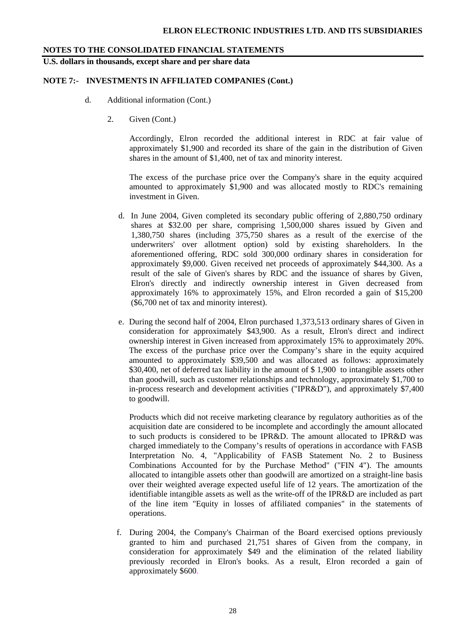**U.S. dollars in thousands, except share and per share data** 

### **NOTE 7:- INVESTMENTS IN AFFILIATED COMPANIES (Cont.)**

- d. Additional information (Cont.)
	- 2. Given (Cont.)

Accordingly, Elron recorded the additional interest in RDC at fair value of approximately \$1,900 and recorded its share of the gain in the distribution of Given shares in the amount of \$1,400, net of tax and minority interest.

The excess of the purchase price over the Company's share in the equity acquired amounted to approximately \$1,900 and was allocated mostly to RDC's remaining investment in Given.

- d. In June 2004, Given completed its secondary public offering of 2,880,750 ordinary shares at \$32.00 per share, comprising 1,500,000 shares issued by Given and 1,380,750 shares (including 375,750 shares as a result of the exercise of the underwriters' over allotment option) sold by existing shareholders. In the aforementioned offering, RDC sold 300,000 ordinary shares in consideration for approximately \$9,000. Given received net proceeds of approximately \$44,300. As a result of the sale of Given's shares by RDC and the issuance of shares by Given, Elron's directly and indirectly ownership interest in Given decreased from approximately 16% to approximately 15%, and Elron recorded a gain of \$15,200 (\$6,700 net of tax and minority interest).
- e. During the second half of 2004, Elron purchased 1,373,513 ordinary shares of Given in consideration for approximately \$43,900. As a result, Elron's direct and indirect ownership interest in Given increased from approximately 15% to approximately 20%. The excess of the purchase price over the Company's share in the equity acquired amounted to approximately \$39,500 and was allocated as follows: approximately \$30,400, net of deferred tax liability in the amount of \$1,900 to intangible assets other than goodwill, such as customer relationships and technology, approximately \$1,700 to in-process research and development activities ("IPR&D"), and approximately \$7,400 to goodwill.

Products which did not receive marketing clearance by regulatory authorities as of the acquisition date are considered to be incomplete and accordingly the amount allocated to such products is considered to be IPR&D. The amount allocated to IPR&D was charged immediately to the Company's results of operations in accordance with FASB Interpretation No. 4, "Applicability of FASB Statement No. 2 to Business Combinations Accounted for by the Purchase Method" ("FIN 4"). The amounts allocated to intangible assets other than goodwill are amortized on a straight-line basis over their weighted average expected useful life of 12 years. The amortization of the identifiable intangible assets as well as the write-off of the IPR&D are included as part of the line item "Equity in losses of affiliated companies" in the statements of operations.

 f. During 2004, the Company's Chairman of the Board exercised options previously granted to him and purchased 21,751 shares of Given from the company, in consideration for approximately \$49 and the elimination of the related liability previously recorded in Elron's books. As a result, Elron recorded a gain of approximately \$600.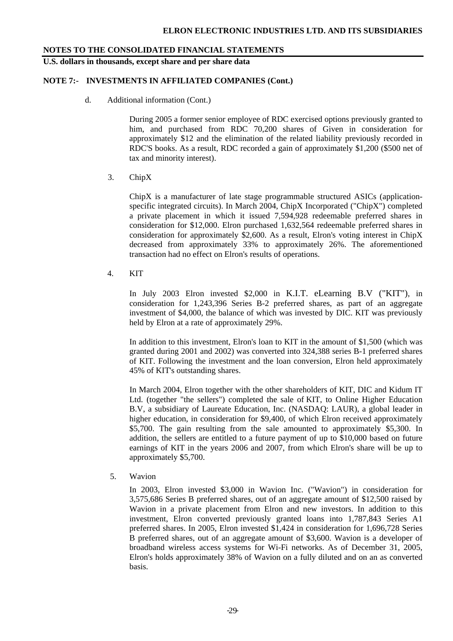**U.S. dollars in thousands, except share and per share data** 

## **NOTE 7:- INVESTMENTS IN AFFILIATED COMPANIES (Cont.)**

d. Additional information (Cont.)

 During 2005 a former senior employee of RDC exercised options previously granted to him, and purchased from RDC 70,200 shares of Given in consideration for approximately \$12 and the elimination of the related liability previously recorded in RDC'S books. As a result, RDC recorded a gain of approximately \$1,200 (\$500 net of tax and minority interest).

3. ChipX

 ChipX is a manufacturer of late stage programmable structured ASICs (applicationspecific integrated circuits). In March 2004, ChipX Incorporated ("ChipX") completed a private placement in which it issued 7,594,928 redeemable preferred shares in consideration for \$12,000. Elron purchased 1,632,564 redeemable preferred shares in consideration for approximately \$2,600. As a result, Elron's voting interest in ChipX decreased from approximately 33% to approximately 26%. The aforementioned transaction had no effect on Elron's results of operations.

4. KIT

In July 2003 Elron invested \$2,000 in K.I.T. eLearning B.V ("KIT"), in consideration for 1,243,396 Series B-2 preferred shares, as part of an aggregate investment of \$4,000, the balance of which was invested by DIC. KIT was previously held by Elron at a rate of approximately 29%.

In addition to this investment, Elron's loan to KIT in the amount of \$1,500 (which was granted during 2001 and 2002) was converted into 324,388 series B-1 preferred shares of KIT. Following the investment and the loan conversion, Elron held approximately 45% of KIT's outstanding shares.

In March 2004, Elron together with the other shareholders of KIT, DIC and Kidum IT Ltd. (together "the sellers") completed the sale of KIT, to Online Higher Education B.V, a subsidiary of Laureate Education, Inc. (NASDAQ: LAUR), a global leader in higher education, in consideration for \$9,400, of which Elron received approximately \$5,700. The gain resulting from the sale amounted to approximately \$5,300. In addition, the sellers are entitled to a future payment of up to \$10,000 based on future earnings of KIT in the years 2006 and 2007, from which Elron's share will be up to approximately \$5,700.

5. Wavion

 In 2003, Elron invested \$3,000 in Wavion Inc. ("Wavion") in consideration for 3,575,686 Series B preferred shares, out of an aggregate amount of \$12,500 raised by Wavion in a private placement from Elron and new investors. In addition to this investment, Elron converted previously granted loans into 1,787,843 Series A1 preferred shares. In 2005, Elron invested \$1,424 in consideration for 1,696,728 Series B preferred shares, out of an aggregate amount of \$3,600. Wavion is a developer of broadband wireless access systems for Wi-Fi networks. As of December 31, 2005, Elron's holds approximately 38% of Wavion on a fully diluted and on an as converted basis.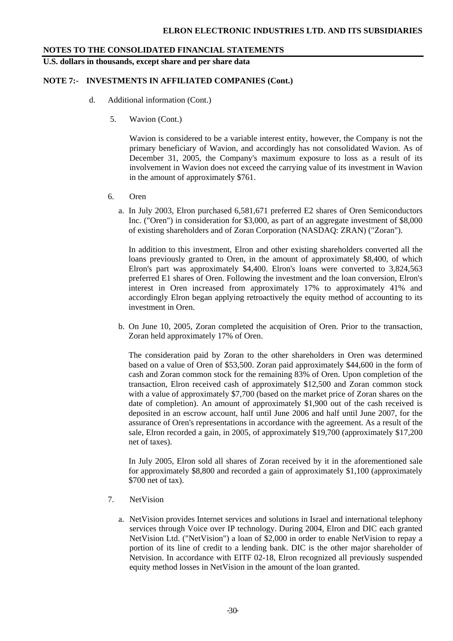**U.S. dollars in thousands, except share and per share data** 

### **NOTE 7:- INVESTMENTS IN AFFILIATED COMPANIES (Cont.)**

- d. Additional information (Cont.)
	- 5. Wavion (Cont.)

 Wavion is considered to be a variable interest entity, however, the Company is not the primary beneficiary of Wavion, and accordingly has not consolidated Wavion. As of December 31, 2005, the Company's maximum exposure to loss as a result of its involvement in Wavion does not exceed the carrying value of its investment in Wavion in the amount of approximately \$761.

- 6. Oren
	- a. In July 2003, Elron purchased 6,581,671 preferred E2 shares of Oren Semiconductors Inc. ("Oren") in consideration for \$3,000, as part of an aggregate investment of \$8,000 of existing shareholders and of Zoran Corporation (NASDAQ: ZRAN) ("Zoran").

In addition to this investment, Elron and other existing shareholders converted all the loans previously granted to Oren, in the amount of approximately \$8,400, of which Elron's part was approximately \$4,400. Elron's loans were converted to 3,824,563 preferred E1 shares of Oren. Following the investment and the loan conversion, Elron's interest in Oren increased from approximately 17% to approximately 41% and accordingly Elron began applying retroactively the equity method of accounting to its investment in Oren.

b. On June 10, 2005, Zoran completed the acquisition of Oren. Prior to the transaction, Zoran held approximately 17% of Oren.

The consideration paid by Zoran to the other shareholders in Oren was determined based on a value of Oren of \$53,500. Zoran paid approximately \$44,600 in the form of cash and Zoran common stock for the remaining 83% of Oren. Upon completion of the transaction, Elron received cash of approximately \$12,500 and Zoran common stock with a value of approximately \$7,700 (based on the market price of Zoran shares on the date of completion). An amount of approximately \$1,900 out of the cash received is deposited in an escrow account, half until June 2006 and half until June 2007, for the assurance of Oren's representations in accordance with the agreement. As a result of the sale, Elron recorded a gain, in 2005, of approximately \$19,700 (approximately \$17,200 net of taxes).

In July 2005, Elron sold all shares of Zoran received by it in the aforementioned sale for approximately \$8,800 and recorded a gain of approximately \$1,100 (approximately \$700 net of tax).

- 7. NetVision
	- a. NetVision provides Internet services and solutions in Israel and international telephony services through Voice over IP technology. During 2004, Elron and DIC each granted NetVision Ltd. ("NetVision") a loan of \$2,000 in order to enable NetVision to repay a portion of its line of credit to a lending bank. DIC is the other major shareholder of Netvision. In accordance with EITF 02-18, Elron recognized all previously suspended equity method losses in NetVision in the amount of the loan granted.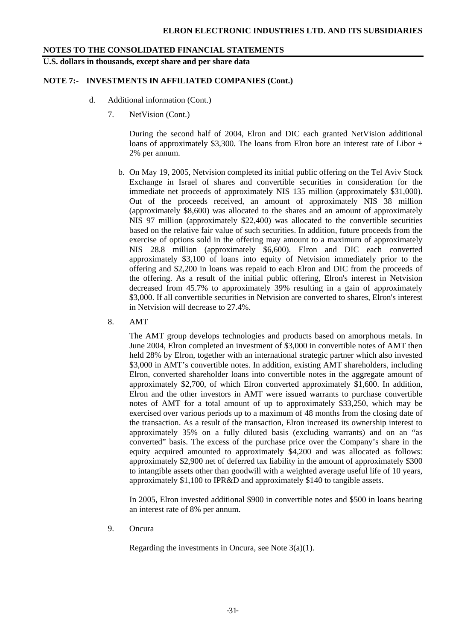**U.S. dollars in thousands, except share and per share data** 

### **NOTE 7:- INVESTMENTS IN AFFILIATED COMPANIES (Cont.)**

- d. Additional information (Cont.)
	- 7. NetVision (Cont.)

During the second half of 2004, Elron and DIC each granted NetVision additional loans of approximately \$3,300. The loans from Elron bore an interest rate of Libor  $+$ 2% per annum.

- b. On May 19, 2005, Netvision completed its initial public offering on the Tel Aviv Stock Exchange in Israel of shares and convertible securities in consideration for the immediate net proceeds of approximately NIS 135 million (approximately \$31,000). Out of the proceeds received, an amount of approximately NIS 38 million (approximately \$8,600) was allocated to the shares and an amount of approximately NIS 97 million (approximately \$22,400) was allocated to the convertible securities based on the relative fair value of such securities. In addition, future proceeds from the exercise of options sold in the offering may amount to a maximum of approximately NIS 28.8 million (approximately \$6,600). Elron and DIC each converted approximately \$3,100 of loans into equity of Netvision immediately prior to the offering and \$2,200 in loans was repaid to each Elron and DIC from the proceeds of the offering. As a result of the initial public offering, Elron's interest in Netvision decreased from 45.7% to approximately 39% resulting in a gain of approximately \$3,000. If all convertible securities in Netvision are converted to shares, Elron's interest in Netvision will decrease to 27.4%.
- 8. AMT

The AMT group develops technologies and products based on amorphous metals. In June 2004, Elron completed an investment of \$3,000 in convertible notes of AMT then held 28% by Elron, together with an international strategic partner which also invested \$3,000 in AMT's convertible notes. In addition, existing AMT shareholders, including Elron, converted shareholder loans into convertible notes in the aggregate amount of approximately \$2,700, of which Elron converted approximately \$1,600. In addition, Elron and the other investors in AMT were issued warrants to purchase convertible notes of AMT for a total amount of up to approximately \$33,250, which may be exercised over various periods up to a maximum of 48 months from the closing date of the transaction. As a result of the transaction, Elron increased its ownership interest to approximately 35% on a fully diluted basis (excluding warrants) and on an "as converted" basis. The excess of the purchase price over the Company's share in the equity acquired amounted to approximately \$4,200 and was allocated as follows: approximately \$2,900 net of deferred tax liability in the amount of approximately \$300 to intangible assets other than goodwill with a weighted average useful life of 10 years, approximately \$1,100 to IPR&D and approximately \$140 to tangible assets.

In 2005, Elron invested additional \$900 in convertible notes and \$500 in loans bearing an interest rate of 8% per annum.

9. Oncura

Regarding the investments in Oncura, see Note 3(a)(1).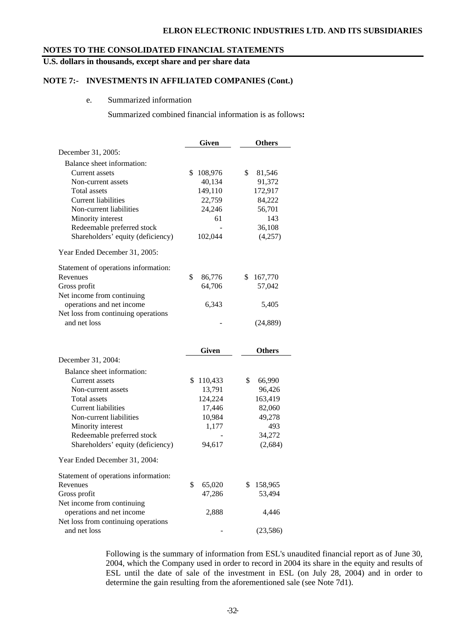### **ELRON ELECTRONIC INDUSTRIES LTD. AND ITS SUBSIDIARIES**

### **NOTES TO THE CONSOLIDATED FINANCIAL STATEMENTS**

# **U.S. dollars in thousands, except share and per share data**

### **NOTE 7:- INVESTMENTS IN AFFILIATED COMPANIES (Cont.)**

#### e. Summarized information

Summarized combined financial information is as follows**:** 

|                                      | Given             | <b>Others</b>          |
|--------------------------------------|-------------------|------------------------|
| December 31, 2005:                   |                   |                        |
| Balance sheet information:           |                   |                        |
| Current assets                       | \$<br>108,976     | \$<br>81,546           |
| Non-current assets                   | 40,134            | 91,372                 |
| <b>Total assets</b>                  | 149,110           | 172,917                |
| Current liabilities                  | 22,759            | 84,222                 |
| Non-current liabilities              | 24,246            | 56,701                 |
| Minority interest                    | 61                | 143                    |
| Redeemable preferred stock           |                   | 36,108                 |
| Shareholders' equity (deficiency)    | 102,044           | (4,257)                |
| Year Ended December 31, 2005:        |                   |                        |
| Statement of operations information: |                   |                        |
| Revenues                             | \$<br>86,776      | \$<br>167,770          |
| Gross profit                         | 64,706            | 57,042                 |
| Net income from continuing           |                   |                        |
| operations and net income            | 6,343             | 5,405                  |
| Net loss from continuing operations  |                   |                        |
| and net loss                         |                   | (24, 889)              |
|                                      |                   |                        |
|                                      |                   |                        |
| December 31, 2004:                   | Given             | <b>Others</b>          |
| Balance sheet information:           |                   |                        |
|                                      | \$                |                        |
| Current assets<br>Non-current assets | 110,433<br>13,791 | \$<br>66,990<br>96,426 |
| Total assets                         | 124,224           | 163,419                |
| <b>Current liabilities</b>           | 17,446            | 82,060                 |
| Non-current liabilities              | 10,984            | 49,278                 |
| Minority interest                    | 1,177             | 493                    |
| Redeemable preferred stock           |                   | 34,272                 |
| Shareholders' equity (deficiency)    | 94,617            | (2,684)                |
| Year Ended December 31, 2004:        |                   |                        |
| Statement of operations information: |                   |                        |
| Revenues                             | \$<br>65,020      | \$<br>158,965          |
| Gross profit                         | 47,286            | 53,494                 |
| Net income from continuing           |                   |                        |
| operations and net income            | 2,888             | 4,446                  |
| Net loss from continuing operations  |                   | (23, 586)              |

Following is the summary of information from ESL's unaudited financial report as of June 30, 2004, which the Company used in order to record in 2004 its share in the equity and results of ESL until the date of sale of the investment in ESL (on July 28, 2004) and in order to determine the gain resulting from the aforementioned sale (see Note 7d1).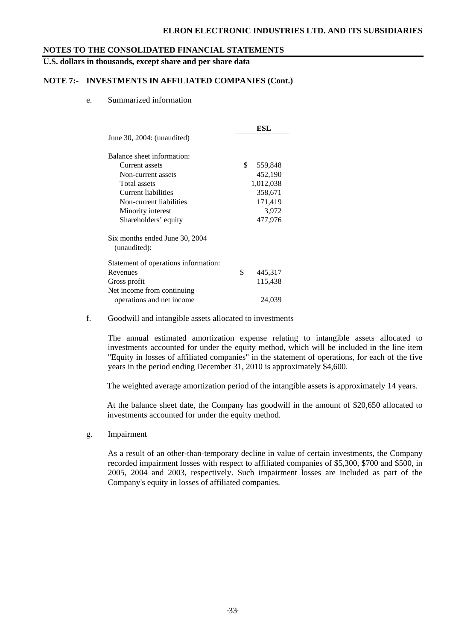### **ELRON ELECTRONIC INDUSTRIES LTD. AND ITS SUBSIDIARIES**

### **NOTES TO THE CONSOLIDATED FINANCIAL STATEMENTS**

**U.S. dollars in thousands, except share and per share data** 

### **NOTE 7:- INVESTMENTS IN AFFILIATED COMPANIES (Cont.)**

e. Summarized information

|                                      | ESL           |
|--------------------------------------|---------------|
| June $30, 2004$ : (unaudited)        |               |
| Balance sheet information:           |               |
| Current assets                       | \$<br>559,848 |
| Non-current assets                   | 452,190       |
| Total assets                         | 1,012,038     |
| Current liabilities                  | 358,671       |
| Non-current liabilities              | 171,419       |
| Minority interest                    | 3,972         |
| Shareholders' equity                 | 477,976       |
| Six months ended June 30, 2004       |               |
| (unaudited):                         |               |
| Statement of operations information: |               |
| Revenues                             | \$<br>445,317 |
| Gross profit                         | 115,438       |
| Net income from continuing.          |               |
| operations and net income            | 24,039        |

### f. Goodwill and intangible assets allocated to investments

The annual estimated amortization expense relating to intangible assets allocated to investments accounted for under the equity method, which will be included in the line item "Equity in losses of affiliated companies" in the statement of operations, for each of the five years in the period ending December 31, 2010 is approximately \$4,600.

The weighted average amortization period of the intangible assets is approximately 14 years.

At the balance sheet date, the Company has goodwill in the amount of \$20,650 allocated to investments accounted for under the equity method.

g. Impairment

As a result of an other-than-temporary decline in value of certain investments, the Company recorded impairment losses with respect to affiliated companies of \$5,300, \$700 and \$500, in 2005, 2004 and 2003, respectively. Such impairment losses are included as part of the Company's equity in losses of affiliated companies.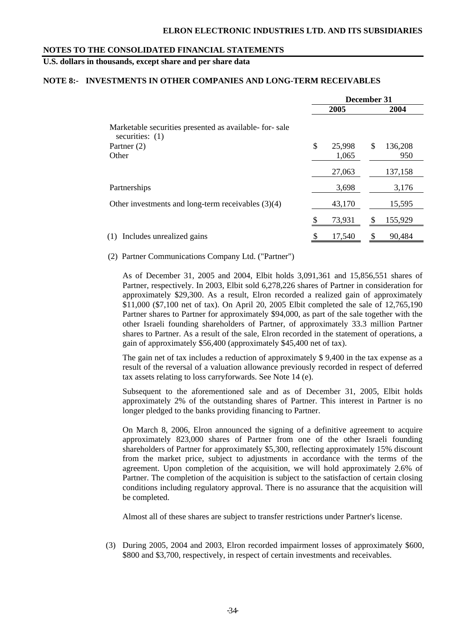# **U.S. dollars in thousands, except share and per share data**

#### **NOTE 8:- INVESTMENTS IN OTHER COMPANIES AND LONG-TERM RECEIVABLES**

|                                                                             | December 31 |        |   |         |
|-----------------------------------------------------------------------------|-------------|--------|---|---------|
|                                                                             |             | 2005   |   | 2004    |
| Marketable securities presented as available- for-sale<br>securities: $(1)$ |             |        |   |         |
| Partner (2)                                                                 | \$          | 25,998 | S | 136,208 |
| Other                                                                       |             | 1,065  |   | 950     |
|                                                                             |             | 27,063 |   | 137,158 |
| Partnerships                                                                |             | 3,698  |   | 3,176   |
| Other investments and long-term receivables $(3)(4)$                        |             | 43,170 |   | 15,595  |
|                                                                             |             | 73,931 |   | 155,929 |
| Includes unrealized gains<br>(1)                                            |             | 17,540 |   | 90,484  |

(2) Partner Communications Company Ltd. ("Partner")

As of December 31, 2005 and 2004, Elbit holds 3,091,361 and 15,856,551 shares of Partner, respectively. In 2003, Elbit sold 6,278,226 shares of Partner in consideration for approximately \$29,300. As a result, Elron recorded a realized gain of approximately \$11,000 (\$7,100 net of tax). On April 20, 2005 Elbit completed the sale of 12,765,190 Partner shares to Partner for approximately \$94,000, as part of the sale together with the other Israeli founding shareholders of Partner, of approximately 33.3 million Partner shares to Partner. As a result of the sale, Elron recorded in the statement of operations, a gain of approximately \$56,400 (approximately \$45,400 net of tax).

The gain net of tax includes a reduction of approximately \$ 9,400 in the tax expense as a result of the reversal of a valuation allowance previously recorded in respect of deferred tax assets relating to loss carryforwards. See Note 14 (e).

Subsequent to the aforementioned sale and as of December 31, 2005, Elbit holds approximately 2% of the outstanding shares of Partner. This interest in Partner is no longer pledged to the banks providing financing to Partner.

On March 8, 2006, Elron announced the signing of a definitive agreement to acquire approximately 823,000 shares of Partner from one of the other Israeli founding shareholders of Partner for approximately \$5,300, reflecting approximately 15% discount from the market price, subject to adjustments in accordance with the terms of the agreement. Upon completion of the acquisition, we will hold approximately 2.6% of Partner. The completion of the acquisition is subject to the satisfaction of certain closing conditions including regulatory approval. There is no assurance that the acquisition will be completed.

Almost all of these shares are subject to transfer restrictions under Partner's license.

(3) During 2005, 2004 and 2003, Elron recorded impairment losses of approximately \$600, \$800 and \$3,700, respectively, in respect of certain investments and receivables.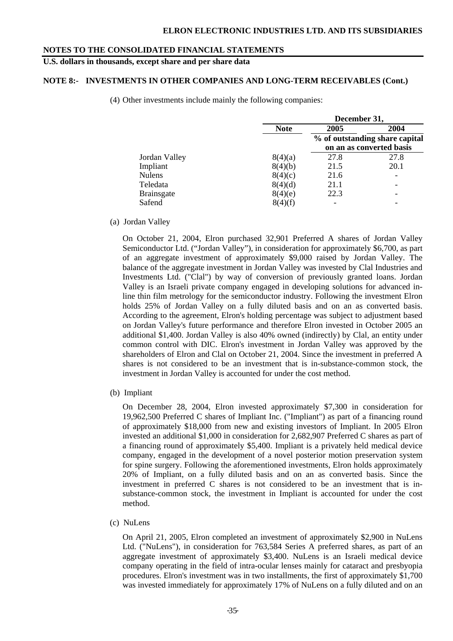**U.S. dollars in thousands, except share and per share data** 

## **NOTE 8:- INVESTMENTS IN OTHER COMPANIES AND LONG-TERM RECEIVABLES (Cont.)**

(4) Other investments include mainly the following companies:

|                   |             | December 31, |                                                            |  |  |
|-------------------|-------------|--------------|------------------------------------------------------------|--|--|
|                   | <b>Note</b> | 2005         | 2004                                                       |  |  |
|                   |             |              | % of outstanding share capital<br>on an as converted basis |  |  |
| Jordan Valley     | 8(4)(a)     | 27.8         | 27.8                                                       |  |  |
| Impliant          | 8(4)(b)     | 21.5         | 20.1                                                       |  |  |
| <b>Nulens</b>     | 8(4)(c)     | 21.6         |                                                            |  |  |
| Teledata          | 8(4)(d)     | 21.1         |                                                            |  |  |
| <b>Brainsgate</b> | 8(4)(e)     | 22.3         |                                                            |  |  |
| Safend            | 8(4)(f)     | ۰            |                                                            |  |  |

(a) Jordan Valley

On October 21, 2004, Elron purchased 32,901 Preferred A shares of Jordan Valley Semiconductor Ltd. ("Jordan Valley"), in consideration for approximately \$6,700, as part of an aggregate investment of approximately \$9,000 raised by Jordan Valley. The balance of the aggregate investment in Jordan Valley was invested by Clal Industries and Investments Ltd. ("Clal") by way of conversion of previously granted loans. Jordan Valley is an Israeli private company engaged in developing solutions for advanced inline thin film metrology for the semiconductor industry. Following the investment Elron holds 25% of Jordan Valley on a fully diluted basis and on an as converted basis. According to the agreement, Elron's holding percentage was subject to adjustment based on Jordan Valley's future performance and therefore Elron invested in October 2005 an additional \$1,400. Jordan Valley is also 40% owned (indirectly) by Clal, an entity under common control with DIC. Elron's investment in Jordan Valley was approved by the shareholders of Elron and Clal on October 21, 2004. Since the investment in preferred A shares is not considered to be an investment that is in-substance-common stock, the investment in Jordan Valley is accounted for under the cost method.

(b) Impliant

 On December 28, 2004, Elron invested approximately \$7,300 in consideration for 19,962,500 Preferred C shares of Impliant Inc. ("Impliant") as part of a financing round of approximately \$18,000 from new and existing investors of Impliant. In 2005 Elron invested an additional \$1,000 in consideration for 2,682,907 Preferred C shares as part of a financing round of approximately \$5,400. Impliant is a privately held medical device company, engaged in the development of a novel posterior motion preservation system for spine surgery. Following the aforementioned investments, Elron holds approximately 20% of Impliant, on a fully diluted basis and on an as converted basis. Since the investment in preferred C shares is not considered to be an investment that is insubstance-common stock, the investment in Impliant is accounted for under the cost method.

(c) NuLens

On April 21, 2005, Elron completed an investment of approximately \$2,900 in NuLens Ltd. ("NuLens"), in consideration for 763,584 Series A preferred shares, as part of an aggregate investment of approximately \$3,400. NuLens is an Israeli medical device company operating in the field of intra-ocular lenses mainly for cataract and presbyopia procedures. Elron's investment was in two installments, the first of approximately \$1,700 was invested immediately for approximately 17% of NuLens on a fully diluted and on an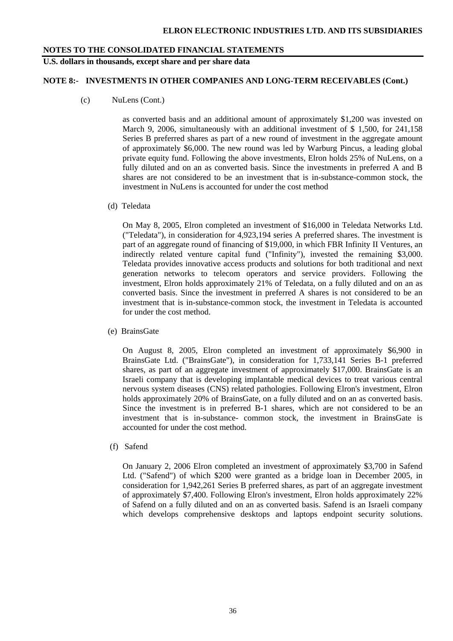### **U.S. dollars in thousands, except share and per share data**

### **NOTE 8:- INVESTMENTS IN OTHER COMPANIES AND LONG-TERM RECEIVABLES (Cont.)**

(c) NuLens (Cont.)

as converted basis and an additional amount of approximately \$1,200 was invested on March 9, 2006, simultaneously with an additional investment of \$ 1,500, for 241,158 Series B preferred shares as part of a new round of investment in the aggregate amount of approximately \$6,000. The new round was led by Warburg Pincus, a leading global private equity fund. Following the above investments, Elron holds 25% of NuLens, on a fully diluted and on an as converted basis. Since the investments in preferred A and B shares are not considered to be an investment that is in-substance-common stock, the investment in NuLens is accounted for under the cost method

(d) Teledata

On May 8, 2005, Elron completed an investment of \$16,000 in Teledata Networks Ltd. ("Teledata"), in consideration for 4,923,194 series A preferred shares. The investment is part of an aggregate round of financing of \$19,000, in which FBR Infinity II Ventures, an indirectly related venture capital fund ("Infinity"), invested the remaining \$3,000. Teledata provides innovative access products and solutions for both traditional and next generation networks to telecom operators and service providers. Following the investment, Elron holds approximately 21% of Teledata, on a fully diluted and on an as converted basis. Since the investment in preferred A shares is not considered to be an investment that is in-substance-common stock, the investment in Teledata is accounted for under the cost method.

(e) BrainsGate

On August 8, 2005, Elron completed an investment of approximately \$6,900 in BrainsGate Ltd. ("BrainsGate"), in consideration for 1,733,141 Series B-1 preferred shares, as part of an aggregate investment of approximately \$17,000. BrainsGate is an Israeli company that is developing implantable medical devices to treat various central nervous system diseases (CNS) related pathologies. Following Elron's investment, Elron holds approximately 20% of BrainsGate, on a fully diluted and on an as converted basis. Since the investment is in preferred B-1 shares, which are not considered to be an investment that is in-substance- common stock, the investment in BrainsGate is accounted for under the cost method.

(f) Safend

On January 2, 2006 Elron completed an investment of approximately \$3,700 in Safend Ltd. ("Safend") of which \$200 were granted as a bridge loan in December 2005, in consideration for 1,942,261 Series B preferred shares, as part of an aggregate investment of approximately \$7,400. Following Elron's investment, Elron holds approximately 22% of Safend on a fully diluted and on an as converted basis. Safend is an Israeli company which develops comprehensive desktops and laptops endpoint security solutions.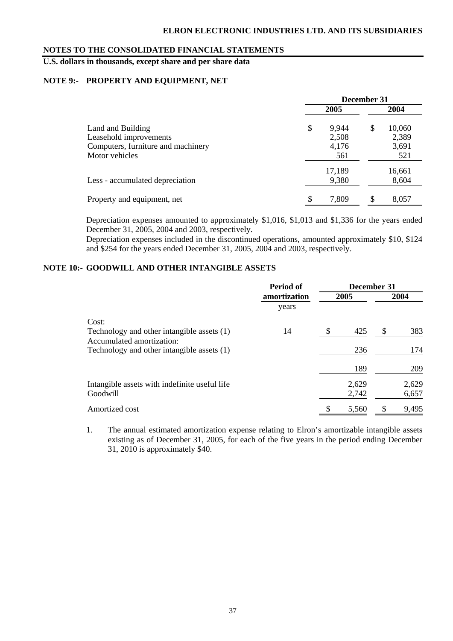**U.S. dollars in thousands, except share and per share data** 

# **NOTE 9:- PROPERTY AND EQUIPMENT, NET**

|                                    | December 31 |        |    |        |
|------------------------------------|-------------|--------|----|--------|
|                                    |             | 2005   |    | 2004   |
| Land and Building                  | \$          | 9,944  | \$ | 10,060 |
| Leasehold improvements             |             | 2,508  |    | 2,389  |
| Computers, furniture and machinery |             | 4,176  |    | 3,691  |
| Motor vehicles                     |             | 561    |    | 521    |
|                                    |             | 17,189 |    | 16,661 |
| Less - accumulated depreciation    |             | 9,380  |    | 8,604  |
| Property and equipment, net        | \$          | 7,809  | \$ | 8,057  |

Depreciation expenses amounted to approximately \$1,016, \$1,013 and \$1,336 for the years ended December 31, 2005, 2004 and 2003, respectively.

Depreciation expenses included in the discontinued operations, amounted approximately \$10, \$124 and \$254 for the years ended December 31, 2005, 2004 and 2003, respectively.

# **NOTE 10:- GOODWILL AND OTHER INTANGIBLE ASSETS**

|                                                                         | Period of    | December 31 |                |      |                |
|-------------------------------------------------------------------------|--------------|-------------|----------------|------|----------------|
|                                                                         | amortization |             | 2005           | 2004 |                |
|                                                                         | years        |             |                |      |                |
| Cost:                                                                   |              |             |                |      |                |
| Technology and other intangible assets (1)<br>Accumulated amortization: | 14           | \$          | 425            | \$   | 383            |
| Technology and other intangible assets (1)                              |              |             | 236            |      | 174            |
|                                                                         |              |             | 189            |      | 209            |
| Intangible assets with indefinite useful life<br>Goodwill               |              |             | 2,629<br>2,742 |      | 2,629<br>6,657 |
| Amortized cost                                                          |              |             | 5,560          | \$   | 9,495          |

1. The annual estimated amortization expense relating to Elron's amortizable intangible assets existing as of December 31, 2005, for each of the five years in the period ending December 31, 2010 is approximately \$40.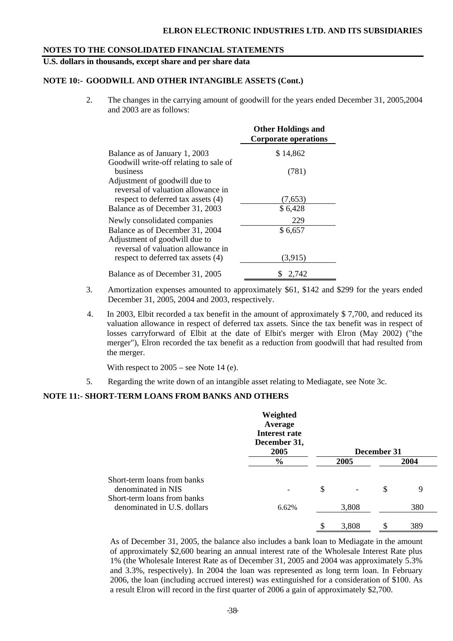# **U.S. dollars in thousands, except share and per share data**

# **NOTE 10:- GOODWILL AND OTHER INTANGIBLE ASSETS (Cont.)**

2. The changes in the carrying amount of goodwill for the years ended December 31, 2005,2004 and 2003 are as follows:

|                                                                                                        | <b>Other Holdings and</b><br><b>Corporate operations</b> |
|--------------------------------------------------------------------------------------------------------|----------------------------------------------------------|
| Balance as of January 1, 2003                                                                          | \$14,862                                                 |
| Goodwill write-off relating to sale of<br>business                                                     | (781)                                                    |
| Adjustment of goodwill due to<br>reversal of valuation allowance in                                    |                                                          |
| respect to deferred tax assets (4)<br>Balance as of December 31, 2003                                  | (7,653)<br>\$6,428                                       |
| Newly consolidated companies                                                                           | 229                                                      |
| Balance as of December 31, 2004<br>Adjustment of goodwill due to<br>reversal of valuation allowance in | \$6,657                                                  |
| respect to deferred tax assets (4)                                                                     | (3,915)                                                  |
| Balance as of December 31, 2005                                                                        | S<br>2.742                                               |

- 3. Amortization expenses amounted to approximately \$61, \$142 and \$299 for the years ended December 31, 2005, 2004 and 2003, respectively.
- 4. In 2003, Elbit recorded a tax benefit in the amount of approximately \$ 7,700, and reduced its valuation allowance in respect of deferred tax assets. Since the tax benefit was in respect of losses carryforward of Elbit at the date of Elbit's merger with Elron (May 2002) ("the merger"), Elron recorded the tax benefit as a reduction from goodwill that had resulted from the merger.

With respect to  $2005$  – see Note 14 (e).

5. Regarding the write down of an intangible asset relating to Mediagate, see Note 3c.

### **NOTE 11:- SHORT-TERM LOANS FROM BANKS AND OTHERS**

|                                                                                  | Weighted<br>Average<br>Interest rate<br>December 31,<br>2005 |             | December 31 |      |
|----------------------------------------------------------------------------------|--------------------------------------------------------------|-------------|-------------|------|
|                                                                                  | $\frac{6}{6}$                                                | 2005        |             | 2004 |
| Short-term loans from banks<br>denominated in NIS<br>Short-term loans from banks |                                                              | \$          | \$          | 9    |
| denominated in U.S. dollars                                                      | 6.62%                                                        | 3,808       |             | 380  |
|                                                                                  |                                                              | \$<br>3,808 | S           | 389  |

 As of December 31, 2005, the balance also includes a bank loan to Mediagate in the amount of approximately \$2,600 bearing an annual interest rate of the Wholesale Interest Rate plus 1% (the Wholesale Interest Rate as of December 31, 2005 and 2004 was approximately 5.3% and 3.3%, respectively). In 2004 the loan was represented as long term loan. In February 2006, the loan (including accrued interest) was extinguished for a consideration of \$100. As a result Elron will record in the first quarter of 2006 a gain of approximately \$2,700.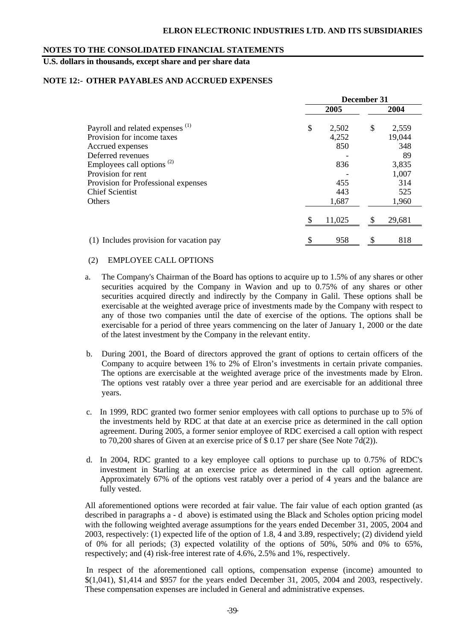# **U.S. dollars in thousands, except share and per share data**

### **NOTE 12:- OTHER PAYABLES AND ACCRUED EXPENSES**

|                                                                           | December 31 |                |    |                 |  |
|---------------------------------------------------------------------------|-------------|----------------|----|-----------------|--|
|                                                                           |             | 2005           |    | 2004            |  |
| Payroll and related expenses <sup>(1)</sup><br>Provision for income taxes | \$          | 2,502<br>4,252 | \$ | 2,559<br>19,044 |  |
| Accrued expenses                                                          |             | 850            |    | 348             |  |
| Deferred revenues                                                         |             |                |    | 89              |  |
| Employees call options <sup>(2)</sup>                                     |             | 836            |    | 3,835           |  |
| Provision for rent                                                        |             |                |    | 1,007           |  |
| Provision for Professional expenses                                       |             | 455            |    | 314             |  |
| <b>Chief Scientist</b>                                                    |             | 443            |    | 525             |  |
| <b>Others</b>                                                             |             | 1,687          |    | 1,960           |  |
|                                                                           |             | 11,025         |    | 29,681          |  |
| (1) Includes provision for vacation pay                                   |             | 958            |    | 818             |  |

### (2) EMPLOYEE CALL OPTIONS

- a. The Company's Chairman of the Board has options to acquire up to 1.5% of any shares or other securities acquired by the Company in Wavion and up to 0.75% of any shares or other securities acquired directly and indirectly by the Company in Galil. These options shall be exercisable at the weighted average price of investments made by the Company with respect to any of those two companies until the date of exercise of the options. The options shall be exercisable for a period of three years commencing on the later of January 1, 2000 or the date of the latest investment by the Company in the relevant entity.
- b. During 2001, the Board of directors approved the grant of options to certain officers of the Company to acquire between 1% to 2% of Elron's investments in certain private companies. The options are exercisable at the weighted average price of the investments made by Elron. The options vest ratably over a three year period and are exercisable for an additional three years.
- c. In 1999, RDC granted two former senior employees with call options to purchase up to 5% of the investments held by RDC at that date at an exercise price as determined in the call option agreement. During 2005, a former senior employee of RDC exercised a call option with respect to 70,200 shares of Given at an exercise price of \$ 0.17 per share (See Note 7d(2)).
- d. In 2004, RDC granted to a key employee call options to purchase up to 0.75% of RDC's investment in Starling at an exercise price as determined in the call option agreement. Approximately 67% of the options vest ratably over a period of 4 years and the balance are fully vested.

All aforementioned options were recorded at fair value. The fair value of each option granted (as described in paragraphs a - d above) is estimated using the Black and Scholes option pricing model with the following weighted average assumptions for the years ended December 31, 2005, 2004 and 2003, respectively: (1) expected life of the option of 1.8, 4 and 3.89, respectively; (2) dividend yield of 0% for all periods; (3) expected volatility of the options of 50%, 50% and 0% to 65%, respectively; and (4) risk-free interest rate of 4.6%, 2.5% and 1%, respectively.

In respect of the aforementioned call options, compensation expense (income) amounted to \$(1,041), \$1,414 and \$957 for the years ended December 31, 2005, 2004 and 2003, respectively. These compensation expenses are included in General and administrative expenses.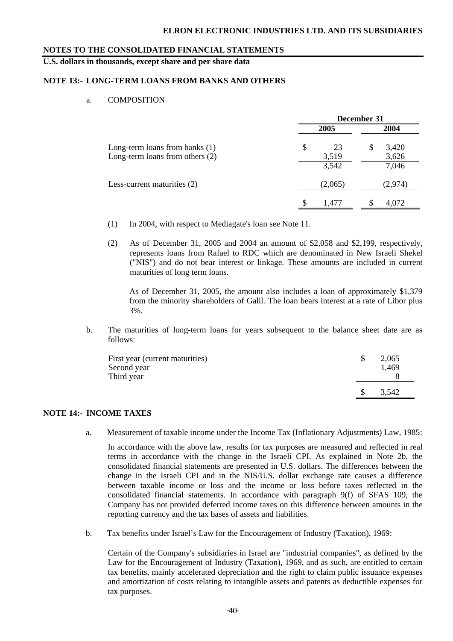**U.S. dollars in thousands, except share and per share data** 

### **NOTE 13:- LONG-TERM LOANS FROM BANKS AND OTHERS**

#### a. COMPOSITION

|                                                                     |                   | December 31         |
|---------------------------------------------------------------------|-------------------|---------------------|
|                                                                     | 2005              | 2004                |
| Long-term loans from banks (1)<br>Long-term loans from others $(2)$ | \$<br>23<br>3,519 | 3,420<br>S<br>3,626 |
| Less-current maturities (2)                                         | 3,542<br>(2,065)  | 7,046<br>(2,974)    |
|                                                                     | 1,477             | 4,072               |

- (1) In 2004, with respect to Mediagate's loan see Note 11.
- (2) As of December 31, 2005 and 2004 an amount of \$2,058 and \$2,199, respectively, represents loans from Rafael to RDC which are denominated in New Israeli Shekel ("NIS") and do not bear interest or linkage. These amounts are included in current maturities of long term loans.

As of December 31, 2005, the amount also includes a loan of approximately \$1,379 from the minority shareholders of Galil. The loan bears interest at a rate of Libor plus 3%.

b. The maturities of long-term loans for years subsequent to the balance sheet date are as follows:

| First year (current maturities)<br>Second year<br>Third year | 2.065<br>1.469 |
|--------------------------------------------------------------|----------------|
|                                                              | 3.542          |

# **NOTE 14:- INCOME TAXES**

a. Measurement of taxable income under the Income Tax (Inflationary Adjustments) Law, 1985:

In accordance with the above law, results for tax purposes are measured and reflected in real terms in accordance with the change in the Israeli CPI. As explained in Note 2b, the consolidated financial statements are presented in U.S. dollars. The differences between the change in the Israeli CPI and in the NIS/U.S. dollar exchange rate causes a difference between taxable income or loss and the income or loss before taxes reflected in the consolidated financial statements. In accordance with paragraph 9(f) of SFAS 109, the Company has not provided deferred income taxes on this difference between amounts in the reporting currency and the tax bases of assets and liabilities.

b. Tax benefits under Israel's Law for the Encouragement of Industry (Taxation), 1969:

Certain of the Company's subsidiaries in Israel are "industrial companies", as defined by the Law for the Encouragement of Industry (Taxation), 1969, and as such, are entitled to certain tax benefits, mainly accelerated depreciation and the right to claim public issuance expenses and amortization of costs relating to intangible assets and patents as deductible expenses for tax purposes.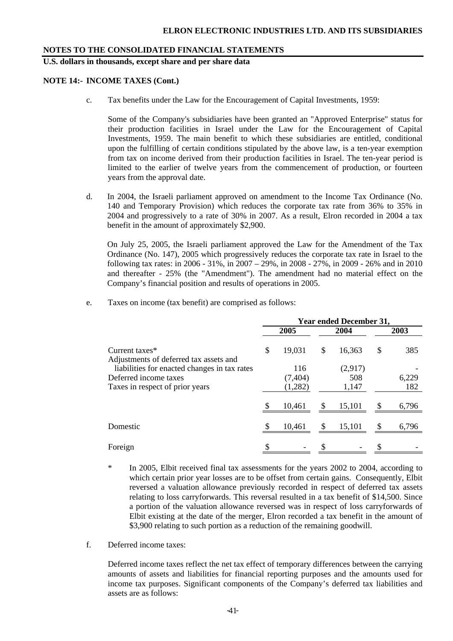**U.S. dollars in thousands, except share and per share data** 

#### **NOTE 14:- INCOME TAXES (Cont.)**

c. Tax benefits under the Law for the Encouragement of Capital Investments, 1959:

Some of the Company's subsidiaries have been granted an "Approved Enterprise" status for their production facilities in Israel under the Law for the Encouragement of Capital Investments, 1959. The main benefit to which these subsidiaries are entitled, conditional upon the fulfilling of certain conditions stipulated by the above law, is a ten-year exemption from tax on income derived from their production facilities in Israel. The ten-year period is limited to the earlier of twelve years from the commencement of production, or fourteen years from the approval date.

d. In 2004, the Israeli parliament approved on amendment to the Income Tax Ordinance (No. 140 and Temporary Provision) which reduces the corporate tax rate from 36% to 35% in 2004 and progressively to a rate of 30% in 2007. As a result, Elron recorded in 2004 a tax benefit in the amount of approximately \$2,900.

On July 25, 2005, the Israeli parliament approved the Law for the Amendment of the Tax Ordinance (No. 147), 2005 which progressively reduces the corporate tax rate in Israel to the following tax rates: in 2006 - 31%, in 2007 – 29%, in 2008 - 27%, in 2009 - 26% and in 2010 and thereafter - 25% (the "Amendment"). The amendment had no material effect on the Company's financial position and results of operations in 2005.

e. Taxes on income (tax benefit) are comprised as follows:

|                                                                       | <b>Year ended December 31,</b> |                 |    |                |               |       |  |  |  |  |
|-----------------------------------------------------------------------|--------------------------------|-----------------|----|----------------|---------------|-------|--|--|--|--|
|                                                                       |                                | 2005            |    | 2004           |               | 2003  |  |  |  |  |
| Current taxes*<br>Adjustments of deferred tax assets and              | \$                             | 19,031          | \$ | 16,363         | \$            | 385   |  |  |  |  |
| liabilities for enacted changes in tax rates<br>Deferred income taxes |                                | 116<br>(7, 404) |    | (2,917)<br>508 |               | 6,229 |  |  |  |  |
| Taxes in respect of prior years                                       |                                | (1,282)         |    | 1,147          |               | 182   |  |  |  |  |
|                                                                       |                                | 10,461          |    | 15,101         |               | 6,796 |  |  |  |  |
| Domestic                                                              | <b>S</b>                       | 10,461          | \$ | 15,101         | <sup>\$</sup> | 6,796 |  |  |  |  |
| Foreign                                                               |                                |                 |    |                |               |       |  |  |  |  |

\* In 2005, Elbit received final tax assessments for the years 2002 to 2004, according to which certain prior year losses are to be offset from certain gains. Consequently, Elbit reversed a valuation allowance previously recorded in respect of deferred tax assets relating to loss carryforwards. This reversal resulted in a tax benefit of \$14,500. Since a portion of the valuation allowance reversed was in respect of loss carryforwards of Elbit existing at the date of the merger, Elron recorded a tax benefit in the amount of \$3,900 relating to such portion as a reduction of the remaining goodwill.

f. Deferred income taxes:

Deferred income taxes reflect the net tax effect of temporary differences between the carrying amounts of assets and liabilities for financial reporting purposes and the amounts used for income tax purposes. Significant components of the Company's deferred tax liabilities and assets are as follows: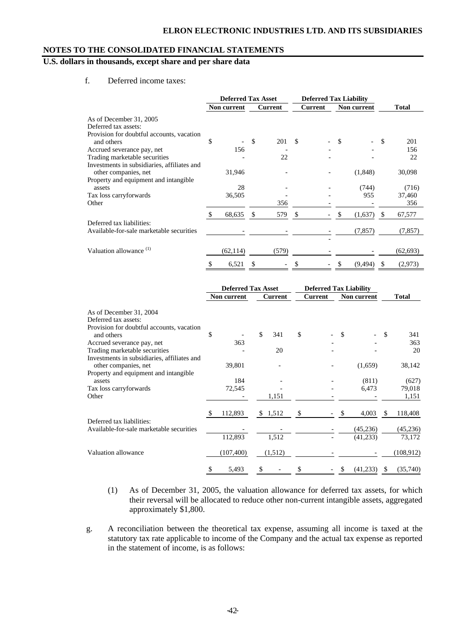# **U.S. dollars in thousands, except share and per share data**

f. Deferred income taxes:

|                                             | <b>Deferred Tax Asset</b> |             |               |         | <b>Deferred Tax Liability</b> |         |    |             |               |              |
|---------------------------------------------|---------------------------|-------------|---------------|---------|-------------------------------|---------|----|-------------|---------------|--------------|
|                                             |                           | Non current |               | Current |                               | Current |    | Non current |               | <b>Total</b> |
| As of December 31, 2005                     |                           |             |               |         |                               |         |    |             |               |              |
| Deferred tax assets:                        |                           |             |               |         |                               |         |    |             |               |              |
| Provision for doubtful accounts, vacation   |                           |             |               |         |                               |         |    |             |               |              |
| and others                                  | \$                        |             | <sup>\$</sup> | 201     | $\mathcal{S}$                 |         | S  |             | S             | 201          |
| Accrued severance pay, net                  |                           | 156         |               |         |                               |         |    |             |               | 156          |
| Trading marketable securities               |                           |             |               | 22      |                               |         |    |             |               | 22           |
| Investments in subsidiaries, affiliates and |                           |             |               |         |                               |         |    |             |               |              |
| other companies, net                        |                           | 31,946      |               |         |                               |         |    | (1,848)     |               | 30,098       |
| Property and equipment and intangible       |                           |             |               |         |                               |         |    |             |               |              |
| assets                                      |                           | 28          |               |         |                               |         |    | (744)       |               | (716)        |
| Tax loss carryforwards                      |                           | 36,505      |               |         |                               |         |    | 955         |               | 37,460       |
| Other                                       |                           |             |               | 356     |                               |         |    |             |               | 356          |
|                                             | S                         | 68,635      | S             | 579     | -S                            |         | S  | (1,637)     | <sup>\$</sup> | 67,577       |
| Deferred tax liabilities:                   |                           |             |               |         |                               |         |    |             |               |              |
| Available-for-sale marketable securities    |                           |             |               |         |                               |         |    | (7, 857)    |               | (7, 857)     |
|                                             |                           |             |               |         |                               |         |    |             |               |              |
| Valuation allowance <sup>(1)</sup>          |                           | (62, 114)   |               | (579)   |                               |         |    |             |               | (62, 693)    |
|                                             | \$                        | 6,521       | S             |         | \$                            |         | \$ | (9, 494)    | \$.           | (2,973)      |

|                                             | <b>Deferred Tax Asset</b> |                | <b>Deferred Tax Liability</b> |                |    |             |               |              |
|---------------------------------------------|---------------------------|----------------|-------------------------------|----------------|----|-------------|---------------|--------------|
|                                             | Non current               | <b>Current</b> |                               | <b>Current</b> |    | Non current |               | <b>Total</b> |
| As of December 31, 2004                     |                           |                |                               |                |    |             |               |              |
| Deferred tax assets:                        |                           |                |                               |                |    |             |               |              |
| Provision for doubtful accounts, vacation   |                           |                |                               |                |    |             |               |              |
| and others                                  | \$                        | \$<br>341      | \$                            |                | \$ |             | \$            | 341          |
| Accrued severance pay, net                  | 363                       |                |                               |                |    |             |               | 363          |
| Trading marketable securities               |                           | 20             |                               |                |    |             |               | 20           |
| Investments in subsidiaries, affiliates and |                           |                |                               |                |    |             |               |              |
| other companies, net                        | 39,801                    |                |                               |                |    | (1,659)     |               | 38,142       |
| Property and equipment and intangible       |                           |                |                               |                |    |             |               |              |
| assets                                      | 184                       |                |                               |                |    | (811)       |               | (627)        |
| Tax loss carryforwards                      | 72,545                    |                |                               |                |    | 6,473       |               | 79,018       |
| Other                                       |                           | 1,151          |                               |                |    |             |               | 1,151        |
|                                             | \$<br>112,893             | \$1,512        | \$                            |                | \$ | 4,003       | <sup>\$</sup> | 118,408      |
| Deferred tax liabilities:                   |                           |                |                               |                |    |             |               |              |
| Available-for-sale marketable securities    |                           |                |                               |                |    | (45, 236)   |               | (45,236)     |
|                                             | 112,893                   | 1,512          |                               |                |    | (41,233)    |               | 73,172       |
| Valuation allowance                         | (107, 400)                | (1,512)        |                               |                |    |             |               | (108, 912)   |
|                                             | \$<br>5,493               | \$             | \$                            |                | \$ | (41,233)    | S             | (35,740)     |

- (1) As of December 31, 2005, the valuation allowance for deferred tax assets, for which their reversal will be allocated to reduce other non-current intangible assets, aggregated approximately \$1,800.
- g. A reconciliation between the theoretical tax expense, assuming all income is taxed at the statutory tax rate applicable to income of the Company and the actual tax expense as reported in the statement of income, is as follows: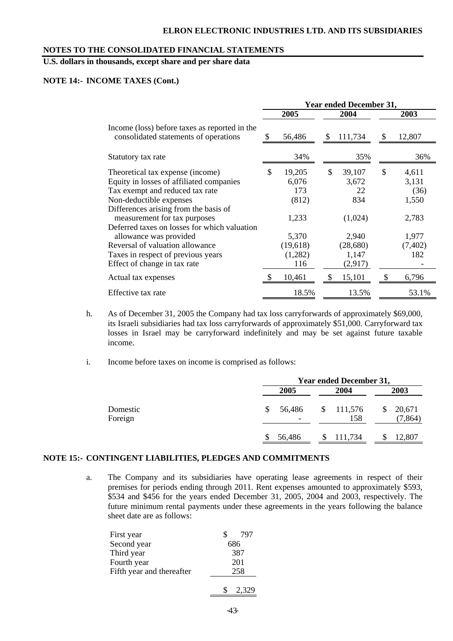# **U.S. dollars in thousands, except share and per share data**

### **NOTE 14:- INCOME TAXES (Cont.)**

|                                                                                        | <b>Year ended December 31,</b> |          |     |          |               |          |  |  |  |  |  |
|----------------------------------------------------------------------------------------|--------------------------------|----------|-----|----------|---------------|----------|--|--|--|--|--|
|                                                                                        |                                | 2005     |     | 2004     |               | 2003     |  |  |  |  |  |
| Income (loss) before taxes as reported in the<br>consolidated statements of operations |                                | 56,486   | \$  | 111,734  | <sup>\$</sup> | 12,807   |  |  |  |  |  |
| Statutory tax rate                                                                     |                                | 34%      |     | 35%      |               | 36%      |  |  |  |  |  |
| Theoretical tax expense (income)                                                       | \$                             | 19,205   | \$  | 39,107   | \$            | 4,611    |  |  |  |  |  |
| Equity in losses of affiliated companies                                               |                                | 6,076    |     | 3,672    |               | 3,131    |  |  |  |  |  |
| Tax exempt and reduced tax rate                                                        |                                | 173      |     | 22       |               | (36)     |  |  |  |  |  |
| Non-deductible expenses                                                                |                                | (812)    |     | 834      |               | 1,550    |  |  |  |  |  |
| Differences arising from the basis of                                                  |                                |          |     |          |               |          |  |  |  |  |  |
| measurement for tax purposes                                                           |                                | 1,233    |     | (1,024)  |               | 2,783    |  |  |  |  |  |
| Deferred taxes on losses for which valuation                                           |                                |          |     |          |               |          |  |  |  |  |  |
| allowance was provided                                                                 |                                | 5,370    |     | 2,940    |               | 1,977    |  |  |  |  |  |
| Reversal of valuation allowance                                                        |                                | (19,618) |     | (28,680) |               | (7, 402) |  |  |  |  |  |
| Taxes in respect of previous years                                                     |                                | (1,282)  |     | 1,147    |               | 182      |  |  |  |  |  |
| Effect of change in tax rate                                                           |                                | 116      |     | (2,917)  |               |          |  |  |  |  |  |
| Actual tax expenses                                                                    |                                | 10,461   | \$. | 15,101   | \$.           | 6,796    |  |  |  |  |  |
| Effective tax rate                                                                     |                                | 18.5%    |     | 13.5%    |               | 53.1%    |  |  |  |  |  |

- h. As of December 31, 2005 the Company had tax loss carryforwards of approximately \$69,000, its Israeli subsidiaries had tax loss carryforwards of approximately \$51,000. Carryforward tax losses in Israel may be carryforward indefinitely and may be set against future taxable income.
- i. Income before taxes on income is comprised as follows:

|                     |              | <b>Year ended December 31,</b> |                    |  |  |  |  |  |  |  |  |
|---------------------|--------------|--------------------------------|--------------------|--|--|--|--|--|--|--|--|
|                     | 2005         | 2004                           | 2003               |  |  |  |  |  |  |  |  |
| Domestic<br>Foreign | 56,486<br>S. | \$111,576<br>158               | 20,671<br>(7, 864) |  |  |  |  |  |  |  |  |
|                     | 56,486       | 111,734                        | 12,807             |  |  |  |  |  |  |  |  |

### **NOTE 15:- CONTINGENT LIABILITIES, PLEDGES AND COMMITMENTS**

a. The Company and its subsidiaries have operating lease agreements in respect of their premises for periods ending through 2011. Rent expenses amounted to approximately \$593, \$534 and \$456 for the years ended December 31, 2005, 2004 and 2003, respectively. The future minimum rental payments under these agreements in the years following the balance sheet date are as follows:

| First year                | 797   |
|---------------------------|-------|
| Second year               | 686   |
| Third year                | 387   |
| Fourth year               | 201   |
| Fifth year and thereafter | 258   |
|                           | 2,329 |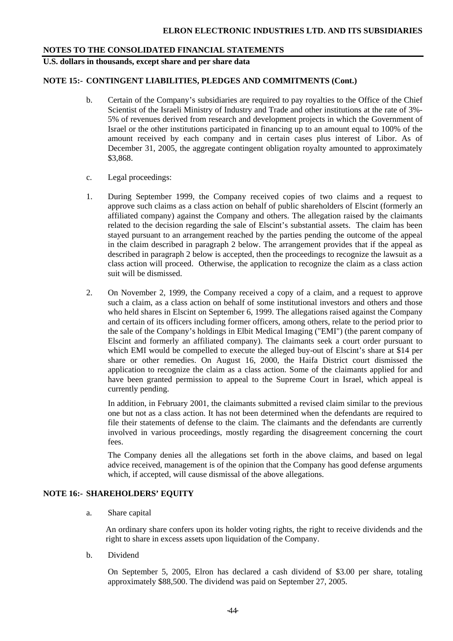**U.S. dollars in thousands, except share and per share data** 

### **NOTE 15:- CONTINGENT LIABILITIES, PLEDGES AND COMMITMENTS (Cont.)**

- b. Certain of the Company's subsidiaries are required to pay royalties to the Office of the Chief Scientist of the Israeli Ministry of Industry and Trade and other institutions at the rate of 3%- 5% of revenues derived from research and development projects in which the Government of Israel or the other institutions participated in financing up to an amount equal to 100% of the amount received by each company and in certain cases plus interest of Libor. As of December 31, 2005, the aggregate contingent obligation royalty amounted to approximately \$3,868.
- c. Legal proceedings:
- 1. During September 1999, the Company received copies of two claims and a request to approve such claims as a class action on behalf of public shareholders of Elscint (formerly an affiliated company) against the Company and others. The allegation raised by the claimants related to the decision regarding the sale of Elscint's substantial assets. The claim has been stayed pursuant to an arrangement reached by the parties pending the outcome of the appeal in the claim described in paragraph 2 below. The arrangement provides that if the appeal as described in paragraph 2 below is accepted, then the proceedings to recognize the lawsuit as a class action will proceed. Otherwise, the application to recognize the claim as a class action suit will be dismissed.
- 2. On November 2, 1999, the Company received a copy of a claim, and a request to approve such a claim, as a class action on behalf of some institutional investors and others and those who held shares in Elscint on September 6, 1999. The allegations raised against the Company and certain of its officers including former officers, among others, relate to the period prior to the sale of the Company's holdings in Elbit Medical Imaging ("EMI") (the parent company of Elscint and formerly an affiliated company). The claimants seek a court order pursuant to which EMI would be compelled to execute the alleged buy-out of Elscint's share at \$14 per share or other remedies. On August 16, 2000, the Haifa District court dismissed the application to recognize the claim as a class action. Some of the claimants applied for and have been granted permission to appeal to the Supreme Court in Israel, which appeal is currently pending.

 In addition, in February 2001, the claimants submitted a revised claim similar to the previous one but not as a class action. It has not been determined when the defendants are required to file their statements of defense to the claim. The claimants and the defendants are currently involved in various proceedings, mostly regarding the disagreement concerning the court fees.

 The Company denies all the allegations set forth in the above claims, and based on legal advice received, management is of the opinion that the Company has good defense arguments which, if accepted, will cause dismissal of the above allegations.

### **NOTE 16:- SHAREHOLDERS' EQUITY**

a. Share capital

 An ordinary share confers upon its holder voting rights, the right to receive dividends and the right to share in excess assets upon liquidation of the Company.

b. Dividend

On September 5, 2005, Elron has declared a cash dividend of \$3.00 per share, totaling approximately \$88,500. The dividend was paid on September 27, 2005.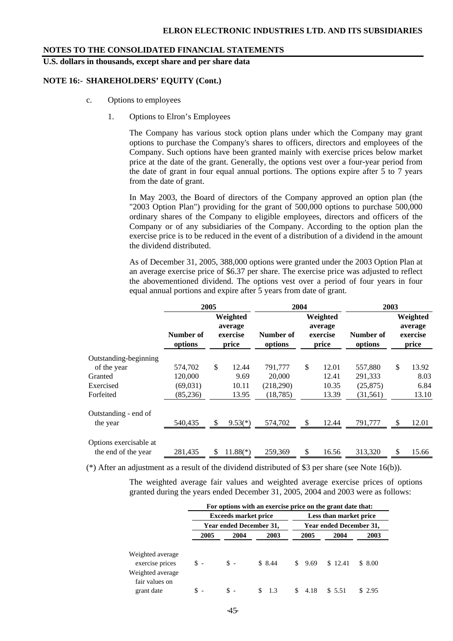**U.S. dollars in thousands, except share and per share data** 

### **NOTE 16:- SHAREHOLDERS' EQUITY (Cont.)**

- c. Options to employees
	- 1. Options to Elron's Employees

 The Company has various stock option plans under which the Company may grant options to purchase the Company's shares to officers, directors and employees of the Company. Such options have been granted mainly with exercise prices below market price at the date of the grant. Generally, the options vest over a four-year period from the date of grant in four equal annual portions. The options expire after 5 to 7 years from the date of grant.

 In May 2003, the Board of directors of the Company approved an option plan (the "2003 Option Plan") providing for the grant of 500,000 options to purchase 500,000 ordinary shares of the Company to eligible employees, directors and officers of the Company or of any subsidiaries of the Company. According to the option plan the exercise price is to be reduced in the event of a distribution of a dividend in the amount the dividend distributed.

 As of December 31, 2005, 388,000 options were granted under the 2003 Option Plan at an average exercise price of \$6.37 per share. The exercise price was adjusted to reflect the abovementioned dividend. The options vest over a period of four years in four equal annual portions and expire after 5 years from date of grant.

|                        | 2005                 |    |                                          |                      | 2004                                     |       | 2003                 |                                          |       |  |
|------------------------|----------------------|----|------------------------------------------|----------------------|------------------------------------------|-------|----------------------|------------------------------------------|-------|--|
|                        | Number of<br>options |    | Weighted<br>average<br>exercise<br>price | Number of<br>options | Weighted<br>average<br>exercise<br>price |       | Number of<br>options | Weighted<br>average<br>exercise<br>price |       |  |
| Outstanding-beginning  |                      |    |                                          |                      |                                          |       |                      |                                          |       |  |
| of the year            | 574,702              | \$ | 12.44                                    | 791,777              | \$                                       | 12.01 | 557,880              | \$                                       | 13.92 |  |
| Granted                | 120,000              |    | 9.69                                     | 20,000               |                                          | 12.41 | 291,333              |                                          | 8.03  |  |
| Exercised              | (69,031)             |    | 10.11                                    | (218,290)            |                                          | 10.35 | (25, 875)            |                                          | 6.84  |  |
| Forfeited              | (85, 236)            |    | 13.95                                    | (18, 785)            |                                          | 13.39 | (31, 561)            |                                          | 13.10 |  |
| Outstanding - end of   |                      |    |                                          |                      |                                          |       |                      |                                          |       |  |
| the year               | 540,435              | \$ | $9.53(*)$                                | 574,702              | \$                                       | 12.44 | 791,777              | S                                        | 12.01 |  |
| Options exercisable at |                      |    | $11.88(*)$                               |                      | \$                                       |       |                      | \$                                       | 15.66 |  |
| the end of the year    | 281,435              | \$ |                                          | 259,369              |                                          | 16.56 | 313,320              |                                          |       |  |

(\*) After an adjustment as a result of the dividend distributed of \$3 per share (see Note 16(b)).

The weighted average fair values and weighted average exercise prices of options granted during the years ended December 31, 2005, 2004 and 2003 were as follows:

|                                                         |                |                             | For options with an exercise price on the grant date that: |                         |         |         |  |  |  |  |
|---------------------------------------------------------|----------------|-----------------------------|------------------------------------------------------------|-------------------------|---------|---------|--|--|--|--|
|                                                         |                | <b>Exceeds market price</b> |                                                            | Less than market price  |         |         |  |  |  |  |
|                                                         |                | Year ended December 31,     |                                                            | Year ended December 31, |         |         |  |  |  |  |
|                                                         | 2005           | 2004                        | 2003                                                       | 2005                    | 2004    | 2003    |  |  |  |  |
| Weighted average<br>exercise prices<br>Weighted average | $\mathbb{S}$ - | $S -$                       | \$8.44                                                     | \$9.69                  | \$12.41 | \$ 8.00 |  |  |  |  |
| fair values on<br>grant date                            | \$             | $\mathbb{S}$ -              | \$1.3                                                      | 4.18                    | \$5.51  | \$2.95  |  |  |  |  |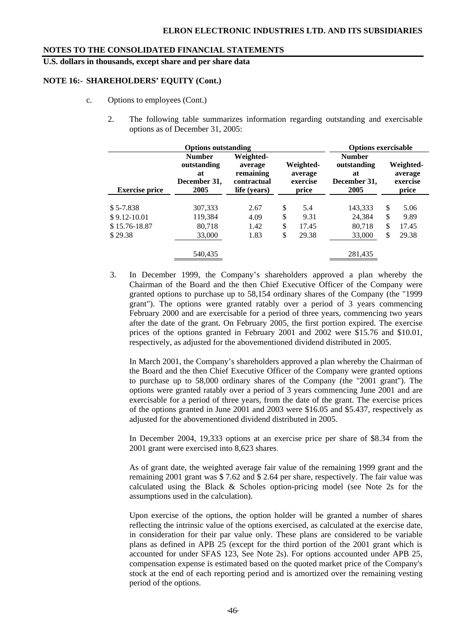**U.S. dollars in thousands, except share and per share data** 

### **NOTE 16:- SHAREHOLDERS' EQUITY (Cont.)**

- c. Options to employees (Cont.)
	- 2. The following table summarizes information regarding outstanding and exercisable options as of December 31, 2005:

|                       | <b>Options outstanding</b>                                 |                                                                  |                                           | <b>Options exercisable</b>                                 |                                           |       |  |
|-----------------------|------------------------------------------------------------|------------------------------------------------------------------|-------------------------------------------|------------------------------------------------------------|-------------------------------------------|-------|--|
| <b>Exercise price</b> | <b>Number</b><br>outstanding<br>at<br>December 31,<br>2005 | Weighted-<br>average<br>remaining<br>contractual<br>life (years) | Weighted-<br>average<br>exercise<br>price | <b>Number</b><br>outstanding<br>at<br>December 31,<br>2005 | Weighted-<br>average<br>exercise<br>price |       |  |
| $$5-7.838$            | 307,333                                                    | 2.67                                                             | \$<br>5.4                                 | 143,333                                                    | \$                                        | 5.06  |  |
| $$9.12-10.01$         | 119,384                                                    | 4.09                                                             | \$<br>9.31                                | 24,384                                                     | \$                                        | 9.89  |  |
| \$15.76-18.87         | 80,718                                                     | 1.42                                                             | \$<br>17.45                               | 80,718                                                     | \$                                        | 17.45 |  |
| \$29.38               | 33,000                                                     | 1.83                                                             | \$<br>29.38                               | 33,000                                                     | \$                                        | 29.38 |  |
|                       | 540,435                                                    |                                                                  |                                           | 281,435                                                    |                                           |       |  |

3. In December 1999, the Company's shareholders approved a plan whereby the Chairman of the Board and the then Chief Executive Officer of the Company were granted options to purchase up to 58,154 ordinary shares of the Company (the "1999 grant"). The options were granted ratably over a period of 3 years commencing February 2000 and are exercisable for a period of three years, commencing two years after the date of the grant. On February 2005, the first portion expired. The exercise prices of the options granted in February 2001 and 2002 were \$15.76 and \$10.01, respectively, as adjusted for the abovementioned dividend distributed in 2005.

In March 2001, the Company's shareholders approved a plan whereby the Chairman of the Board and the then Chief Executive Officer of the Company were granted options to purchase up to 58,000 ordinary shares of the Company (the "2001 grant"). The options were granted ratably over a period of 3 years commencing June 2001 and are exercisable for a period of three years, from the date of the grant. The exercise prices of the options granted in June 2001 and 2003 were \$16.05 and \$5.437, respectively as adjusted for the abovementioned dividend distributed in 2005.

In December 2004, 19,333 options at an exercise price per share of \$8.34 from the 2001 grant were exercised into 8,623 shares.

As of grant date, the weighted average fair value of the remaining 1999 grant and the remaining 2001 grant was \$ 7.62 and \$ 2.64 per share, respectively. The fair value was calculated using the Black & Scholes option-pricing model (see Note 2s for the assumptions used in the calculation).

 Upon exercise of the options, the option holder will be granted a number of shares reflecting the intrinsic value of the options exercised, as calculated at the exercise date, in consideration for their par value only. These plans are considered to be variable plans as defined in APB 25 (except for the third portion of the 2001 grant which is accounted for under SFAS 123, See Note 2s). For options accounted under APB 25, compensation expense is estimated based on the quoted market price of the Company's stock at the end of each reporting period and is amortized over the remaining vesting period of the options.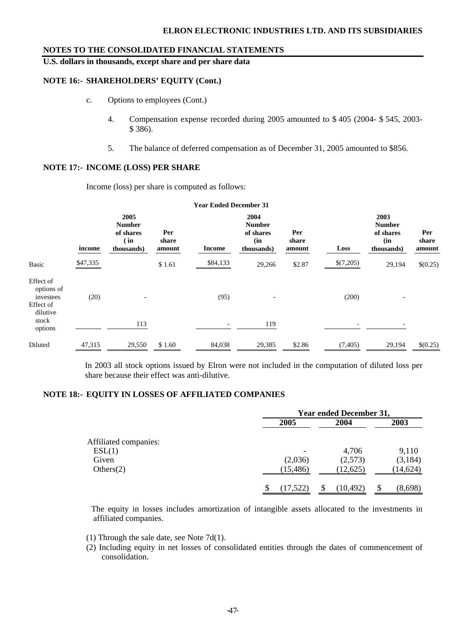**U.S. dollars in thousands, except share and per share data** 

### **NOTE 16:- SHAREHOLDERS' EQUITY (Cont.)**

- c. Options to employees (Cont.)
	- 4. Compensation expense recorded during 2005 amounted to \$ 405 (2004- \$ 545, 2003- \$ 386).
	- 5. The balance of deferred compensation as of December 31, 2005 amounted to \$856.

### **NOTE 17:- INCOME (LOSS) PER SHARE**

Income (loss) per share is computed as follows:

|                                                                        |          |                                                          |                        | <b>Year Ended December 31</b> |                                                         |                        |           |                                                         |                        |
|------------------------------------------------------------------------|----------|----------------------------------------------------------|------------------------|-------------------------------|---------------------------------------------------------|------------------------|-----------|---------------------------------------------------------|------------------------|
|                                                                        | income   | 2005<br><b>Number</b><br>of shares<br>(in)<br>thousands) | Per<br>share<br>amount | <b>Income</b>                 | 2004<br><b>Number</b><br>of shares<br>(in<br>thousands) | Per<br>share<br>amount | Loss      | 2003<br><b>Number</b><br>of shares<br>(in<br>thousands) | Per<br>share<br>amount |
| Basic                                                                  | \$47,335 |                                                          | \$1.61                 | \$84,133                      | 29,266                                                  | \$2.87                 | \$(7,205) | 29,194                                                  | \$(0.25)               |
| Effect of<br>options of<br>investees<br>Effect of<br>dilutive<br>stock | (20)     | $\overline{\phantom{0}}$<br>113                          |                        | (95)                          | 119                                                     |                        | (200)     |                                                         |                        |
| options<br>Diluted                                                     | 47,315   | 29,550                                                   | \$1.60                 | 84,038                        | 29,385                                                  | \$2.86                 | (7, 405)  | 29,194                                                  | \$(0.25)               |

In 2003 all stock options issued by Elron were not included in the computation of diluted loss per share because their effect was anti-dilutive.

### **NOTE 18:- EQUITY IN LOSSES OF AFFILIATED COMPANIES**

|                       |                          | <b>Year ended December 31,</b> |           |
|-----------------------|--------------------------|--------------------------------|-----------|
|                       | 2005                     | 2004                           | 2003      |
| Affiliated companies: |                          |                                |           |
| ESL(1)                | $\overline{\phantom{a}}$ | 4,706                          | 9,110     |
| Given                 | (2,036)                  | (2,573)                        | (3,184)   |
| Others(2)             | (15, 486)                | (12, 625)                      | (14, 624) |
|                       | (17, 522)                | (10, 492)                      | (8,698)   |

 The equity in losses includes amortization of intangible assets allocated to the investments in affiliated companies.

- (1) Through the sale date, see Note 7d(1).
- (2) Including equity in net losses of consolidated entities through the dates of commencement of consolidation.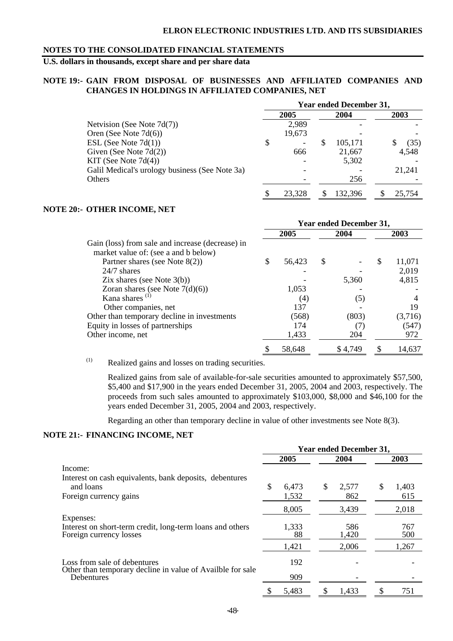# **U.S. dollars in thousands, except share and per share data**

### **NOTE 19:- GAIN FROM DISPOSAL OF BUSINESSES AND AFFILIATED COMPANIES AND CHANGES IN HOLDINGS IN AFFILIATED COMPANIES, NET**

|                                                |        |   | <b>Year ended December 31,</b> |        |
|------------------------------------------------|--------|---|--------------------------------|--------|
|                                                | 2005   |   | 2004                           | 2003   |
| Netvision (See Note $7d(7)$ )                  | 2,989  |   |                                |        |
| Oren (See Note $7d(6)$ )                       | 19,673 |   |                                |        |
| ESL (See Note $7d(1)$ )                        | \$     | Ъ | 105,171                        | (35)   |
| Given (See Note $7d(2)$ )                      | 666    |   | 21,667                         | 4,548  |
| KIT (See Note $7d(4)$ )                        |        |   | 5,302                          |        |
| Galil Medical's urology business (See Note 3a) |        |   |                                | 21,241 |
| Others                                         |        |   | 256                            |        |
|                                                | 23.328 |   | 132.396                        | 25,754 |

#### **NOTE 20:- OTHER INCOME, NET**

|                                                  | <b>Year ended December 31,</b> |        |   |         |   |         |  |  |
|--------------------------------------------------|--------------------------------|--------|---|---------|---|---------|--|--|
|                                                  |                                | 2005   |   | 2004    |   | 2003    |  |  |
| Gain (loss) from sale and increase (decrease) in |                                |        |   |         |   |         |  |  |
| market value of: (see a and b below)             |                                |        |   |         |   |         |  |  |
| Partner shares (see Note $8(2)$ )                | S                              | 56,423 | S |         | S | 11,071  |  |  |
| $24/7$ shares                                    |                                |        |   |         |   | 2,019   |  |  |
| Zix shares (see Note $3(b)$ )                    |                                |        |   | 5,360   |   | 4,815   |  |  |
| Zoran shares (see Note $7(d)(6)$ )               |                                | 1,053  |   |         |   |         |  |  |
| Kana shares <sup>(1)</sup>                       |                                | (4)    |   | (5)     |   |         |  |  |
| Other companies, net                             |                                | 137    |   |         |   | 19      |  |  |
| Other than temporary decline in investments      |                                | (568)  |   | (803)   |   | (3,716) |  |  |
| Equity in losses of partnerships                 |                                | 174    |   |         |   | (547)   |  |  |
| Other income, net                                |                                | 1,433  |   | 204     |   | 972     |  |  |
|                                                  |                                | 58,648 |   | \$4,749 |   | 14.637  |  |  |

(1) Realized gains and losses on trading securities.

 Realized gains from sale of available-for-sale securities amounted to approximately \$57,500, \$5,400 and \$17,900 in the years ended December 31, 2005, 2004 and 2003, respectively. The proceeds from such sales amounted to approximately \$103,000, \$8,000 and \$46,100 for the years ended December 31, 2005, 2004 and 2003, respectively.

Regarding an other than temporary decline in value of other investments see Note 8(3).

### **NOTE 21:- FINANCING INCOME, NET**

|                                                                                            | <b>Year ended December 31,</b> |       |      |       |    |       |  |
|--------------------------------------------------------------------------------------------|--------------------------------|-------|------|-------|----|-------|--|
|                                                                                            | 2005                           |       | 2004 |       |    | 2003  |  |
| Income:                                                                                    |                                |       |      |       |    |       |  |
| Interest on cash equivalents, bank deposits, debentures                                    |                                |       |      |       |    |       |  |
| and loans                                                                                  | \$                             | 6,473 | \$   | 2,577 | \$ | 1,403 |  |
| Foreign currency gains                                                                     |                                | 1,532 |      | 862   |    | 615   |  |
|                                                                                            |                                | 8,005 |      | 3,439 |    | 2,018 |  |
| Expenses:                                                                                  |                                |       |      |       |    |       |  |
| Interest on short-term credit, long-term loans and others                                  |                                | 1,333 |      | 586   |    | 767   |  |
| Foreign currency losses                                                                    |                                | 88    |      | 1,420 |    | 500   |  |
|                                                                                            |                                | 1,421 |      | 2,006 |    | 1,267 |  |
| Loss from sale of debentures<br>Other than temporary decline in value of Availble for sale |                                | 192   |      |       |    |       |  |
| Debentures                                                                                 |                                | 909   |      |       |    |       |  |
|                                                                                            |                                | 5,483 |      | 1,433 | \$ | 751   |  |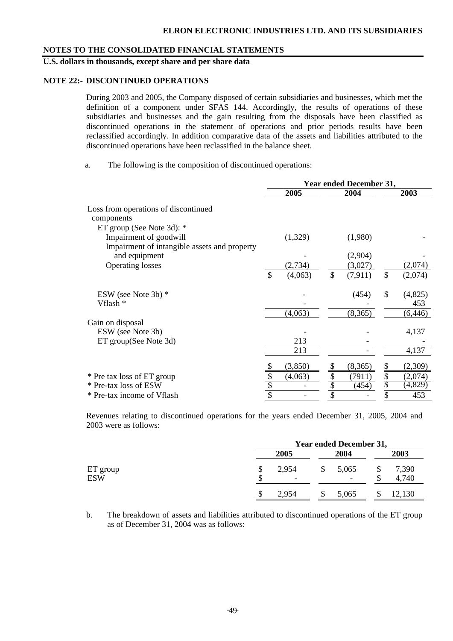# **U.S. dollars in thousands, except share and per share data**

### **NOTE 22:- DISCONTINUED OPERATIONS**

During 2003 and 2005, the Company disposed of certain subsidiaries and businesses, which met the definition of a component under SFAS 144. Accordingly, the results of operations of these subsidiaries and businesses and the gain resulting from the disposals have been classified as discontinued operations in the statement of operations and prior periods results have been reclassified accordingly. In addition comparative data of the assets and liabilities attributed to the discontinued operations have been reclassified in the balance sheet.

a. The following is the composition of discontinued operations:

|                                                                                                     |                 |         | <b>Year ended December 31,</b> |               |                |
|-----------------------------------------------------------------------------------------------------|-----------------|---------|--------------------------------|---------------|----------------|
|                                                                                                     |                 | 2005    | 2004                           |               | 2003           |
| Loss from operations of discontinued<br>components                                                  |                 |         |                                |               |                |
| ET group (See Note 3d): *<br>Impairment of goodwill<br>Impairment of intangible assets and property |                 | (1,329) | (1,980)                        |               |                |
| and equipment                                                                                       |                 |         | (2,904)                        |               |                |
| <b>Operating losses</b>                                                                             |                 | (2,734) | (3,027)                        |               | (2,074)        |
|                                                                                                     | $\mathcal{S}$   | (4,063) | \$<br>(7, 911)                 | $\mathcal{S}$ | (2,074)        |
| ESW (see Note 3b) $*$<br>Vflash *                                                                   |                 |         | (454)                          | \$            | (4,825)<br>453 |
|                                                                                                     |                 | (4,063) | (8,365)                        |               | (6, 446)       |
| Gain on disposal<br>ESW (see Note 3b)<br>ET group(See Note 3d)                                      |                 | 213     |                                |               | 4,137          |
|                                                                                                     |                 | 213     |                                |               | 4,137          |
|                                                                                                     |                 | (3,850) | (8,365)                        | S             | (2,309)        |
| * Pre tax loss of ET group                                                                          | \$              | (4,063) | (7911)                         | \$            | (2,074)        |
| * Pre-tax loss of ESW                                                                               | \$              |         | (454)                          |               | (4,829)        |
| * Pre-tax income of Vflash                                                                          | $\overline{\$}$ |         | \$                             |               | 453            |

Revenues relating to discontinued operations for the years ended December 31, 2005, 2004 and 2003 were as follows:

|                        |         |                                   |    | <b>Year ended December 31,</b> |      |                |  |
|------------------------|---------|-----------------------------------|----|--------------------------------|------|----------------|--|
|                        | 2005    |                                   |    | 2004                           | 2003 |                |  |
| ET group<br><b>ESW</b> | \$<br>¢ | 2,954<br>$\overline{\phantom{a}}$ | S  | 5,065                          |      | 7,390<br>4,740 |  |
|                        | \$      | 2,954                             | \$ | 5,065                          |      | 12,130         |  |

b. The breakdown of assets and liabilities attributed to discontinued operations of the ET group as of December 31, 2004 was as follows: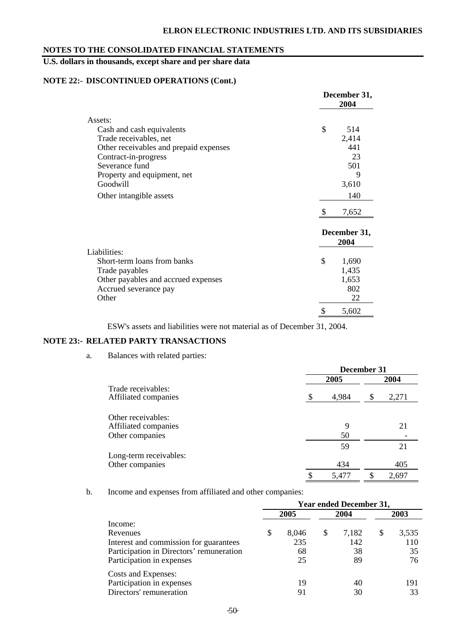# **U.S. dollars in thousands, except share and per share data**

# **NOTE 22:- DISCONTINUED OPERATIONS (Cont.)**

|                                        | December 31,<br>2004 |
|----------------------------------------|----------------------|
| Assets:                                |                      |
| Cash and cash equivalents              | \$<br>514            |
| Trade receivables, net                 | 2,414                |
| Other receivables and prepaid expenses | 441                  |
| Contract-in-progress                   | 23                   |
| Severance fund                         | 501                  |
| Property and equipment, net            | 9                    |
| Goodwill                               | 3,610                |
| Other intangible assets                | 140                  |
|                                        | 7,652                |
|                                        | December 31,<br>2004 |
| Liabilities:                           |                      |
| Short-term loans from banks            | \$<br>1,690          |
| Trade payables                         | 1,435                |
| Other payables and accrued expenses    | 1,653                |
| Accrued severance pay                  | 802                  |
| Other                                  | 22                   |
|                                        | \$<br>5,602          |

ESW's assets and liabilities were not material as of December 31, 2004.

## **NOTE 23:- RELATED PARTY TRANSACTIONS**

### a. Balances with related parties:

|                                            | December 31 |   |       |  |
|--------------------------------------------|-------------|---|-------|--|
|                                            | 2005        |   |       |  |
| Trade receivables:<br>Affiliated companies | 4,984       | S | 2,271 |  |
| Other receivables:<br>Affiliated companies | 9           |   | 21    |  |
| Other companies                            | 50          |   |       |  |
| Long-term receivables:                     | 59          |   | 21    |  |
| Other companies                            | 434         |   | 405   |  |
|                                            | \$<br>5.477 | S | 2,697 |  |

b. Income and expenses from affiliated and other companies:

|                                          |   |       | <b>Year ended December 31,</b> |   |       |
|------------------------------------------|---|-------|--------------------------------|---|-------|
|                                          |   | 2005  | 2004                           |   | 2003  |
| Income:                                  |   |       |                                |   |       |
| Revenues                                 | S | 8,046 | \$<br>7,182                    | S | 3,535 |
| Interest and commission for guarantees   |   | 235   | 142                            |   | 110   |
| Participation in Directors' remuneration |   | 68    | 38                             |   | 35    |
| Participation in expenses                |   | 25    | 89                             |   | 76    |
| Costs and Expenses:                      |   |       |                                |   |       |
| Participation in expenses                |   | 19    | 40                             |   | 191   |
| Directors' remuneration                  |   | 91    | 30                             |   | 33    |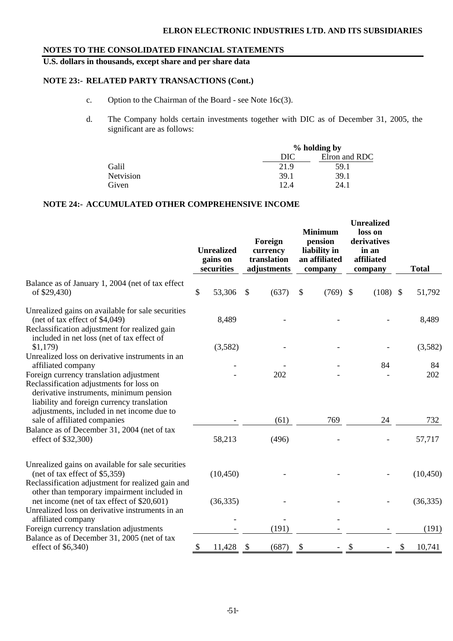# **ELRON ELECTRONIC INDUSTRIES LTD. AND ITS SUBSIDIARIES**

## **NOTES TO THE CONSOLIDATED FINANCIAL STATEMENTS**

**U.S. dollars in thousands, except share and per share data** 

# **NOTE 23:- RELATED PARTY TRANSACTIONS (Cont.)**

- c. Option to the Chairman of the Board see Note 16c(3).
- d. The Company holds certain investments together with DIC as of December 31, 2005, the significant are as follows:

|                  |      | % holding by  |
|------------------|------|---------------|
|                  | DIC  | Elron and RDC |
| Galil            | 21.9 | 59.1          |
| <b>Netvision</b> | 39.1 | 39.1          |
| Given            | 12.4 | 24.1          |

## **NOTE 24:- ACCUMULATED OTHER COMPREHENSIVE INCOME**

|                                                                                                                                                                                    | <b>Unrealized</b><br>gains on<br>securities |                           | Foreign<br>currency<br>translation<br>adjustments | <b>Minimum</b><br>pension<br>liability in<br>an affiliated<br>company | <b>Unrealized</b><br>loss on<br>derivatives<br>in an<br>affiliated<br>company | <b>Total</b> |
|------------------------------------------------------------------------------------------------------------------------------------------------------------------------------------|---------------------------------------------|---------------------------|---------------------------------------------------|-----------------------------------------------------------------------|-------------------------------------------------------------------------------|--------------|
| Balance as of January 1, 2004 (net of tax effect<br>of \$29,430)                                                                                                                   | \$<br>53,306                                | $\boldsymbol{\mathsf{S}}$ | (637)                                             | \$<br>$(769)$ \$                                                      | $(108)$ \$                                                                    | 51,792       |
| Unrealized gains on available for sale securities<br>(net of tax effect of \$4,049)<br>Reclassification adjustment for realized gain<br>included in net loss (net of tax effect of | 8,489                                       |                           |                                                   |                                                                       |                                                                               | 8,489        |
| \$1,179                                                                                                                                                                            | (3,582)                                     |                           |                                                   |                                                                       |                                                                               | (3,582)      |
| Unrealized loss on derivative instruments in an<br>affiliated company<br>Foreign currency translation adjustment<br>Reclassification adjustments for loss on                       |                                             |                           | 202                                               |                                                                       | 84                                                                            | 84<br>202    |
| derivative instruments, minimum pension<br>liability and foreign currency translation<br>adjustments, included in net income due to<br>sale of affiliated companies                |                                             |                           | (61)                                              | 769                                                                   | 24                                                                            | 732          |
| Balance as of December 31, 2004 (net of tax<br>effect of \$32,300)                                                                                                                 | 58,213                                      |                           | (496)                                             |                                                                       |                                                                               | 57,717       |
| Unrealized gains on available for sale securities<br>(net of tax effect of $$5,359$ )                                                                                              | (10, 450)                                   |                           |                                                   |                                                                       |                                                                               | (10, 450)    |
| Reclassification adjustment for realized gain and<br>other than temporary impairment included in<br>net income (net of tax effect of \$20,601)                                     | (36, 335)                                   |                           |                                                   |                                                                       |                                                                               | (36, 335)    |
| Unrealized loss on derivative instruments in an<br>affiliated company<br>Foreign currency translation adjustments                                                                  |                                             |                           | (191)                                             |                                                                       |                                                                               | (191)        |
| Balance as of December 31, 2005 (net of tax<br>effect of $$6,340)$                                                                                                                 | \$<br>11,428                                | \$                        | (687)                                             | \$                                                                    | \$                                                                            | \$<br>10,741 |
|                                                                                                                                                                                    |                                             |                           |                                                   |                                                                       |                                                                               |              |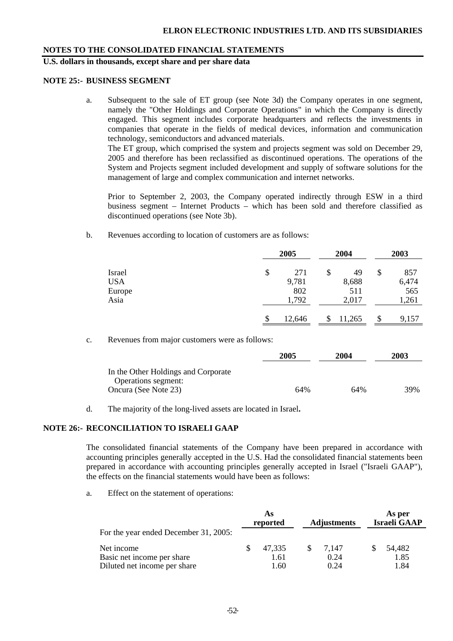## **U.S. dollars in thousands, except share and per share data**

#### **NOTE 25:- BUSINESS SEGMENT**

a. Subsequent to the sale of ET group (see Note 3d) the Company operates in one segment, namely the "Other Holdings and Corporate Operations" in which the Company is directly engaged. This segment includes corporate headquarters and reflects the investments in companies that operate in the fields of medical devices, information and communication technology, semiconductors and advanced materials.

The ET group, which comprised the system and projects segment was sold on December 29, 2005 and therefore has been reclassified as discontinued operations. The operations of the System and Projects segment included development and supply of software solutions for the management of large and complex communication and internet networks.

Prior to September 2, 2003, the Company operated indirectly through ESW in a third business segment – Internet Products – which has been sold and therefore classified as discontinued operations (see Note 3b).

b. Revenues according to location of customers are as follows:

|            |    | 2005   |    | 2004   | 2003 |       |  |
|------------|----|--------|----|--------|------|-------|--|
| Israel     | \$ | 271    | \$ | 49     | \$   | 857   |  |
| <b>USA</b> |    | 9,781  |    | 8,688  |      | 6,474 |  |
| Europe     |    | 802    |    | 511    |      | 565   |  |
| Asia       |    | 1,792  |    | 2,017  |      | 1,261 |  |
|            | S  | 12,646 | S  | 11,265 | S    | 9,157 |  |

c. Revenues from major customers were as follows:

|                                                            | 2005 | 2004 | 2003 |  |
|------------------------------------------------------------|------|------|------|--|
| In the Other Holdings and Corporate<br>Operations segment: |      |      |      |  |
| Oncura (See Note 23)                                       | 64%  | 64%  | 39%  |  |

d. The majority of the long-lived assets are located in Israel**.**

### **NOTE 26:- RECONCILIATION TO ISRAELI GAAP**

The consolidated financial statements of the Company have been prepared in accordance with accounting principles generally accepted in the U.S. Had the consolidated financial statements been prepared in accordance with accounting principles generally accepted in Israel ("Israeli GAAP"), the effects on the financial statements would have been as follows:

a. Effect on the statement of operations:

|                                       | As<br>reported | <b>Adjustments</b> | As per<br><b>Israeli GAAP</b> |
|---------------------------------------|----------------|--------------------|-------------------------------|
| For the year ended December 31, 2005: |                |                    |                               |
| Net income                            | 47.335         | 7.147              | 54,482                        |
| Basic net income per share            | 1.61           | 0.24               | 1.85                          |
| Diluted net income per share          | 1.60           | 0.24               | 1.84                          |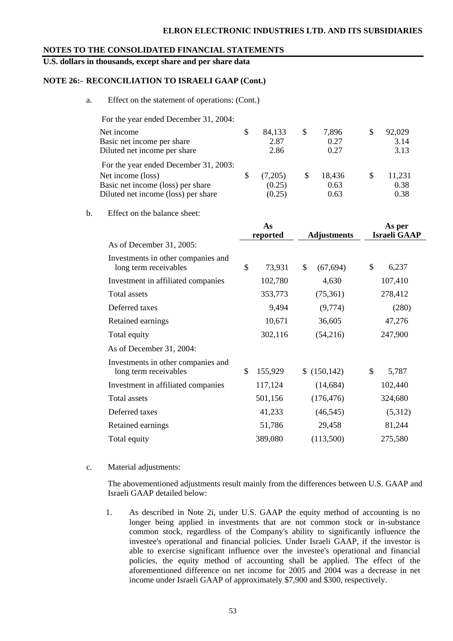### **ELRON ELECTRONIC INDUSTRIES LTD. AND ITS SUBSIDIARIES**

#### **NOTES TO THE CONSOLIDATED FINANCIAL STATEMENTS**

**U.S. dollars in thousands, except share and per share data** 

### **NOTE 26:- RECONCILIATION TO ISRAELI GAAP (Cont.)**

a. Effect on the statement of operations: (Cont.)

| For the year ended December 31, 2004: |    |         |    |        |   |        |
|---------------------------------------|----|---------|----|--------|---|--------|
| Net income                            | \$ | 84,133  | \$ | 7,896  | S | 92,029 |
| Basic net income per share            |    | 2.87    |    | 0.27   |   | 3.14   |
| Diluted net income per share          |    | 2.86    |    | 0.27   |   | 3.13   |
| For the year ended December 31, 2003: |    |         |    |        |   |        |
| Net income (loss)                     | S  | (7,205) | S  | 18,436 | S | 11,231 |
| Basic net income (loss) per share     |    | (0.25)  |    | 0.63   |   | 0.38   |
| Diluted net income (loss) per share   |    | (0.25)  |    | 0.63   |   | 0.38   |

b. Effect on the balance sheet:

|                                                             | As<br>reported | <b>Adjustments</b> |              | As per<br><b>Israeli GAAP</b> |         |  |
|-------------------------------------------------------------|----------------|--------------------|--------------|-------------------------------|---------|--|
| As of December 31, 2005:                                    |                |                    |              |                               |         |  |
| Investments in other companies and<br>long term receivables | \$<br>73,931   | \$                 | (67, 694)    | \$                            | 6,237   |  |
| Investment in affiliated companies                          | 102,780        |                    | 4,630        |                               | 107,410 |  |
| Total assets                                                | 353,773        |                    | (75,361)     |                               | 278,412 |  |
| Deferred taxes                                              | 9,494          |                    | (9,774)      |                               | (280)   |  |
| Retained earnings                                           | 10,671         |                    | 36,605       |                               | 47,276  |  |
| Total equity                                                | 302,116        |                    | (54,216)     |                               | 247,900 |  |
| As of December 31, 2004:                                    |                |                    |              |                               |         |  |
| Investments in other companies and<br>long term receivables | \$<br>155,929  |                    | \$(150, 142) | \$                            | 5,787   |  |
| Investment in affiliated companies                          | 117,124        |                    | (14, 684)    |                               | 102,440 |  |
| Total assets                                                | 501,156        |                    | (176, 476)   |                               | 324,680 |  |
| Deferred taxes                                              | 41,233         |                    | (46, 545)    |                               | (5,312) |  |
| Retained earnings                                           | 51,786         |                    | 29,458       |                               | 81,244  |  |
| Total equity                                                | 389,080        |                    | (113,500)    |                               | 275,580 |  |

#### c. Material adjustments:

The abovementioned adjustments result mainly from the differences between U.S. GAAP and Israeli GAAP detailed below:

1. As described in Note 2i, under U.S. GAAP the equity method of accounting is no longer being applied in investments that are not common stock or in-substance common stock, regardless of the Company's ability to significantly influence the investee's operational and financial policies. Under Israeli GAAP, if the investor is able to exercise significant influence over the investee's operational and financial policies, the equity method of accounting shall be applied. The effect of the aforementioned difference on net income for 2005 and 2004 was a decrease in net income under Israeli GAAP of approximately \$7,900 and \$300, respectively.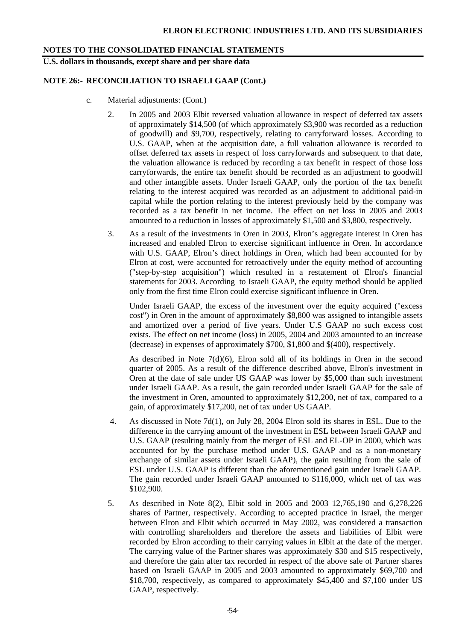**U.S. dollars in thousands, except share and per share data** 

### **NOTE 26:- RECONCILIATION TO ISRAELI GAAP (Cont.)**

- c. Material adjustments: (Cont.)
	- 2. In 2005 and 2003 Elbit reversed valuation allowance in respect of deferred tax assets of approximately \$14,500 (of which approximately \$3,900 was recorded as a reduction of goodwill) and \$9,700, respectively, relating to carryforward losses. According to U.S. GAAP, when at the acquisition date, a full valuation allowance is recorded to offset deferred tax assets in respect of loss carryforwards and subsequent to that date, the valuation allowance is reduced by recording a tax benefit in respect of those loss carryforwards, the entire tax benefit should be recorded as an adjustment to goodwill and other intangible assets. Under Israeli GAAP, only the portion of the tax benefit relating to the interest acquired was recorded as an adjustment to additional paid-in capital while the portion relating to the interest previously held by the company was recorded as a tax benefit in net income. The effect on net loss in 2005 and 2003 amounted to a reduction in losses of approximately \$1,500 and \$3,800, respectively.
	- 3. As a result of the investments in Oren in 2003, Elron's aggregate interest in Oren has increased and enabled Elron to exercise significant influence in Oren. In accordance with U.S. GAAP, Elron's direct holdings in Oren, which had been accounted for by Elron at cost, were accounted for retroactively under the equity method of accounting ("step-by-step acquisition") which resulted in a restatement of Elron's financial statements for 2003. According to Israeli GAAP, the equity method should be applied only from the first time Elron could exercise significant influence in Oren.

 Under Israeli GAAP, the excess of the investment over the equity acquired ("excess cost") in Oren in the amount of approximately \$8,800 was assigned to intangible assets and amortized over a period of five years. Under U.S GAAP no such excess cost exists. The effect on net income (loss) in 2005, 2004 and 2003 amounted to an increase (decrease) in expenses of approximately \$700, \$1,800 and \$(400), respectively.

As described in Note 7(d)(6), Elron sold all of its holdings in Oren in the second quarter of 2005. As a result of the difference described above, Elron's investment in Oren at the date of sale under US GAAP was lower by \$5,000 than such investment under Israeli GAAP. As a result, the gain recorded under Israeli GAAP for the sale of the investment in Oren, amounted to approximately \$12,200, net of tax, compared to a gain, of approximately \$17,200, net of tax under US GAAP.

- 4. As discussed in Note 7d(1), on July 28, 2004 Elron sold its shares in ESL. Due to the difference in the carrying amount of the investment in ESL between Israeli GAAP and U.S. GAAP (resulting mainly from the merger of ESL and EL-OP in 2000, which was accounted for by the purchase method under U.S. GAAP and as a non-monetary exchange of similar assets under Israeli GAAP), the gain resulting from the sale of ESL under U.S. GAAP is different than the aforementioned gain under Israeli GAAP. The gain recorded under Israeli GAAP amounted to \$116,000, which net of tax was \$102,900.
- 5. As described in Note 8(2), Elbit sold in 2005 and 2003 12,765,190 and 6,278,226 shares of Partner, respectively. According to accepted practice in Israel, the merger between Elron and Elbit which occurred in May 2002, was considered a transaction with controlling shareholders and therefore the assets and liabilities of Elbit were recorded by Elron according to their carrying values in Elbit at the date of the merger. The carrying value of the Partner shares was approximately \$30 and \$15 respectively, and therefore the gain after tax recorded in respect of the above sale of Partner shares based on Israeli GAAP in 2005 and 2003 amounted to approximately \$69,700 and \$18,700, respectively, as compared to approximately \$45,400 and \$7,100 under US GAAP, respectively.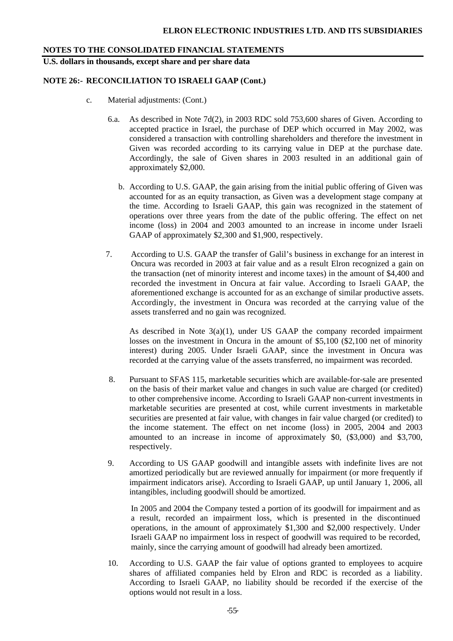**U.S. dollars in thousands, except share and per share data** 

# **NOTE 26:- RECONCILIATION TO ISRAELI GAAP (Cont.)**

- c. Material adjustments: (Cont.)
	- 6.a. As described in Note 7d(2), in 2003 RDC sold 753,600 shares of Given. According to accepted practice in Israel, the purchase of DEP which occurred in May 2002, was considered a transaction with controlling shareholders and therefore the investment in Given was recorded according to its carrying value in DEP at the purchase date. Accordingly, the sale of Given shares in 2003 resulted in an additional gain of approximately \$2,000.
		- b. According to U.S. GAAP, the gain arising from the initial public offering of Given was accounted for as an equity transaction, as Given was a development stage company at the time. According to Israeli GAAP, this gain was recognized in the statement of operations over three years from the date of the public offering. The effect on net income (loss) in 2004 and 2003 amounted to an increase in income under Israeli GAAP of approximately \$2,300 and \$1,900, respectively.
	- 7. According to U.S. GAAP the transfer of Galil's business in exchange for an interest in Oncura was recorded in 2003 at fair value and as a result Elron recognized a gain on the transaction (net of minority interest and income taxes) in the amount of \$4,400 and recorded the investment in Oncura at fair value. According to Israeli GAAP, the aforementioned exchange is accounted for as an exchange of similar productive assets. Accordingly, the investment in Oncura was recorded at the carrying value of the assets transferred and no gain was recognized.

As described in Note  $3(a)(1)$ , under US GAAP the company recorded impairment losses on the investment in Oncura in the amount of \$5,100 (\$2,100 net of minority interest) during 2005. Under Israeli GAAP, since the investment in Oncura was recorded at the carrying value of the assets transferred, no impairment was recorded.

- 8. Pursuant to SFAS 115, marketable securities which are available-for-sale are presented on the basis of their market value and changes in such value are charged (or credited) to other comprehensive income. According to Israeli GAAP non-current investments in marketable securities are presented at cost, while current investments in marketable securities are presented at fair value, with changes in fair value charged (or credited) to the income statement. The effect on net income (loss) in 2005, 2004 and 2003 amounted to an increase in income of approximately \$0, (\$3,000) and \$3,700, respectively.
- 9. According to US GAAP goodwill and intangible assets with indefinite lives are not amortized periodically but are reviewed annually for impairment (or more frequently if impairment indicators arise). According to Israeli GAAP, up until January 1, 2006, all intangibles, including goodwill should be amortized.

 In 2005 and 2004 the Company tested a portion of its goodwill for impairment and as a result, recorded an impairment loss, which is presented in the discontinued operations, in the amount of approximately \$1,300 and \$2,000 respectively. Under Israeli GAAP no impairment loss in respect of goodwill was required to be recorded, mainly, since the carrying amount of goodwill had already been amortized.

10. According to U.S. GAAP the fair value of options granted to employees to acquire shares of affiliated companies held by Elron and RDC is recorded as a liability. According to Israeli GAAP, no liability should be recorded if the exercise of the options would not result in a loss.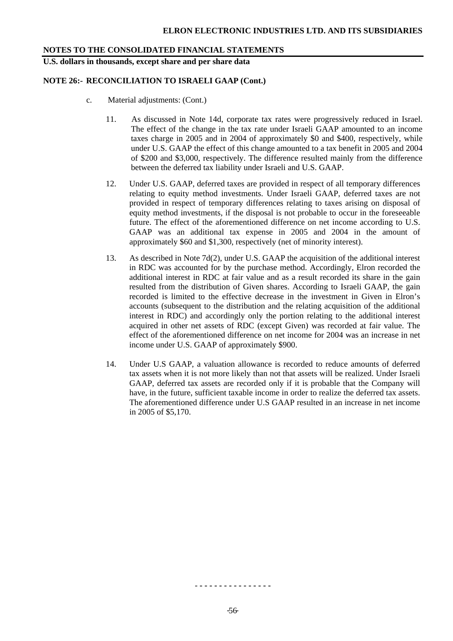**U.S. dollars in thousands, except share and per share data** 

# **NOTE 26:- RECONCILIATION TO ISRAELI GAAP (Cont.)**

- c. Material adjustments: (Cont.)
	- 11. As discussed in Note 14d, corporate tax rates were progressively reduced in Israel. The effect of the change in the tax rate under Israeli GAAP amounted to an income taxes charge in 2005 and in 2004 of approximately \$0 and \$400, respectively, while under U.S. GAAP the effect of this change amounted to a tax benefit in 2005 and 2004 of \$200 and \$3,000, respectively. The difference resulted mainly from the difference between the deferred tax liability under Israeli and U.S. GAAP.
	- 12. Under U.S. GAAP, deferred taxes are provided in respect of all temporary differences relating to equity method investments. Under Israeli GAAP, deferred taxes are not provided in respect of temporary differences relating to taxes arising on disposal of equity method investments, if the disposal is not probable to occur in the foreseeable future. The effect of the aforementioned difference on net income according to U.S. GAAP was an additional tax expense in 2005 and 2004 in the amount of approximately \$60 and \$1,300, respectively (net of minority interest).
	- 13. As described in Note 7d(2), under U.S. GAAP the acquisition of the additional interest in RDC was accounted for by the purchase method. Accordingly, Elron recorded the additional interest in RDC at fair value and as a result recorded its share in the gain resulted from the distribution of Given shares. According to Israeli GAAP, the gain recorded is limited to the effective decrease in the investment in Given in Elron's accounts (subsequent to the distribution and the relating acquisition of the additional interest in RDC) and accordingly only the portion relating to the additional interest acquired in other net assets of RDC (except Given) was recorded at fair value. The effect of the aforementioned difference on net income for 2004 was an increase in net income under U.S. GAAP of approximately \$900.
	- 14. Under U.S GAAP, a valuation allowance is recorded to reduce amounts of deferred tax assets when it is not more likely than not that assets will be realized. Under Israeli GAAP, deferred tax assets are recorded only if it is probable that the Company will have, in the future, sufficient taxable income in order to realize the deferred tax assets. The aforementioned difference under U.S GAAP resulted in an increase in net income in 2005 of \$5,170.

 $-56$ 

- **- - - - - - - - - - - - - - -**